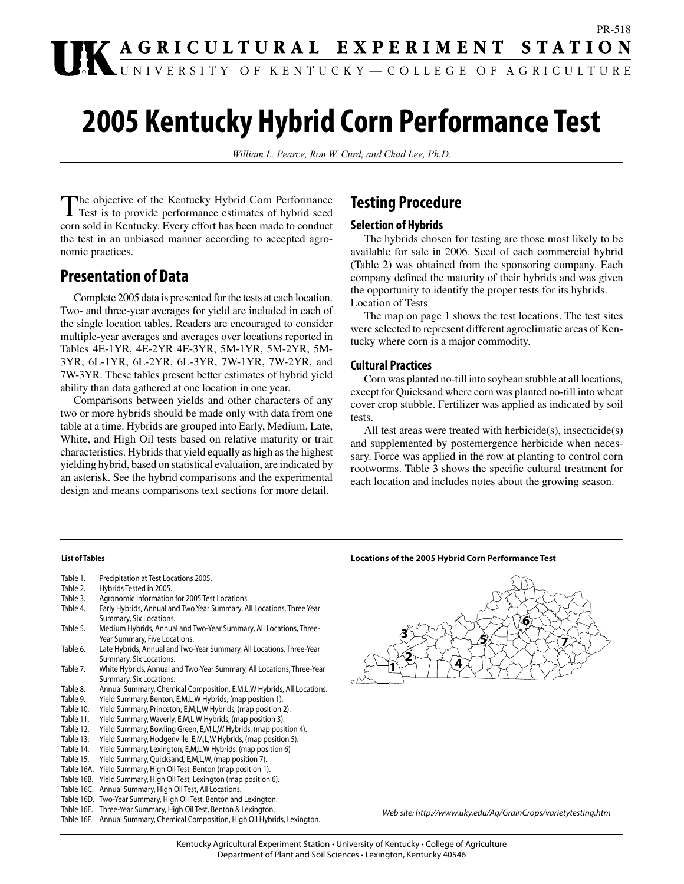# PR-518 **IK AGRICULTURAL EXPERIMENT STATION**

# **2005 Kentucky Hybrid Corn Performance Test**

*William L. Pearce, Ron W. Curd, and Chad Lee, Ph.D.*

The objective of the Kentucky Hybrid Corn Performance Test is to provide performance estimates of hybrid seed corn sold in Kentucky. Every effort has been made to conduct the test in an unbiased manner according to accepted agronomic practices.

### **Presentation of Data**

Complete 2005 data is presented for the tests at each location. Two- and three-year averages for yield are included in each of the single location tables. Readers are encouraged to consider multiple-year averages and averages over locations reported in Tables 4E-1YR, 4E-2YR 4E-3YR, 5M-1YR, 5M-2YR, 5M-3YR, 6L-1YR, 6L-2YR, 6L-3YR, 7W-1YR, 7W-2YR, and 7W-3YR. These tables present better estimates of hybrid yield ability than data gathered at one location in one year.

Comparisons between yields and other characters of any two or more hybrids should be made only with data from one table at a time. Hybrids are grouped into Early, Medium, Late, White, and High Oil tests based on relative maturity or trait characteristics. Hybrids that yield equally as high as the highest yielding hybrid, based on statistical evaluation, are indicated by an asterisk. See the hybrid comparisons and the experimental design and means comparisons text sections for more detail.

### **Testing Procedure**

### **Selection of Hybrids**

The hybrids chosen for testing are those most likely to be available for sale in 2006. Seed of each commercial hybrid (Table 2) was obtained from the sponsoring company. Each company defined the maturity of their hybrids and was given the opportunity to identify the proper tests for its hybrids. Location of Tests

The map on page 1 shows the test locations. The test sites were selected to represent different agroclimatic areas of Kentucky where corn is a major commodity.

### **Cultural Practices**

Corn was planted no-till into soybean stubble at all locations, except for Quicksand where corn was planted no-till into wheat cover crop stubble. Fertilizer was applied as indicated by soil tests.

All test areas were treated with herbicide(s), insecticide(s) and supplemented by postemergence herbicide when necessary. Force was applied in the row at planting to control corn rootworms. Table 3 shows the specific cultural treatment for each location and includes notes about the growing season.

#### **List of Tables**

- Table 1. Precipitation at Test Locations 2005.
- Table 2. Hybrids Tested in 2005.
- Table 3. Agronomic Information for 2005 Test Locations.
- Table 4. Early Hybrids, Annual and Two Year Summary, All Locations, Three Year Summary, Six Locations.
- Table 5. Medium Hybrids, Annual and Two-Year Summary, All Locations, Three-Year Summary, Five Locations.
- Table 6. Late Hybrids, Annual and Two-Year Summary, All Locations, Three-Year Summary, Six Locations.
- Table 7. White Hybrids, Annual and Two-Year Summary, All Locations, Three-Year Summary, Six Locations.
- Table 8. Annual Summary, Chemical Composition, E,M,L,W Hybrids, All Locations.
- Table 9. Yield Summary, Benton, E,M,L,W Hybrids, (map position 1).
- Table 10. Yield Summary, Princeton, E,M,L,W Hybrids, (map position 2).
- Table 11. Yield Summary, Waverly, E,M,L,W Hybrids, (map position 3).
- Table 12. Yield Summary, Bowling Green, E,M,L,W Hybrids, (map position 4).
- Table 13. Yield Summary, Hodgenville, E,M,L,W Hybrids, (map position 5).
- Table 14. Yield Summary, Lexington, E,M,L,W Hybrids, (map position 6)
- Table 15. Yield Summary, Quicksand, E,M,L,W, (map position 7).
- Table 16A. Yield Summary, High Oil Test, Benton (map position 1).
- Table 16B. Yield Summary, High Oil Test, Lexington (map position 6).
- Table 16C. Annual Summary, High Oil Test, All Locations.
- Table 16D. Two-Year Summary, High Oil Test, Benton and Lexington.
- Table 16E. Three-Year Summary, High Oil Test, Benton & Lexington.
- Table 16F. Annual Summary, Chemical Composition, High Oil Hybrids, Lexington.





*Web site: http://www.uky.edu/Ag/GrainCrops/varietytesting.htm*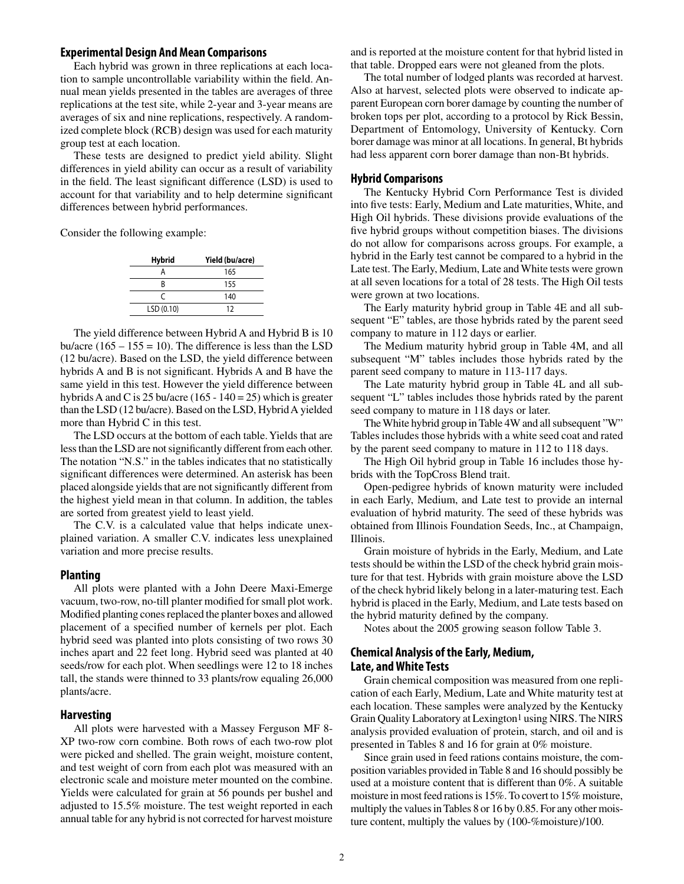#### **Experimental Design And Mean Comparisons**

Each hybrid was grown in three replications at each location to sample uncontrollable variability within the field. Annual mean yields presented in the tables are averages of three replications at the test site, while 2-year and 3-year means are averages of six and nine replications, respectively. A randomized complete block (RCB) design was used for each maturity group test at each location.

These tests are designed to predict yield ability. Slight differences in yield ability can occur as a result of variability in the field. The least significant difference (LSD) is used to account for that variability and to help determine significant differences between hybrid performances.

Consider the following example:

| <b>Hybrid</b> | Yield (bu/acre) |
|---------------|-----------------|
|               | 165             |
| R             | 155             |
| C             | 140             |
| LSD(0.10)     | 12              |

The yield difference between Hybrid A and Hybrid B is 10 bu/acre (165 – 155 = 10). The difference is less than the LSD (12 bu/acre). Based on the LSD, the yield difference between hybrids A and B is not significant. Hybrids A and B have the same yield in this test. However the yield difference between hybrids A and C is 25 bu/acre (165 - 140 = 25) which is greater than the LSD (12 bu/acre). Based on the LSD, Hybrid A yielded more than Hybrid C in this test.

The LSD occurs at the bottom of each table. Yields that are less than the LSD are not significantly different from each other. The notation "N.S." in the tables indicates that no statistically significant differences were determined. An asterisk has been placed alongside yields that are not significantly different from the highest yield mean in that column. In addition, the tables are sorted from greatest yield to least yield.

The C.V. is a calculated value that helps indicate unexplained variation. A smaller C.V. indicates less unexplained variation and more precise results.

#### **Planting**

All plots were planted with a John Deere Maxi-Emerge vacuum, two-row, no-till planter modified for small plot work. Modified planting cones replaced the planter boxes and allowed placement of a specified number of kernels per plot. Each hybrid seed was planted into plots consisting of two rows 30 inches apart and 22 feet long. Hybrid seed was planted at 40 seeds/row for each plot. When seedlings were 12 to 18 inches tall, the stands were thinned to 33 plants/row equaling 26,000 plants/acre.

#### **Harvesting**

All plots were harvested with a Massey Ferguson MF 8- XP two-row corn combine. Both rows of each two-row plot were picked and shelled. The grain weight, moisture content, and test weight of corn from each plot was measured with an electronic scale and moisture meter mounted on the combine. Yields were calculated for grain at 56 pounds per bushel and adjusted to 15.5% moisture. The test weight reported in each annual table for any hybrid is not corrected for harvest moisture

and is reported at the moisture content for that hybrid listed in that table. Dropped ears were not gleaned from the plots.

The total number of lodged plants was recorded at harvest. Also at harvest, selected plots were observed to indicate apparent European corn borer damage by counting the number of broken tops per plot, according to a protocol by Rick Bessin, Department of Entomology, University of Kentucky. Corn borer damage was minor at all locations. In general, Bt hybrids had less apparent corn borer damage than non-Bt hybrids.

### **Hybrid Comparisons**

The Kentucky Hybrid Corn Performance Test is divided into five tests: Early, Medium and Late maturities, White, and High Oil hybrids. These divisions provide evaluations of the five hybrid groups without competition biases. The divisions do not allow for comparisons across groups. For example, a hybrid in the Early test cannot be compared to a hybrid in the Late test. The Early, Medium, Late and White tests were grown at all seven locations for a total of 28 tests. The High Oil tests were grown at two locations.

The Early maturity hybrid group in Table 4E and all subsequent "E" tables, are those hybrids rated by the parent seed company to mature in 112 days or earlier.

The Medium maturity hybrid group in Table 4M, and all subsequent "M" tables includes those hybrids rated by the parent seed company to mature in 113-117 days.

The Late maturity hybrid group in Table 4L and all subsequent "L" tables includes those hybrids rated by the parent seed company to mature in 118 days or later.

The White hybrid group in Table 4W and all subsequent "W" Tables includes those hybrids with a white seed coat and rated by the parent seed company to mature in 112 to 118 days.

The High Oil hybrid group in Table 16 includes those hybrids with the TopCross Blend trait.

Open-pedigree hybrids of known maturity were included in each Early, Medium, and Late test to provide an internal evaluation of hybrid maturity. The seed of these hybrids was obtained from Illinois Foundation Seeds, Inc., at Champaign, Illinois.

Grain moisture of hybrids in the Early, Medium, and Late tests should be within the LSD of the check hybrid grain moisture for that test. Hybrids with grain moisture above the LSD of the check hybrid likely belong in a later-maturing test. Each hybrid is placed in the Early, Medium, and Late tests based on the hybrid maturity defined by the company.

Notes about the 2005 growing season follow Table 3.

### **Chemical Analysis of the Early, Medium, Late, and White Tests**

Grain chemical composition was measured from one replication of each Early, Medium, Late and White maturity test at each location. These samples were analyzed by the Kentucky Grain Quality Laboratory at Lexington<sup>1</sup> using NIRS. The NIRS analysis provided evaluation of protein, starch, and oil and is presented in Tables 8 and 16 for grain at 0% moisture.

Since grain used in feed rations contains moisture, the composition variables provided in Table 8 and 16 should possibly be used at a moisture content that is different than 0%. A suitable moisture in most feed rations is 15%. To covert to 15% moisture, multiply the values in Tables 8 or 16 by 0.85. For any other moisture content, multiply the values by (100-%moisture)/100.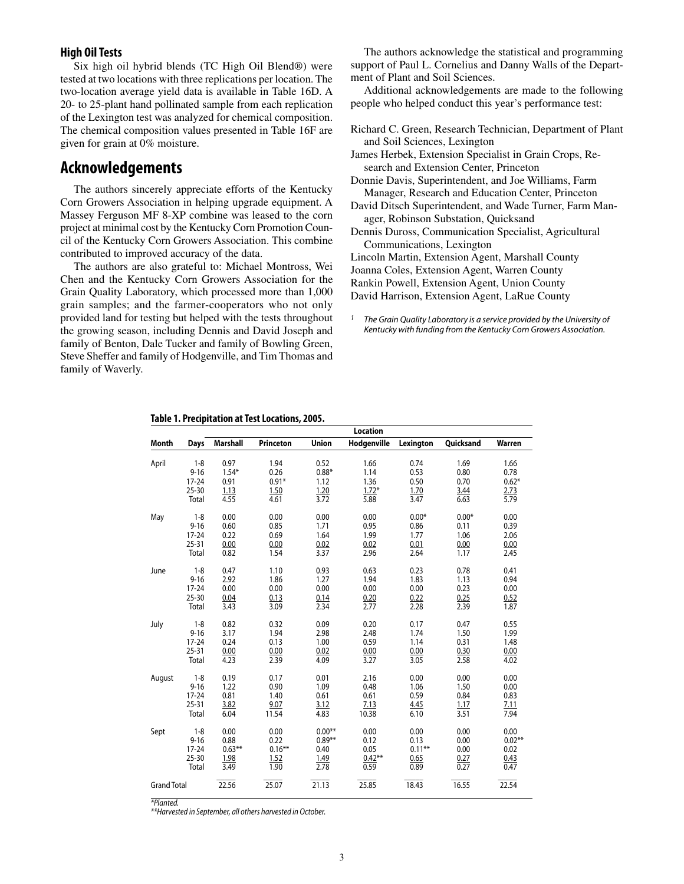### **High Oil Tests**

Six high oil hybrid blends (TC High Oil Blend®) were tested at two locations with three replications per location. The two-location average yield data is available in Table 16D. A 20- to 25-plant hand pollinated sample from each replication of the Lexington test was analyzed for chemical composition. The chemical composition values presented in Table 16F are given for grain at 0% moisture.

### **Acknowledgements**

The authors sincerely appreciate efforts of the Kentucky Corn Growers Association in helping upgrade equipment. A Massey Ferguson MF 8-XP combine was leased to the corn project at minimal cost by the Kentucky Corn Promotion Council of the Kentucky Corn Growers Association. This combine contributed to improved accuracy of the data.

The authors are also grateful to: Michael Montross, Wei Chen and the Kentucky Corn Growers Association for the Grain Quality Laboratory, which processed more than 1,000 grain samples; and the farmer-cooperators who not only provided land for testing but helped with the tests throughout the growing season, including Dennis and David Joseph and family of Benton, Dale Tucker and family of Bowling Green, Steve Sheffer and family of Hodgenville, and Tim Thomas and family of Waverly.

The authors acknowledge the statistical and programming support of Paul L. Cornelius and Danny Walls of the Department of Plant and Soil Sciences.

Additional acknowledgements are made to the following people who helped conduct this year's performance test:

Richard C. Green, Research Technician, Department of Plant and Soil Sciences, Lexington

James Herbek, Extension Specialist in Grain Crops, Research and Extension Center, Princeton

Donnie Davis, Superintendent, and Joe Williams, Farm Manager, Research and Education Center, Princeton

David Ditsch Superintendent, and Wade Turner, Farm Manager, Robinson Substation, Quicksand

Dennis Duross, Communication Specialist, Agricultural Communications, Lexington

Lincoln Martin, Extension Agent, Marshall County

Joanna Coles, Extension Agent, Warren County

Rankin Powell, Extension Agent, Union County

David Harrison, Extension Agent, LaRue County

*1 The Grain Quality Laboratory is a service provided by the University of Kentucky with funding from the Kentucky Corn Growers Association.*

**Table 1. Precipitation at Test Locations, 2005.**

|                    |           |                 |                  |              | Location    |           |           |          |
|--------------------|-----------|-----------------|------------------|--------------|-------------|-----------|-----------|----------|
| <b>Month</b>       | Days      | <b>Marshall</b> | <b>Princeton</b> | <b>Union</b> | Hodgenville | Lexington | Quicksand | Warren   |
| April              | $1 - 8$   | 0.97            | 1.94             | 0.52         | 1.66        | 0.74      | 1.69      | 1.66     |
|                    | $9 - 16$  | $1.54*$         | 0.26             | $0.88*$      | 1.14        | 0.53      | 0.80      | 0.78     |
|                    | $17 - 24$ | 0.91            | $0.91*$          | 1.12         | 1.36        | 0.50      | 0.70      | $0.62*$  |
|                    | $25 - 30$ | 1.13            | 1.50             | 1.20         | $1.72*$     | 1.70      | 3.44      | 2.73     |
|                    | Total     | 4.55            | 4.61             | 3.72         | 5.88        | 3.47      | 6.63      | 5.79     |
| May                | $1 - 8$   | 0.00            | 0.00             | 0.00         | 0.00        | $0.00*$   | $0.00*$   | 0.00     |
|                    | $9 - 16$  | 0.60            | 0.85             | 1.71         | 0.95        | 0.86      | 0.11      | 0.39     |
|                    | $17 - 24$ | 0.22            | 0.69             | 1.64         | 1.99        | 1.77      | 1.06      | 2.06     |
|                    | $25 - 31$ | 0.00            | 0.00             | 0.02         | 0.02        | 0.01      | 0.00      | 0.00     |
|                    | Total     | 0.82            | 1.54             | 3.37         | 2.96        | 2.64      | 1.17      | 2.45     |
| June               | $1 - 8$   | 0.47            | 1.10             | 0.93         | 0.63        | 0.23      | 0.78      | 0.41     |
|                    | $9 - 16$  | 2.92            | 1.86             | 1.27         | 1.94        | 1.83      | 1.13      | 0.94     |
|                    | $17 - 24$ | 0.00            | 0.00             | 0.00         | 0.00        | 0.00      | 0.23      | 0.00     |
|                    | $25 - 30$ | 0.04            | 0.13             | 0.14         | 0.20        | 0.22      | 0.25      | 0.52     |
|                    | Total     | 3.43            | 3.09             | 2.34         | 2.77        | 2.28      | 2.39      | 1.87     |
| July               | $1 - 8$   | 0.82            | 0.32             | 0.09         | 0.20        | 0.17      | 0.47      | 0.55     |
|                    | $9 - 16$  | 3.17            | 1.94             | 2.98         | 2.48        | 1.74      | 1.50      | 1.99     |
|                    | $17 - 24$ | 0.24            | 0.13             | 1.00         | 0.59        | 1.14      | 0.31      | 1.48     |
|                    | $25 - 31$ | 0.00            | 0.00             | 0.02         | 0.00        | 0.00      | 0.30      | 0.00     |
|                    | Total     | 4.23            | 2.39             | 4.09         | 3.27        | 3.05      | 2.58      | 4.02     |
| August             | $1 - 8$   | 0.19            | 0.17             | 0.01         | 2.16        | 0.00      | 0.00      | 0.00     |
|                    | $9 - 16$  | 1.22            | 0.90             | 1.09         | 0.48        | 1.06      | 1.50      | 0.00     |
|                    | $17 - 24$ | 0.81            | 1.40             | 0.61         | 0.61        | 0.59      | 0.84      | 0.83     |
|                    | $25 - 31$ | 3.82            | 9.07             | 3.12         | 7.13        | 4.45      | 1.17      | 7.11     |
|                    | Total     | 6.04            | 11.54            | 4.83         | 10.38       | 6.10      | 3.51      | 7.94     |
| Sept               | $1 - 8$   | 0.00            | 0.00             | $0.00**$     | 0.00        | 0.00      | 0.00      | 0.00     |
|                    | $9 - 16$  | 0.88            | 0.22             | $0.89**$     | 0.12        | 0.13      | 0.00      | $0.02**$ |
|                    | $17 - 24$ | $0.63***$       | $0.16***$        | 0.40         | 0.05        | $0.11**$  | 0.00      | 0.02     |
|                    | $25 - 30$ | 1.98            | 1.52             | 1.49         | $0.42**$    | 0.65      | 0.27      | 0.43     |
|                    | Total     | 3.49            | 1.90             | 2.78         | 0.59        | 0.89      | 0.27      | 0.47     |
| <b>Grand Total</b> |           | 22.56           | 25.07            | 21.13        | 25.85       | 18.43     | 16.55     | 22.54    |

*\*Planted.*

*\*\*Harvested in September, all others harvested in October.*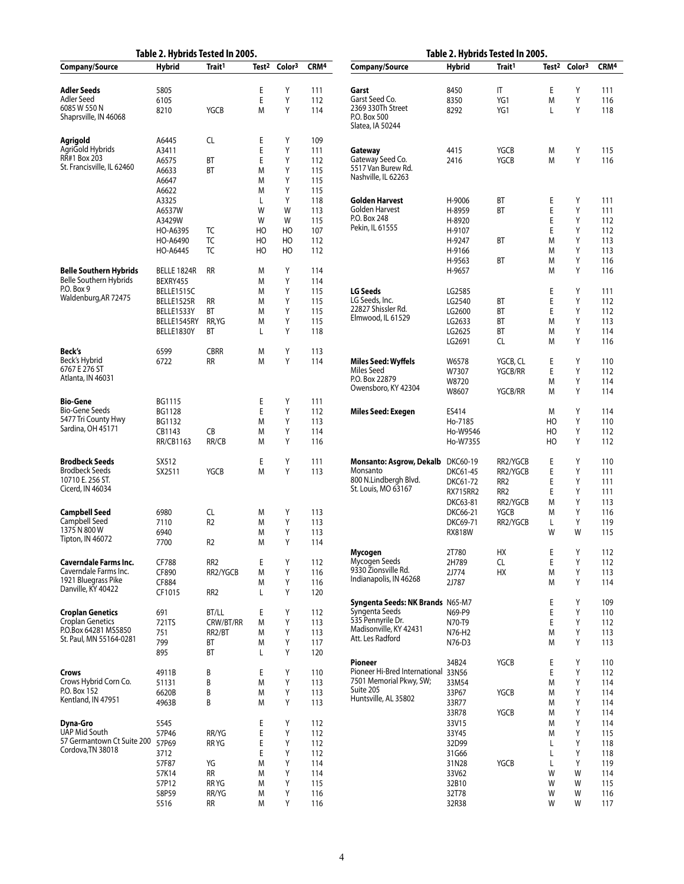|                                                                    | Table 2. Hybrids Tested In 2005. |                    |                   |                    |                   | Table 2. Hybrids Tested In 2005.                             |                      |                                    |                   |                    |                   |
|--------------------------------------------------------------------|----------------------------------|--------------------|-------------------|--------------------|-------------------|--------------------------------------------------------------|----------------------|------------------------------------|-------------------|--------------------|-------------------|
| Company/Source                                                     | <b>Hybrid</b>                    | Trait <sup>1</sup> | Test <sup>2</sup> | Color <sup>3</sup> | CRM <sup>4</sup>  | Company/Source                                               | <b>Hybrid</b>        | Trait <sup>1</sup>                 | Test <sup>2</sup> | Color <sup>3</sup> | CRM <sup>4</sup>  |
| Adler Seeds<br>Adler Seed<br>6085 W 550 N<br>Shaprsville, IN 46068 | 5805<br>6105<br>8210             | YGCB               | Ε<br>E<br>М       | Υ<br>Υ<br>Υ        | 111<br>112<br>114 | Garst<br>Garst Seed Co.<br>2369 330Th Street<br>P.O. Box 500 | 8450<br>8350<br>8292 | IT<br>YG1<br>YG1                   | E<br>M<br>L       | Υ<br>Υ<br>Y        | 111<br>116<br>118 |
|                                                                    |                                  |                    |                   |                    |                   | Slatea, IA 50244                                             |                      |                                    |                   |                    |                   |
| Agrigold<br>AgriGold Hybrids                                       | A6445<br>A3411                   | CL                 | Ε<br>Ε            | Υ<br>Υ             | 109<br>111        | Gateway                                                      | 4415                 | YGCB                               | M                 | Υ                  | 115               |
| RR#1 Box 203<br>St. Francisville, IL 62460                         | A6575                            | ВT                 | Ε                 | Υ                  | 112               | Gateway Seed Co.<br>5517 Van Burew Rd.                       | 2416                 | <b>YGCB</b>                        | M                 | Y                  | 116               |
|                                                                    | A6633<br>A6647                   | ВT                 | М<br>М            | Y<br>Y             | 115<br>115        | Nashville, IL 62263                                          |                      |                                    |                   |                    |                   |
|                                                                    | A6622                            |                    | М                 | Y                  | 115               |                                                              |                      |                                    |                   |                    |                   |
|                                                                    | A3325                            |                    | L                 | Y                  | 118               | Golden Harvest                                               | H-9006               | ВT                                 | Е                 | Υ                  | 111               |
|                                                                    | A6537W<br>A3429W                 |                    | W<br>W            | W<br>W             | 113<br>115        | Golden Harvest<br>P.O. Box 248                               | H-8959<br>H-8920     | BT                                 | E<br>Ε            | Υ<br>Υ             | 111<br>112        |
|                                                                    | HO-A6395                         | TC                 | HO                | HO                 | 107               | Pekin, IL 61555                                              | H-9107               |                                    | Ε                 | Υ                  | 112               |
|                                                                    | HO-A6490                         | TC                 | HO                | HO                 | 112               |                                                              | H-9247               | ВT                                 | M                 | Υ                  | 113               |
|                                                                    | HO-A6445                         | TC                 | HO                | HO                 | 112               |                                                              | H-9166<br>H-9563     | ВT                                 | M<br>M            | Υ<br>Υ             | 113<br>116        |
| <b>Belle Southern Hybrids</b>                                      | BELLE 1824R                      | <b>RR</b>          | Μ                 | Y                  | 114               |                                                              | H-9657               |                                    | M                 | Y                  | 116               |
| Belle Southern Hybrids<br>P.O. Box 9                               | BEXRY455                         |                    | М                 | Υ                  | 114               |                                                              |                      |                                    |                   |                    |                   |
| Waldenburg,AR 72475                                                | BELLE1515C<br>BELLE1525R         | <b>RR</b>          | М<br>М            | Y<br>Y             | 115<br>115        | <b>LG Seeds</b><br>LG Seeds, Inc.                            | LG2585<br>LG2540     | ВT                                 | Е<br>E            | Υ<br>Υ             | 111<br>112        |
|                                                                    | BELLE1533Y                       | ВT                 | М                 | Υ                  | 115               | 22827 Shissler Rd.                                           | LG2600               | BT                                 | E                 | Υ                  | 112               |
|                                                                    | BELLE1545RY                      | RR, YG             | М                 | Y                  | 115               | Elmwood, IL 61529                                            | LG2633               | BT                                 | M                 | Υ                  | 113               |
|                                                                    | BELLE1830Y                       | ВT                 | L                 | Υ                  | 118               |                                                              | LG2625<br>LG2691     | BT<br>CL                           | M<br>M            | Υ<br>Υ             | 114<br>116        |
| Beck's                                                             | 6599                             | <b>CBRR</b>        | Μ                 | Υ                  | 113               |                                                              |                      |                                    |                   |                    |                   |
| Beck's Hybrid                                                      | 6722                             | <b>RR</b>          | М                 | Y                  | 114               | Miles Seed: Wyffels                                          | W6578                | YGCB, CL                           | Ε                 | Υ                  | 110               |
| 6767 E 276 ST<br>Atlanta, IN 46031                                 |                                  |                    |                   |                    |                   | Miles Seed<br>P.O. Box 22879                                 | W7307<br>W8720       | YGCB/RR                            | E<br>M            | Υ<br>Υ             | 112<br>114        |
|                                                                    |                                  |                    |                   |                    |                   | Owensboro, KY 42304                                          | W8607                | <b>YGCB/RR</b>                     | M                 | Y                  | 114               |
| <b>Bio-Gene</b>                                                    | BG1115                           |                    | Ε                 | Υ                  | 111               |                                                              |                      |                                    |                   |                    |                   |
| Bio-Gene Seeds<br>5477 Tri County Hwy                              | BG1128                           |                    | E                 | Υ<br>Y             | 112               | Miles Seed: Exegen                                           | ES414                |                                    | M                 | Υ                  | 114               |
| Sardina, OH 45171                                                  | BG1132<br>CB1143                 | CB                 | М<br>М            | Y                  | 113<br>114        |                                                              | Ho-7185<br>Ho-W9546  |                                    | HO<br>HO          | Υ<br>Υ             | 110<br>112        |
|                                                                    | RR/CB1163                        | RR/CB              | М                 | Y                  | 116               |                                                              | Ho-W7355             |                                    | HO                | Y                  | 112               |
| <b>Brodbeck Seeds</b>                                              | SX512                            |                    | Ε                 | Υ                  | 111               | Monsanto: Asgrow, Dekalb                                     | DKC60-19             | RR2/YGCB                           | E                 | Υ                  | 110               |
| <b>Brodbeck Seeds</b>                                              | SX2511                           | YGCB               | М                 | Y                  | 113               | Monsanto                                                     | DKC61-45             | RR2/YGCB                           | Ε                 | Υ                  | 111               |
| 10710 E. 256 ST.<br>Cicerd, IN 46034                               |                                  |                    |                   |                    |                   | 800 N.Lindbergh Blvd.<br>St. Louis, MO 63167                 | DKC61-72             | RR <sub>2</sub><br>RR <sub>2</sub> | Ε<br>Ε            | Υ<br>Υ             | 111<br>111        |
|                                                                    |                                  |                    |                   |                    |                   |                                                              | RX715RR2<br>DKC63-81 | RR2/YGCB                           | M                 | Υ                  | 113               |
| Campbell Seed                                                      | 6980                             | CL                 | М                 | Υ                  | 113               |                                                              | DKC66-21             | <b>YGCB</b>                        | M                 | Υ                  | 116               |
| Campbell Seed<br>1375 N 800 W                                      | 7110                             | R <sub>2</sub>     | М                 | Υ                  | 113               |                                                              | DKC69-71             | RR2/YGCB                           | L                 | Υ                  | 119               |
| Tipton, IN 46072                                                   | 6940<br>7700                     | R <sub>2</sub>     | М<br>M            | Y<br>Y             | 113<br>114        |                                                              | <b>RX818W</b>        |                                    | W                 | W                  | 115               |
|                                                                    |                                  |                    |                   |                    |                   | Mycogen                                                      | 2T780                | НX                                 | E                 | Υ                  | 112               |
| <b>Caverndale Farms Inc.</b><br>Caverndale Farms Inc.              | CF788                            | RR <sub>2</sub>    | Ε                 | Υ                  | 112               | Mycogen Seeds<br>9330 Zionsville Rd.                         | 2H789                | CL.                                | E                 | Υ                  | 112               |
| 1921 Bluegrass Pike                                                | CF890<br>CF884                   | RR2/YGCB           | М<br>М            | Y<br>Y             | 116<br>116        | Indianapolis, IN 46268                                       | 2J774<br>2J787       | HX                                 | M<br>M            | Υ<br>Y             | 113<br>114        |
| Danville, KY 40422                                                 | CF1015                           | RR <sub>2</sub>    | Г                 | Υ                  | 120               |                                                              |                      |                                    |                   |                    |                   |
|                                                                    |                                  |                    |                   |                    |                   | Syngenta Seeds: NK Brands N65-M7<br>Syngenta Seeds           |                      |                                    | Е                 | Υ                  | 109               |
| <b>Croplan Genetics</b><br><b>Croplan Genetics</b>                 | 691<br>721TS                     | BT/LL<br>CRW/BT/RR | Ε<br>М            | Υ<br>Υ             | 112<br>113        | 535 Pennyrile Dr.                                            | N69-P9<br>N70-T9     |                                    | E<br>E            | Υ<br>Υ             | 110<br>112        |
| P.O.Box 64281 MS5850                                               | 751                              | RR2/BT             | М                 | Υ                  | 113               | Madisonville, KY 42431                                       | N76-H2               |                                    | M                 | Υ                  | 113               |
| St. Paul, MN 55164-0281                                            | 799                              | ВT                 | М                 | Υ                  | 117               | Att. Les Radford                                             | N76-D3               |                                    | M                 | Υ                  | 113               |
|                                                                    | 895                              | ВT                 | L                 | Υ                  | 120               | <b>Pioneer</b>                                               | 34B24                | YGCB                               | Е                 | Υ                  | 110               |
| <b>Crows</b>                                                       | 4911B                            | B                  | Ε                 | Υ                  | 110               | Pioneer Hi-Bred International                                | 33N56                |                                    | E                 | Υ                  | 112               |
| Crows Hybrid Corn Co.                                              | 51131                            | B                  | M                 | Υ                  | 113               | 7501 Memorial Pkwy, SW;<br>Suite 205                         | 33M54                |                                    | M                 | Υ                  | 114               |
| P.O. Box 152<br>Kentland, IN 47951                                 | 6620B<br>4963B                   | B<br>B             | М                 | Υ<br>Υ             | 113               | Huntsville, AL 35802                                         | 33P67<br>33R77       | YGCB                               | M                 | Υ<br>Υ             | 114               |
|                                                                    |                                  |                    | М                 |                    | 113               |                                                              | 33R78                | YGCB                               | M<br>M            | Υ                  | 114<br>114        |
| Dyna-Gro                                                           | 5545                             |                    | Ε                 | Υ                  | 112               |                                                              | 33V15                |                                    | M                 | Υ                  | 114               |
| UAP Mid South<br>57 Germantown Ct Suite 200                        | 57P46                            | RR/YG              | Ε                 | Υ                  | 112               |                                                              | 33Y45                |                                    | M                 | Υ                  | 115               |
| Cordova, TN 38018                                                  | 57P69<br>3712                    | RR YG              | Ε<br>Ε            | Υ<br>Υ             | 112<br>112        |                                                              | 32D99<br>31G66       |                                    | L<br>L            | Υ<br>Υ             | 118<br>118        |
|                                                                    | 57F87                            | YG                 | М                 | Y                  | 114               |                                                              | 31N28                | YGCB                               | L                 | Υ                  | 119               |
|                                                                    | 57K14                            | <b>RR</b>          | М                 | Υ                  | 114               |                                                              | 33V62                |                                    | W                 | W                  | 114               |
|                                                                    | 57P12<br>58P59                   | RR YG<br>RR/YG     | М<br>Μ            | Y<br>Υ             | 115<br>116        |                                                              | 32B10<br>32T78       |                                    | W<br>W            | W<br>W             | 115<br>116        |
|                                                                    | 5516                             | <b>RR</b>          | М                 | Υ                  | 116               |                                                              | 32R38                |                                    | W                 | W                  | 117               |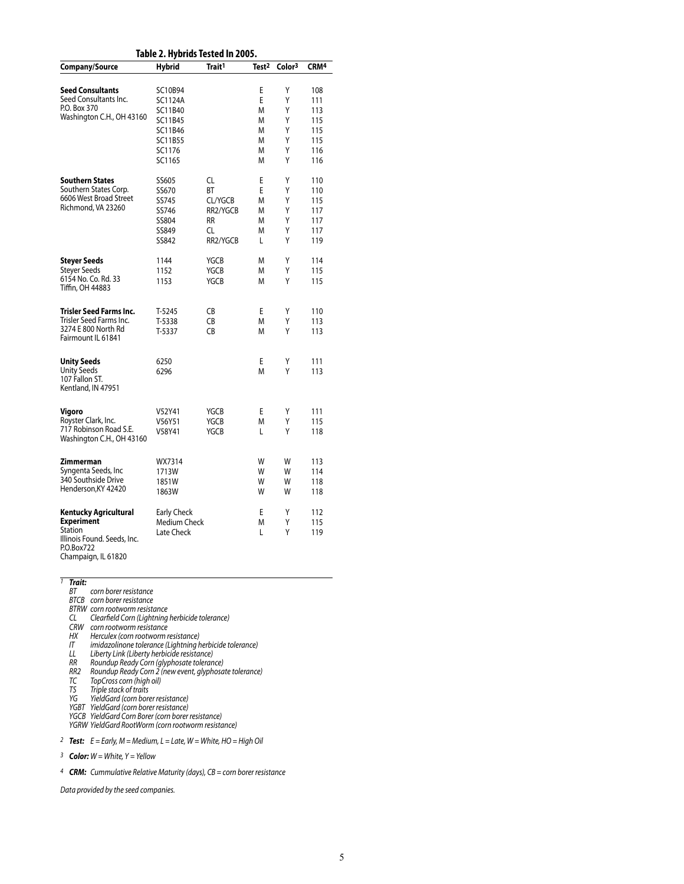|                                                            | Table 2. Hybrids Tested In 2005. |                    |                   |                    |                  |
|------------------------------------------------------------|----------------------------------|--------------------|-------------------|--------------------|------------------|
| Company/Source                                             | Hybrid                           | Trait <sup>1</sup> | Test <sup>2</sup> | Color <sup>3</sup> | CRM <sup>4</sup> |
| <b>Seed Consultants</b>                                    | SC10B94                          |                    | E                 | Υ                  | 108              |
| Seed Consultants Inc.                                      | SC1124A                          |                    | E                 | Υ                  | 111              |
| P.O. Box 370                                               | SC11B40                          |                    | M                 | Υ                  | 113              |
| Washington C.H., OH 43160                                  | SC11B45                          |                    | M                 | Υ                  | 115              |
|                                                            | SC11B46                          |                    | М                 | Υ                  | 115              |
|                                                            | SC11B55                          |                    | M                 | Υ                  | 115              |
|                                                            | SC1176                           |                    | M                 | Υ                  | 116              |
|                                                            | SC1165                           |                    | M                 | Υ                  | 116              |
| <b>Southern States</b>                                     | SS605                            | CL                 | E                 | Υ                  | 110              |
| Southern States Corp.                                      | SS670                            | BT                 | E                 | Υ                  | 110              |
| 6606 West Broad Street                                     |                                  |                    |                   |                    |                  |
| Richmond, VA 23260                                         | SS745                            | CL/YGCB            | M                 | Υ                  | 115              |
|                                                            | SS746                            | RR2/YGCB           | М                 | Υ                  | 117              |
|                                                            | SS804                            | RR                 | М                 | Υ                  | 117              |
|                                                            | SS849                            | CL                 | М                 | Υ                  | 117              |
|                                                            | SS842                            | RR2/YGCB           | L                 | Υ                  | 119              |
| Steyer Seeds                                               | 1144                             | YGCB               | М                 | Υ                  | 114              |
| Steyer Seeds                                               | 1152                             | YGCB               | М                 | Υ                  | 115              |
| 6154 No. Co. Rd. 33<br>Tiffin, OH 44883                    | 1153                             | <b>YGCB</b>        | M                 | Υ                  | 115              |
| Trisler Seed Farms Inc.                                    | T-5245                           | CB                 | E                 | Υ                  | 110              |
| Trisler Seed Farms Inc.                                    | T-5338                           | CB                 | M                 | Υ                  | 113              |
| 3274 E 800 North Rd<br>Fairmount IL 61841                  | T-5337                           | CB                 | M                 | Υ                  | 113              |
| Unity Seeds                                                | 6250                             |                    | E                 | Υ                  | 111              |
| <b>Unity Seeds</b><br>107 Fallon ST.<br>Kentland, IN 47951 | 6296                             |                    | М                 | Υ                  | 113              |
|                                                            |                                  |                    |                   |                    |                  |
| Vigoro                                                     | V52Y41                           | YGCB               | Ε                 | Y                  | 111              |
| Royster Clark, Inc.                                        | V56Y51                           | YGCB               | М                 | Υ                  | 115              |
| 717 Robinson Road S.E.<br>Washington C.H., OH 43160        | V58Y41                           | <b>YGCB</b>        | L                 | Υ                  | 118              |
| Zimmerman                                                  | WX7314                           |                    | W                 | W                  | 113              |
| Syngenta Seeds, Inc                                        | 1713W                            |                    | W                 | W                  | 114              |
| 340 Southside Drive                                        | 1851W                            |                    | W                 | W                  | 118              |
| Henderson, KY 42420                                        | 1863W                            |                    | W                 | W                  | 118              |
| Kentucky Agricultural                                      | Early Check                      |                    | E                 | Υ                  | 112              |
| <b>Experiment</b>                                          | Medium Check                     |                    | M                 | Υ                  | 115              |
| Station                                                    | Late Check                       |                    | L                 | Υ                  | 119              |
| Illinois Found. Seeds, Inc.<br>P.O.Box722                  |                                  |                    |                   |                    |                  |

Champaign, IL 61820

### *1 Trait:*

- *BT corn borer resistance BTCB corn borer resistance*
- 
- *BTRW corn rootworm resistance*
- *CL Clearfield Corn (Lightning herbicide tolerance)*
- *CRW corn rootworm resistance*
- *HX Herculex (corn rootworm resistance)*
- *IT imidazolinone tolerance (Lightning herbicide tolerance)*
- *LL Liberty Link (Liberty herbicide resistance)*
- *RR Roundup Ready Corn (glyphosate tolerance) RR2 Roundup Ready Corn 2 (new event, glyphosate tolerance)*
- *TC TopCross corn (high oil)*
- *TS Triple stack of traits*
- *YG YieldGard (corn borer resistance)*
- *YGBT YieldGard (corn borer resistance)*
- *YGCB YieldGard Corn Borer (corn borer resistance)*
- *YGRW YieldGard RootWorm (corn rootworm resistance)*

*2 Test: E = Early, M = Medium, L = Late, W = White, HO = High Oil*

*3 Color: W = White, Y = Yellow*

*4 CRM: Cummulative Relative Maturity (days), CB = corn borer resistance*

*Data provided by the seed companies.*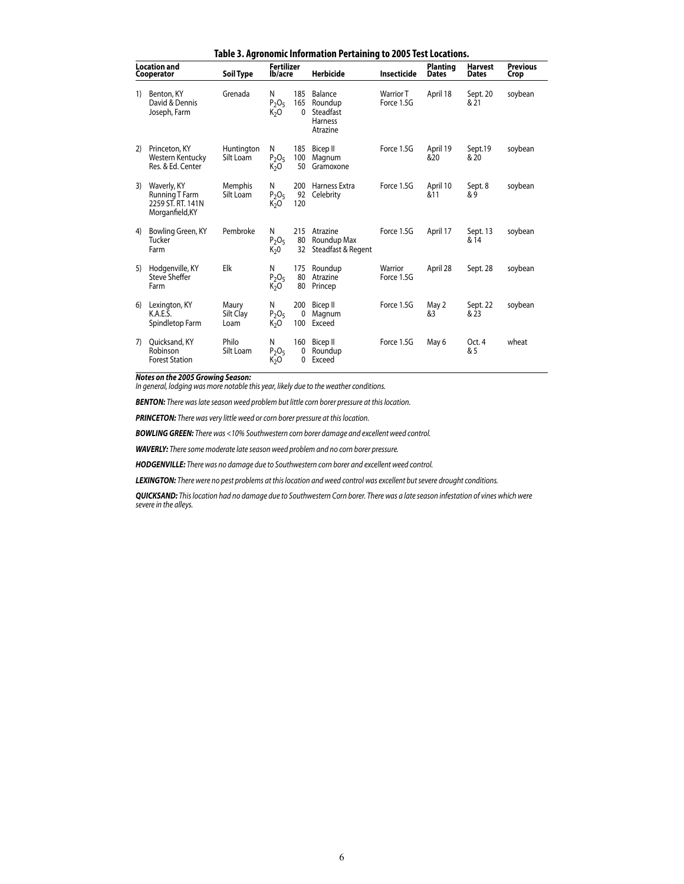|    |                                                                       |                             |                                   |                  | Table 5. Agronomic imformation Fertaming to 2005 Test Locations. |                         |                                 |                  |                         |
|----|-----------------------------------------------------------------------|-----------------------------|-----------------------------------|------------------|------------------------------------------------------------------|-------------------------|---------------------------------|------------------|-------------------------|
|    | <b>Location and</b><br>Cooperator                                     | Soil Type                   | <b>Fertilizer</b><br>lb/acre      |                  | <b>Herbicide</b>                                                 | <b>Insecticide</b>      | <b>Planting</b><br><b>Dates</b> | Harvest<br>Dates | <b>Previous</b><br>Crop |
| 1) | Benton, KY<br>David & Dennis<br>Joseph, Farm                          | Grenada                     | N<br>$P_2O_5$<br>K <sub>2</sub> O | 185<br>165<br>0  | Balance<br>Roundup<br>Steadfast<br><b>Harness</b><br>Atrazine    | Warrior T<br>Force 1.5G | April 18                        | Sept. 20<br>& 21 | soybean                 |
| 2) | Princeton, KY<br>Western Kentucky<br>Res. & Ed. Center                | Huntington<br>Silt Loam     | N<br>$P_2O_5$<br>K <sub>2</sub> O | 185<br>100<br>50 | Bicep II<br>Magnum<br>Gramoxone                                  | Force 1.5G              | April 19<br>&20                 | Sept.19<br>& 20  | soybean                 |
| 3) | Waverly, KY<br>Running T Farm<br>2259 ST. RT. 141N<br>Morganfield, KY | <b>Memphis</b><br>Silt Loam | N<br>$P_2O_5$<br>K <sub>2</sub> O | 200<br>92<br>120 | Harness Extra<br>Celebrity                                       | Force 1.5G              | April 10<br>&11                 | Sept. 8<br>&9    | soybean                 |
| 4) | Bowling Green, KY<br>Tucker<br>Farm                                   | Pembroke                    | N<br>$P_2O_5$<br>$K_2 0$          | 215<br>80<br>32  | Atrazine<br>Roundup Max<br>Steadfast & Regent                    | Force 1.5G              | April 17                        | Sept. 13<br>& 14 | soybean                 |
| 5) | Hodgenville, KY<br>Steve Sheffer<br>Farm                              | Elk                         | N<br>$P_2O_5$<br>K <sub>2</sub> O | 175<br>80<br>80  | Roundup<br>Atrazine<br>Princep                                   | Warrior<br>Force 1.5G   | April 28                        | Sept. 28         | soybean                 |
| 6) | Lexington, KY<br>K.A.E.S.<br>Spindletop Farm                          | Maury<br>Silt Clay<br>Loam  | N<br>$P_2O_5$<br>K <sub>2</sub> O | 200<br>0<br>100  | Bicep II<br>Magnum<br>Exceed                                     | Force 1.5G              | May 2<br>&3                     | Sept. 22<br>& 23 | soybean                 |
| 7) | Quicksand, KY<br>Robinson<br><b>Forest Station</b>                    | Philo<br>Silt Loam          | N<br>$P_2O_5$<br>K <sub>2</sub> O | 160<br>0<br>0    | Bicep II<br>Roundup<br>Exceed                                    | Force 1.5G              | May 6                           | Oct. 4<br>& 5    | wheat                   |

**Table 3. Agronomic Information Pertaining to 2005 Test Locations.**

*Notes on the 2005 Growing Season:*

*In general, lodging was more notable this year, likely due to the weather conditions.*

*BENTON: There was late season weed problem but little corn borer pressure at this location.*

*PRINCETON: There was very little weed or corn borer pressure at this location.*

*BOWLING GREEN: There was <10% Southwestern corn borer damage and excellent weed control.*

*WAVERLY: There some moderate late season weed problem and no corn borer pressure.*

*HODGENVILLE: There was no damage due to Southwestern corn borer and excellent weed control.*

*LEXINGTON: There were no pest problems at this location and weed control was excellent but severe drought conditions.*

*QUICKSAND: This location had no damage due to Southwestern Corn borer. There was a late season infestation of vines which were severe in the alleys.*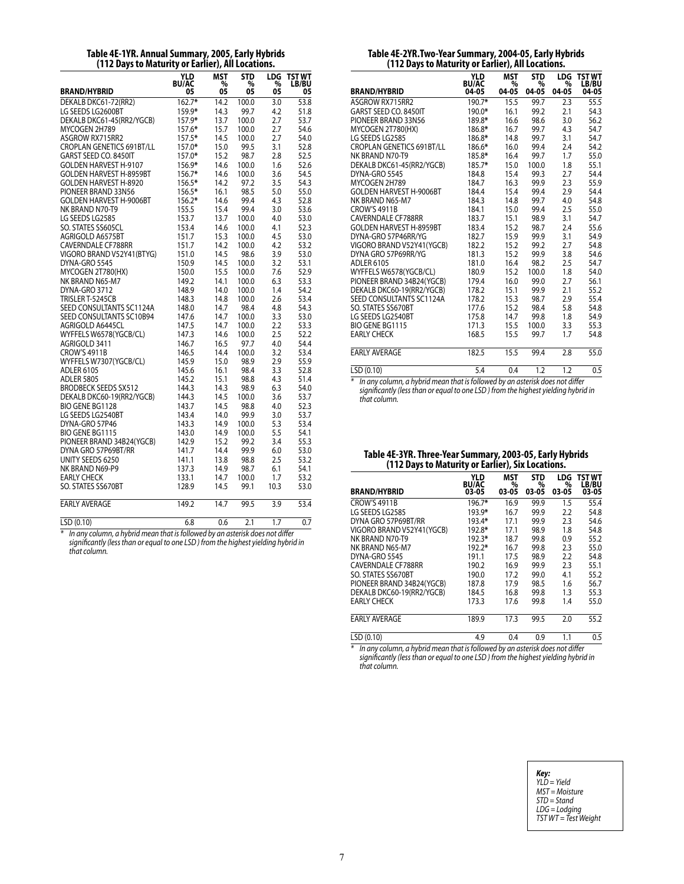#### **Table 4E-1YR. Annual Summary, 2005, Early Hybrids (112 Days to Maturity or Earlier), All Locations.**

| <b>BRAND/HYBRID</b>               | YLD<br><b>BU/AC</b><br>05 | MST<br>%<br>05 | <b>STD</b><br>%<br>05 | LDG<br>%<br>05 | TST WT<br><b>LB/BU</b><br>05 |
|-----------------------------------|---------------------------|----------------|-----------------------|----------------|------------------------------|
| DEKALB DKC61-72(RR2)              | $162.7*$                  | 14.2           | 100.0                 | 3.0            | 53.8                         |
| LG SEEDS LG2600BT                 | 159.9*                    | 14.3           | 99.7                  | 4.2            | 51.8                         |
| DEKALB DKC61-45(RR2/YGCB)         | 157.9*                    | 13.7           | 100.0                 | 2.7            | 53.7                         |
| MYCOGEN 2H789                     | 157.6*                    | 15.7           | 100.0                 | 2.7            | 54.6                         |
| ASGROW RX715RR2                   | $157.5*$                  | 14.5           | 100.0                 | 2.7            | 54.0                         |
| <b>CROPLAN GENETICS 691BT/LL</b>  | 157.0*                    | 15.0           | 99.5                  | 3.1            | 52.8                         |
| GARST SEED CO. 8450IT             | $157.0*$                  | 15.2           | 98.7                  | 2.8            | 52.5                         |
| <b>GOLDEN HARVEST H-9107</b>      | 156.9*                    | 14.6           | 100.0                 | 1.6            | 52.6                         |
| <b>GOLDEN HARVEST H-8959BT</b>    | $156.7*$                  | 14.6           | 100.0                 | 3.6            | 54.5                         |
| <b>GOLDEN HARVEST H-8920</b>      | 156.5*                    | 14.2           | 97.2                  | 3.5            | 54.3                         |
| PIONEER BRAND 33N56               | 156.5*                    | 16.1           | 98.5                  | 5.0            | 55.0                         |
| <b>GOLDEN HARVEST H-9006BT</b>    | 156.2*                    | 14.6           | 99.4                  | 4.3            | 52.8                         |
| NK BRAND N70-T9                   | 155.5                     | 15.4           | 99.4                  | 3.0            | 53.6                         |
| LG SEEDS LG2585                   | 153.7                     | 13.7           | 100.0                 | 4.0            | 53.0                         |
| SO. STATES SS605CL                | 153.4                     | 14.6           | 100.0                 | 4.1            | 52.3                         |
| AGRIGOLD A6575BT                  | 151.7                     | 15.3           | 100.0                 | 4.5            | 53.0                         |
| CAVERNDALE CF788RR                | 151.7                     | 14.2           | 100.0                 | 4.2            | 53.2                         |
| VIGORO BRAND V52Y41(BTYG)         | 151.0                     | 14.5           | 98.6                  | 3.9            | 53.0                         |
| DYNA-GRO 5545                     | 150.9                     | 14.5           | 100.0                 | 3.2            | 53.1                         |
| MYCOGEN 2T780(HX)                 | 150.0                     | 15.5           | 100.0                 | 7.6            | 52.9                         |
| NK BRAND N65-M7                   | 149.2                     | 14.1           | 100.0                 | 6.3            | 53.3                         |
| DYNA-GRO 3712                     | 148.9                     | 14.0           | 100.0                 | 1.4            | 54.2                         |
| TRISLER T-5245CB                  | 148.3                     | 14.8           | 100.0                 | 2.6            | 53.4                         |
| SEED CONSULTANTS SC1124A          | 148.0                     | 14.7           | 98.4                  | 4.8            | 54.3                         |
| SEED CONSULTANTS SC10B94          | 147.6                     | 14.7           | 100.0                 | 3.3            | 53.0                         |
| AGRIGOLD A6445CL                  | 147.5                     | 14.7           | 100.0                 | 2.2            | 53.3                         |
| WYFFELS W6578(YGCB/CL)            | 147.3                     | 14.6           | 100.0                 | 2.5            | 52.2                         |
| AGRIGOLD 3411                     | 146.7                     | 16.5           | 97.7                  | 4.0            | 54.4                         |
| <b>CROW'S 4911B</b>               | 146.5                     | 14.4           | 100.0                 | 3.2            | 53.4                         |
| WYFFELS W7307(YGCB/CL)            | 145.9                     | 15.0           | 98.9                  | 2.9            | 55.9                         |
| <b>ADLER 6105</b>                 | 145.6                     | 16.1           | 98.4                  | 3.3            | 52.8                         |
| <b>ADLER 5805</b>                 | 145.2                     | 15.1           | 98.8                  | 4.3            | 51.4                         |
| <b>BRODBECK SEEDS SX512</b>       | 144.3                     | 14.3           | 98.9                  | 6.3            | 54.0                         |
| DEKALB DKC60-19(RR2/YGCB)         | 144.3                     | 14.5           | 100.0                 | 3.6            | 53.7                         |
| <b>BIO GENE BG1128</b>            | 143.7                     | 14.5           | 98.8                  | 4.0            | 52.3                         |
| LG SEEDS LG2540BT                 | 143.4<br>143.3            | 14.0           | 99.9                  | 3.0            | 53.7                         |
| DYNA-GRO 57P46<br>BIO GENE BG1115 | 143.0                     | 14.9<br>14.9   | 100.0<br>100.0        | 5.3<br>5.5     | 53.4<br>54.1                 |
| PIONEER BRAND 34B24(YGCB)         | 142.9                     | 15.2           | 99.2                  | 3.4            | 55.3                         |
| DYNA GRO 57P69BT/RR               | 141.7                     | 14.4           | 99.9                  | 6.0            | 53.0                         |
| UNITY SEEDS 6250                  | 141.1                     | 13.8           | 98.8                  | 2.5            | 53.2                         |
| NK BRAND N69-P9                   | 137.3                     | 14.9           | 98.7                  | 6.1            | 54.1                         |
| <b>EARLY CHECK</b>                | 133.1                     | 14.7           | 100.0                 | 1.7            | 53.2                         |
| SO. STATES SS670BT                | 128.9                     | 14.5           | 99.1                  | 10.3           | 53.0                         |
|                                   |                           |                |                       |                |                              |
| <b>EARLY AVERAGE</b>              | 149.2                     | 14.7           | 99.5                  | 3.9            | 53.4                         |
| LSD (0.10)                        | 6.8                       | 0.6            | 2.1                   | 1.7            | 0.7                          |

*\* In any column, a hybrid mean that is followed by an asterisk does not differ significantly (less than or equal to one LSD ) from the highest yielding hybrid in that column.*

| Table 4E-2YR.Two-Year Summary, 2004-05, Early Hybrids |  |
|-------------------------------------------------------|--|
| (112 Days to Maturity or Earlier), All Locations.     |  |

| <b>BRAND/HYBRID</b>                                                              | <b>YLD</b><br><b>BU/AC</b><br>04-05 | MST<br>%<br>04-05 | <b>STD</b><br>%<br>04-05 | <b>LDG</b><br>%<br>04-05 | <b>TST WT</b><br>LB/BU<br>04-05 |
|----------------------------------------------------------------------------------|-------------------------------------|-------------------|--------------------------|--------------------------|---------------------------------|
| ASGROW RX715RR2                                                                  | 190.7*                              | 15.5              | 99.7                     | 2.3                      | 55.5                            |
| GARST SEED CO. 8450IT                                                            | 190.0*                              | 16.1              | 99.2                     | 2.1                      | 54.3                            |
| PIONEER BRAND 33N56                                                              | 189.8*                              | 16.6              | 98.6                     | 3.0                      | 56.2                            |
| MYCOGEN 2T780(HX)                                                                | 186.8*                              | 16.7              | 99.7                     | 4.3                      | 54.7                            |
| LG SEEDS LG2585                                                                  | 186.8*                              | 14.8              | 99.7                     | 3.1                      | 54.7                            |
| CROPLAN GENETICS 691BT/LL                                                        | 186.6*                              | 16.0              | 99.4                     | 2.4                      | 54.2                            |
| NK BRAND N70-T9                                                                  | 185.8*                              | 16.4              | 99.7                     | 1.7                      | 55.0                            |
| DEKALB DKC61-45(RR2/YGCB)                                                        | 185.7*                              | 15.0              | 100.0                    | 1.8                      | 55.1                            |
| DYNA-GRO 5545                                                                    | 184.8                               | 15.4              | 99.3                     | 2.7                      | 54.4                            |
| MYCOGEN 2H789                                                                    | 184.7                               | 16.3              | 99.9                     | 2.3                      | 55.9                            |
| <b>GOLDEN HARVEST H-9006BT</b>                                                   | 184.4                               | 15.4              | 99.4                     | 2.9                      | 54.4                            |
| NK BRAND N65-M7                                                                  | 184.3                               | 14.8              | 99.7                     | 4.0                      | 54.8                            |
| <b>CROW'S 4911B</b>                                                              | 184.1                               | 15.0              | 99.4                     | 2.5                      | 55.0                            |
| <b>CAVERNDALE CF788RR</b>                                                        | 183.7                               | 15.1              | 98.9                     | 3.1                      | 54.7                            |
| <b>GOLDEN HARVEST H-8959BT</b>                                                   | 183.4                               | 15.2              | 98.7                     | 2.4                      | 55.6                            |
| DYNA-GRO 57P46RR/YG                                                              | 182.7                               | 15.9              | 99.9                     | 3.1                      | 54.9                            |
| VIGORO BRAND V52Y41 (YGCB)                                                       | 182.2                               | 15.2              | 99.2                     | 2.7                      | 54.8                            |
| DYNA GRO 57P69RR/YG                                                              | 181.3                               | 15.2              | 99.9                     | 3.8                      | 54.6                            |
| <b>ADLER 6105</b>                                                                | 181.0                               | 16.4              | 98.2                     | 2.5                      | 54.7                            |
| WYFFELS W6578(YGCB/CL)                                                           | 180.9                               | 15.2              | 100.0                    | 1.8                      | 54.0                            |
| PIONEER BRAND 34B24(YGCB)                                                        | 179.4                               | 16.0              | 99.0                     | 2.7                      | 56.1                            |
| DEKALB DKC60-19(RR2/YGCB)                                                        | 178.2                               | 15.1              | 99.9                     | 2.1                      | 55.2                            |
| SEED CONSULTANTS SC1124A                                                         | 178.2                               | 15.3              | 98.7                     | 2.9                      | 55.4                            |
| SO. STATES SS670BT                                                               | 177.6                               | 15.2              | 98.4                     | 5.8                      | 54.8                            |
| LG SEEDS LG2540BT                                                                | 175.8                               | 14.7              | 99.8                     | 1.8                      | 54.9                            |
| BIO GENE BG1115                                                                  | 171.3                               | 15.5              | 100.0                    | 3.3                      | 55.3                            |
| <b>EARLY CHECK</b>                                                               | 168.5                               | 15.5              | 99.7                     | 1.7                      | 54.8                            |
| <b>EARLY AVERAGE</b>                                                             | 182.5                               | 15.5              | 99.4                     | 2.8                      | 55.0                            |
| LSD (0.10)                                                                       | 5.4                                 | 0.4               | 1.2                      | 1.2                      | 0.5                             |
| $*$ In any column, a hybrid mean that is followed by an asterisk does not differ |                                     |                   |                          |                          |                                 |

*\* In any column, a hybrid mean that is followed by an asterisk does not differ significantly (less than or equal to one LSD ) from the highest yielding hybrid in that column.*

### **Table 4E-3YR. Three-Year Summary, 2003-05, Early Hybrids (112 Days to Maturity or Earlier), Six Locations.**

| <b>BRAND/HYBRID</b>       | <b>YLD</b><br><b>BU/AC</b><br>03-05 | <b>MST</b><br>%<br>03-05 | <b>STD</b><br>%<br>03-05 | LDG<br>%<br>03-05 | <b>TST WT</b><br>LB/BU<br>03-05 |
|---------------------------|-------------------------------------|--------------------------|--------------------------|-------------------|---------------------------------|
| <b>CROW'S 4911B</b>       | 196.7*                              | 16.9                     | 99.9                     | 1.5               | 55.4                            |
| LG SEEDS LG2585           | 193.9*                              | 16.7                     | 99.9                     | 2.2               | 54.8                            |
| DYNA GRO 57P69BT/RR       | 193.4*                              | 17.1                     | 99.9                     | 2.3               | 54.6                            |
| VIGORO BRAND V52Y41(YGCB) | 192.8*                              | 17.1                     | 98.9                     | 1.8               | 54.8                            |
| NK BRAND N70-T9           | 192.3*                              | 18.7                     | 99.8                     | 0.9               | 55.2                            |
| NK BRAND N65-M7           | 192.2*                              | 16.7                     | 99.8                     | 2.3               | 55.0                            |
| DYNA-GRO 5545             | 191.1                               | 17.5                     | 98.9                     | 2.2               | 54.8                            |
| <b>CAVERNDALE CE788RR</b> | 190.2                               | 16.9                     | 99.9                     | 2.3               | 55.1                            |
| SO. STATES SS670BT        | 190.0                               | 17.2                     | 99.0                     | 4.1               | 55.2                            |
| PIONEER BRAND 34B24(YGCB) | 187.8                               | 17.9                     | 98.5                     | 1.6               | 56.7                            |
| DEKALB DKC60-19(RR2/YGCB) | 184.5                               | 16.8                     | 99.8                     | 1.3               | 55.3                            |
| <b>EARLY CHECK</b>        | 173.3                               | 17.6                     | 99.8                     | 1.4               | 55.0                            |
| <b>EARLY AVERAGE</b>      | 189.9                               | 17.3                     | 99.5                     | 2.0               | 55.2                            |
| LSD (0.10)                | 4.9                                 | 0.4                      | 0.9                      | 1.1               | 0.5                             |

| Key:                 |
|----------------------|
| YLD = Yield          |
| $MST = Moisture$     |
| $STD = Stand$        |
| LDG = Lodging        |
| TST WT = Test Weight |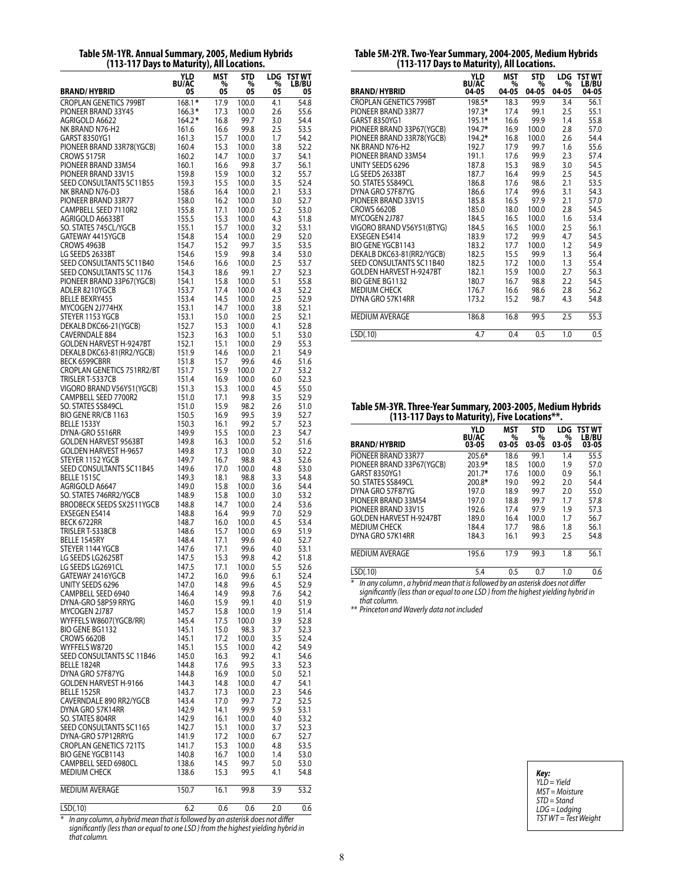| Table 5M-1YR. Annual Summary, 2005, Medium Hybrids |  |
|----------------------------------------------------|--|
| (113-117 Days to Maturity), All Locations.         |  |

|                                                    | YLD<br><b>BU/AC</b> | MST<br>%     | STD<br>%       | LDG<br>%   | TST WT<br><b>LB/BU</b> |
|----------------------------------------------------|---------------------|--------------|----------------|------------|------------------------|
| <b>BRAND/HYBRID</b>                                | 05                  | 05           | 05             | 05         | 05                     |
| <b>CROPLAN GENETICS 799BT</b>                      | $168.1*$            | 17.9         | 100.0          | 4.1        | 54.8                   |
| PIONEER BRAND 33Y45                                | $166.3*$            | 17.3         | 100.0          | 2.6        | 55.6                   |
| AGRIGOLD A6622<br>NK BRAND N76-H2                  | 164.2*<br>161.6     | 16.8<br>16.6 | 99.7<br>99.8   | 3.0<br>2.5 | 54.4<br>53.5           |
| GARST 8350YG1                                      | 161.3               | 15.7         | 100.0          | 1.7        | 54.2                   |
| PIONEER BRAND 33R78(YGCB)                          | 160.4               | 15.3         | 100.0          | 3.8        | 52.2                   |
| CROWS 5175R                                        | 160.2               | 14.7         | 100.0          | 3.7        | 54.1                   |
| PIONEER BRAND 33M54                                | 160.1               | 16.6         | 99.8           | 3.7        | 56.1                   |
| PIONEER BRAND 33V15                                | 159.8               | 15.9         | 100.0          | 3.2        | 55.7                   |
| SEED CONSULTANTS SC11B55<br>NK BRAND N76-D3        | 159.3<br>158.6      | 15.5<br>16.4 | 100.0<br>100.0 | 3.5<br>2.1 | 52.4<br>53.3           |
| PIONEER BRAND 33R77                                | 158.0               | 16.2         | 100.0          | 3.0        | 52.7                   |
| CAMPBELL SEED 7110R2                               | 155.8               | 17.1         | 100.0          | 5.2        | 53.0                   |
| AGRIGOLD A6633BT                                   | 155.5               | 15.3         | 100.0          | 4.3        | 51.8                   |
| SO. STATES 745CL/YGCB                              | 155.1               | 15.7         | 100.0          | 3.2        | 53.1                   |
| GATEWAY 4415YGCB<br>CROWS 4963B                    | 154.8<br>154.7      | 15.4<br>15.2 | 100.0<br>99.7  | 2.9<br>3.5 | 52.0<br>53.5           |
| LG SEEDS 2633BT                                    | 154.6               | 15.9         | 99.8           | 3.4        | 53.0                   |
| SEED CONSULTANTS SC11B40                           | 154.6               | 16.6         | 100.0          | 2.5        | 53.7                   |
| SEED CONSULTANTS SC 1176                           | 154.3               | 18.6         | 99.1           | 2.7        | 52.3                   |
| PIONEER BRAND 33P67(YGCB)                          | 154.1               | 15.8         | 100.0          | 5.1        | 55.8                   |
| ADLER 8210YGCB                                     | 153.7               | 17.4         | 100.0          | 4.3        | 52.2                   |
| <b>BELLE BEXRY455</b><br>MYCOGEN 2J774HX           | 153.4<br>153.1      | 14.5<br>14.7 | 100.0<br>100.0 | 2.5<br>3.8 | 52.9<br>52.1           |
| STEYER 1153 YGCB                                   | 153.1               | 15.0         | 100.0          | 2.5        | 52.1                   |
| DEKALB DKC66-21(YGCB)                              | 152.7               | 15.3         | 100.0          | 4.1        | 52.8                   |
| CAVERNDALE 884                                     | 152.3               | 16.3         | 100.0          | 5.1        | 53.0                   |
| <b>GOLDEN HARVEST H-9247BT</b>                     | 152.1               | 15.1         | 100.0          | 2.9        | 55.3                   |
| DEKALB DKC63-81(RR2/YGCB)                          | 151.9               | 14.6         | 100.0          | 2.1        | 54.9                   |
| <b>BECK 6599CBRR</b><br>CROPLAN GENETICS 751RR2/BT | 151.8<br>151.7      | 15.7<br>15.9 | 99.6<br>100.0  | 4.6<br>2.7 | 51.6<br>53.2           |
| TRISLER T-5337CB                                   | 151.4               | 16.9         | 100.0          | 6.0        | 52.3                   |
| VIGORO BRAND V56Y51(YGCB)                          | 151.3               | 15.3         | 100.0          | 4.5        | 55.0                   |
| CAMPBELL SEED 7700R2                               | 151.0               | 17.1         | 99.8           | 3.5        | 52.9                   |
| SO. STATES SS849CL                                 | 151.0               | 15.9         | 98.2           | 2.6        | 51.0                   |
| BIO GENE RR/CB 1163                                | 150.5               | 16.9         | 99.5           | 3.9        | 52.7                   |
| BELLE 1533Y<br>DYNA-GRO 5516RR                     | 150.3<br>149.9      | 16.1<br>15.5 | 99.2<br>100.0  | 5.7<br>2.3 | 52.3<br>54.7           |
| GOLDEN HARVEST 9563BT                              | 149.8               | 16.3         | 100.0          | 5.2        | 51.6                   |
| GOLDEN HARVEST H-9657                              | 149.8               | 17.3         | 100.0          | 3.0        | 52.2                   |
| STEYER 1152 YGCB                                   | 149.7               | 16.7         | 98.8           | 4.3        | 52.6                   |
| SEED CONSULTANTS SC11B45                           | 149.6               | 17.0         | 100.0          | 4.8        | 53.0                   |
| <b>BELLE 1515C</b><br>AGRIGOLD A6647               | 149.3<br>149.0      | 18.1<br>15.8 | 98.8<br>100.0  | 3.3<br>3.6 | 54.8<br>54.4           |
| SO. STATES 746RR2/YGCB                             | 148.9               | 15.8         | 100.0          | 3.0        | 53.2                   |
| <b>BRODBECK SEEDS SX2511YGCB</b>                   | 148.8               | 14.7         | 100.0          | 2.4        | 53.6                   |
| <b>EXSEGEN ES414</b>                               | 148.8               | 16.4         | 99.9           | 7.0        | 52.9                   |
| BECK 6722RR                                        | 148.7               | 16.0         | 100.0          | 4.5        | 53.4                   |
| TRISLER T-5338CB                                   | 148.6               | 15.7         | 100.0          | 6.9        | 51.9<br>52.7           |
| BELLE 1545RY<br>STEYER 1144 YGCB                   | 148.4<br>147.6      | 17.1<br>17.1 | 99.6<br>99.6   | 4.0<br>4.0 | 53.1                   |
| LG SEEDS LG2625BT                                  | 147.5               | 15.3         | 99.8           | 4.2        | 51.8                   |
| LG SEEDS LG2691CL                                  | 147.5               | 17.1         | 100.0          | 5.5        | 52.6                   |
| GATEWAY 2416YGCB                                   | 147.2               | 16.0         | 99.6           | 6.1        | 52.4                   |
| UNITY SEEDS 6296                                   | 147.0               | 14.8         | 99.6           | 4.5        | 52.9                   |
| CAMPBELL SEED 6940<br>DYNA-GRO 58P59 RRYG          | 146.4               | 14.9<br>15.9 | 99.8           | 7.6        | 54.2<br>51.9           |
| MYCOGEN 2J787                                      | 146.0<br>145.7      | 15.8         | 99.1<br>100.0  | 4.0<br>1.9 | 51.4                   |
| WYFFELS W8607(YGCB/RR)                             | 145.4               | 17.5         | 100.0          | 3.9        | 52.8                   |
| BIO GENE BG1132                                    | 145.1               | 15.0         | 98.3           | 3.7        | 52.3                   |
| CROWS 6620B                                        | 145.1               | 17.2         | 100.0          | 3.5        | 52.4                   |
| WYFFELS W8720                                      | 145.1               | 15.5         | 100.0          | 4.2        | 54.9                   |
| SEED CONSULTANTS SC 11B46<br>BELLE 1824R           | 145.0<br>144.8      | 16.3<br>17.6 | 99.2<br>99.5   | 4.1<br>3.3 | 54.6<br>52.3           |
| DYNA GRO 57F87YG                                   | 144.8               | 16.9         | 100.0          | 5.0        | 52.1                   |
| GOLDEN HARVEST H-9166                              | 144.3               | 14.8         | 100.0          | 4.7        | 54.1                   |
| BELLE 1525R                                        | 143.7               | 17.3         | 100.0          | 2.3        | 54.6                   |
| CAVERNDALE 890 RR2/YGCB                            | 143.4               | 17.0         | 99.7           | 7.2        | 52.5                   |
| DYNA GRO 57K14RR                                   | 142.9               | 14.1         | 99.9           | 5.9        | 53.1                   |
| SO. STATES 804RR<br>SEED CONSULTANTS SC1165        | 142.9<br>142.7      | 16.1<br>15.1 | 100.0<br>100.0 | 4.0<br>3.7 | 53.2<br>52.3           |
| DYNA-GRO 57P12RRYG                                 | 141.9               | 17.2         | 100.0          | 6.7        | 52.7                   |
| <b>CROPLAN GENETICS 721TS</b>                      | 141.7               | 15.3         | 100.0          | 4.8        | 53.5                   |
| BIO GENE YGCB1143                                  | 140.8               | 16.7         | 100.0          | 1.4        | 53.0                   |
| CAMPBELL SEED 6980CL                               | 138.6               | 14.5         | 99.7           | 5.0        | 53.0                   |
| MEDIUM CHECK                                       | 138.6               | 15.3         | 99.5           | 4.1        | 54.8                   |
| <b>MEDIUM AVERAGE</b>                              | 150.7               | 16.1         | 99.8           | 3.9        | 53.2                   |
|                                                    |                     |              |                |            |                        |
| LSD(.10)                                           | 6.2                 | 0.6          | 0.6            | 2.0        | 0.6                    |

*\* In any column, a hybrid mean that is followed by an asterisk does not differ significantly (less than or equal to one LSD ) from the highest yielding hybrid in that column.*

| Table 5M-2YR. Two-Year Summary, 2004-2005, Medium Hybrids |  |
|-----------------------------------------------------------|--|
| (113-117 Days to Maturity), All Locations.                |  |

| $(112.11)$ Days to maturity), All Eutations. |                                     |                          |                          |                          |                                 |
|----------------------------------------------|-------------------------------------|--------------------------|--------------------------|--------------------------|---------------------------------|
| <b>BRAND/HYBRID</b>                          | <b>YLD</b><br><b>BU/AC</b><br>04-05 | <b>MST</b><br>%<br>04-05 | <b>STD</b><br>%<br>04-05 | <b>LDG</b><br>%<br>04-05 | <b>TST WT</b><br>LB/BU<br>04-05 |
| <b>CROPLAN GENETICS 799BT</b>                | 198.5*                              | 18.3                     | 99.9                     | 3.4                      | 56.1                            |
| PIONEER BRAND 33R77                          | 197.3*                              | 17.4                     | 99.1                     | 2.5                      | 55.1                            |
| GARST 8350YG1                                | 195.1*                              | 16.6                     | 99.9                     | 1.4                      | 55.8                            |
| PIONEER BRAND 33P67(YGCB)                    | 194.7*                              | 16.9                     | 100.0                    | 2.8                      | 57.0                            |
| PIONEER BRAND 33R78(YGCB)                    | 194.2*                              | 16.8                     | 100.0                    | 2.6                      | 54.4                            |
| NK BRAND N76-H2                              | 192.7                               | 17.9                     | 99.7                     | 1.6                      | 55.6                            |
| PIONEER BRAND 33M54                          | 191.1                               | 17.6                     | 99.9                     | 2.3                      | 57.4                            |
| UNITY SEEDS 6296                             | 187.8                               | 15.3                     | 98.9                     | 3.0                      | 54.5                            |
| LG SEEDS 2633BT                              | 187.7                               | 16.4                     | 99.9                     | 2.5                      | 54.5                            |
| SO. STATES SS849CL                           | 186.8                               | 17.6                     | 98.6                     | 2.1                      | 53.5                            |
| DYNA GRO 57F87YG                             | 186.6                               | 17.4                     | 99.6                     | 3.1                      | 54.3                            |
| PIONEER BRAND 33V15                          | 185.8                               | 16.5                     | 97.9                     | 2.1                      | 57.0                            |
| <b>CROWS 6620B</b>                           | 185.0                               | 18.0                     | 100.0                    | 2.8                      | 54.5                            |
| MYCOGEN 2J787                                | 184.5                               | 16.5                     | 100.0                    | 1.6                      | 53.4                            |
| VIGORO BRAND V56Y51(BTYG)                    | 184.5                               | 16.5                     | 100.0                    | 2.5                      | 56.1                            |
| <b>EXSEGEN ES414</b>                         | 183.9                               | 17.2                     | 99.9                     | 4.7                      | 54.5                            |
| BIO GENE YGCB1143                            | 183.2                               | 17.7                     | 100.0                    | 1.2                      | 54.9                            |
| DEKALB DKC63-81(RR2/YGCB)                    | 182.5                               | 15.5                     | 99.9                     | 1.3                      | 56.4                            |
| SEED CONSULTANTS SC11B40                     | 182.5                               | 17.2                     | 100.0                    | 1.3                      | 55.4                            |
| <b>GOLDEN HARVEST H-9247BT</b>               | 182.1                               | 15.9                     | 100.0                    | 2.7                      | 56.3                            |
| BIO GENE BG1132                              | 180.7                               | 16.7                     | 98.8                     | 2.2                      | 54.5                            |
| <b>MEDIUM CHECK</b>                          | 176.7                               | 16.6                     | 98.6                     | 2.8                      | 56.2                            |
| DYNA GRO 57K14RR                             | 173.2                               | 15.2                     | 98.7                     | 4.3                      | 54.8                            |
| MEDIUM AVERAGE                               | 186.8                               | 16.8                     | 99.5                     | 2.5                      | 55.3                            |
| LSD(.10)                                     | 4.7                                 | 0.4                      | 0.5                      | 1.0                      | 0.5                             |

# **Table 5M-3YR. Three-Year Summary, 2003-2005, Medium Hybrids (113-117 Days to Maturity), Five Locations\*\*.**

| <b>BRAND/HYBRID</b>                                                               | YLD<br><b>BU/AC</b><br>03-05 | <b>MST</b><br>%<br>03-05 | <b>STD</b><br>%<br>03-05 | LDG<br>%<br>03-05 | TST WT<br><b>LB/BU</b><br>03-05 |
|-----------------------------------------------------------------------------------|------------------------------|--------------------------|--------------------------|-------------------|---------------------------------|
| PIONEER BRAND 33R77                                                               | $205.6*$                     | 18.6                     | 99.1                     | 1.4               | 55.5                            |
| PIONEER BRAND 33P67(YGCB)                                                         | 203.9*                       | 18.5                     | 100.0                    | 1.9               | 57.0                            |
| GARST 8350YG1                                                                     | $201.7*$                     | 17.6                     | 100.0                    | 0.9               | 56.1                            |
| SO. STATES SS849CL                                                                | 200.8*                       | 19.0                     | 99.2                     | 2.0               | 54.4                            |
| DYNA GRO 57F87YG                                                                  | 197.0                        | 18.9                     | 99.7                     | 2.0               | 55.0                            |
| PIONEER BRAND 33M54                                                               | 197.0                        | 18.8                     | 99.7                     | 1.7               | 57.8                            |
| PIONEER BRAND 33V15                                                               | 192.6                        | 17.4                     | 97.9                     | 1.9               | 57.3                            |
| <b>GOLDEN HARVEST H-9247BT</b>                                                    | 189.0                        | 16.4                     | 100.0                    | 1.7               | 56.7                            |
| <b>MEDIUM CHECK</b>                                                               | 184.4                        | 17.7                     | 98.6                     | 1.8               | 56.1                            |
| DYNA GRO 57K14RR                                                                  | 184.3                        | 16.1                     | 99.3                     | 2.5               | 54.8                            |
| <b>MEDIUM AVERAGE</b>                                                             | 195.6                        | 17.9                     | 99.3                     | 1.8               | 56.1                            |
| LSD(.10)                                                                          | 5.4                          | 0.5                      | 0.7                      | 1.0               | 0.6                             |
| ⋇<br>In any column, a hybrid mean that is followed by an asterisk does not differ |                              |                          |                          |                   |                                 |

*significantly (less than or equal to one LSD ) from the highest yielding hybrid in that column.*

*\*\* Princeton and Waverly data not included*

*Key: YLD = Yield MST = Moisture STD = Stand LDG = Lodging TST WT = Test Weight*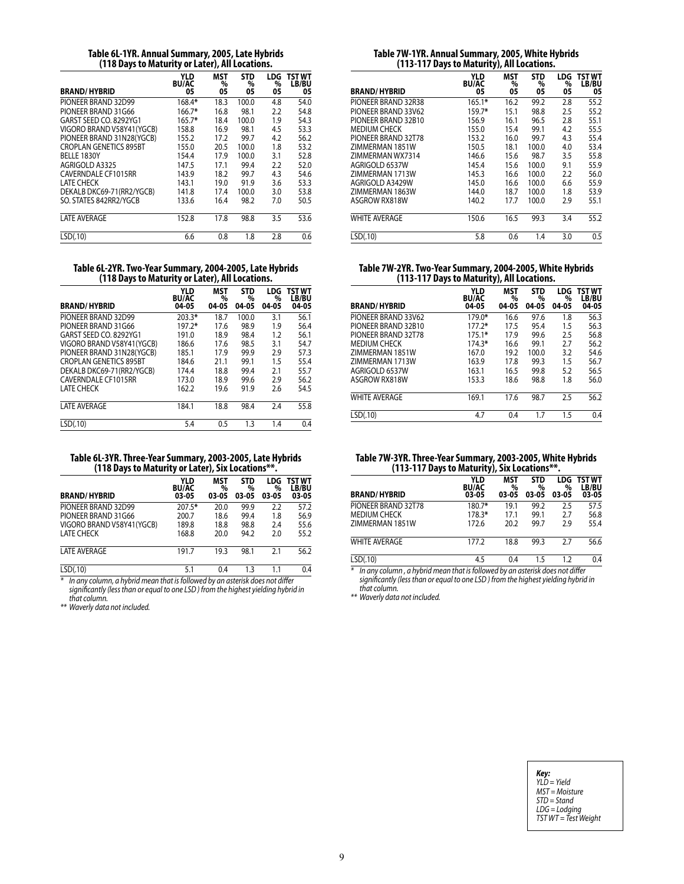| Table 6L-1YR. Annual Summary, 2005, Late Hybrids |
|--------------------------------------------------|
| (118 Days to Maturity or Later), All Locations.  |

| <b>BRAND/HYBRID</b>           | YLD<br><b>BU/AC</b><br>05 | MST<br>%<br>05 | STD<br>%<br>05 | LDG<br>%<br>05 | TST WT<br><b>LB/BU</b><br>05 |
|-------------------------------|---------------------------|----------------|----------------|----------------|------------------------------|
| PIONEER BRAND 32D99           | 168.4*                    | 18.3           | 100.0          | 4.8            | 54.0                         |
| PIONEER BRAND 31G66           | 166.7*                    | 16.8           | 98.1           | 2.2            | 54.8                         |
| GARST SEED CO. 8292YG1        | 165.7*                    | 18.4           | 100.0          | 1.9            | 54.3                         |
| VIGORO BRAND V58Y41 (YGCB)    | 158.8                     | 16.9           | 98.1           | 4.5            | 53.3                         |
| PIONEER BRAND 31N28(YGCB)     | 155.2                     | 17.2           | 99.7           | 4.2            | 56.2                         |
| <b>CROPLAN GENETICS 895BT</b> | 155.0                     | 20.5           | 100.0          | 1.8            | 53.2                         |
| BELLE 1830Y                   | 154.4                     | 17.9           | 100.0          | 3.1            | 52.8                         |
| AGRIGOLD A3325                | 147.5                     | 17.1           | 99.4           | 2.2            | 52.0                         |
| CAVERNDALE CF1015RR           | 143.9                     | 18.2           | 99.7           | 4.3            | 54.6                         |
| <b>I ATF CHECK</b>            | 143.1                     | 19.0           | 91.9           | 3.6            | 53.3                         |
| DEKALB DKC69-71(RR2/YGCB)     | 141.8                     | 17.4           | 100.0          | 3.0            | 53.8                         |
| SO. STATES 842RR2/YGCB        | 133.6                     | 16.4           | 98.2           | 7.0            | 50.5                         |
| <b>LATE AVERAGE</b>           | 152.8                     | 17.8           | 98.8           | 3.5            | 53.6                         |
| LSD(.10)                      | 6.6                       | 0.8            | 1.8            | 2.8            | 0.6                          |

**Table 6L-2YR. Two-Year Summary, 2004-2005, Late Hybrids (118 Days to Maturity or Later), All Locations.**

| <b>BRAND/HYBRID</b>           | YLD<br><b>BU/AC</b><br>04-05 | MST<br>%<br>04-05 | <b>STD</b><br>%<br>04-05 | LDG<br>%<br>04-05 | TST WT<br>LB/BU<br>04-05 |
|-------------------------------|------------------------------|-------------------|--------------------------|-------------------|--------------------------|
| PIONEER BRAND 32D99           | $203.3*$                     | 18.7              | 100.0                    | 3.1               | 56.1                     |
| PIONEER BRAND 31G66           | 197.2*                       | 17.6              | 98.9                     | 1.9               | 56.4                     |
| GARST SEED CO. 8292YG1        | 191.0                        | 18.9              | 98.4                     | 1.2               | 56.1                     |
| VIGORO BRAND V58Y41(YGCB)     | 186.6                        | 17.6              | 98.5                     | 3.1               | 54.7                     |
| PIONEER BRAND 31N28(YGCB)     | 185.1                        | 17.9              | 99.9                     | 2.9               | 57.3                     |
| <b>CROPLAN GENETICS 895BT</b> | 184.6                        | 21.1              | 99.1                     | 1.5               | 55.4                     |
| DEKALB DKC69-71(RR2/YGCB)     | 174.4                        | 18.8              | 99.4                     | 2.1               | 55.7                     |
| CAVERNDALE CF1015RR           | 173.0                        | 18.9              | 99.6                     | 2.9               | 56.2                     |
| <b>LATE CHECK</b>             | 162.2                        | 19.6              | 91.9                     | 2.6               | 54.5                     |
| <b>LATE AVERAGE</b>           | 184.1                        | 18.8              | 98.4                     | 2.4               | 55.8                     |
| LSD(.10)                      | 5.4                          | 0.5               | 1.3                      | 1.4               | 0.4                      |

**Table 6L-3YR. Three-Year Summary, 2003-2005, Late Hybrids (118 Days to Maturity or Later), Six Locations\*\*.**

| YLD<br><b>BU/AC</b><br>03-05 | <b>MST</b><br>%<br>03-05 | <b>STD</b><br>%<br>03-05 | LDG<br>%<br>03-05 | TST WT<br><b>LB/BU</b><br>03-05 |
|------------------------------|--------------------------|--------------------------|-------------------|---------------------------------|
| 207.5*                       | 20.0                     | 99.9                     | 2.2               | 57.2                            |
| 200.7                        | 18.6                     | 99.4                     | 1.8               | 56.9                            |
| 189.8                        | 18.8                     | 98.8                     | 2.4               | 55.6                            |
| 168.8                        | 20.0                     | 94.2                     | 2.0               | 55.2                            |
| 191.7                        | 19.3                     | 98.1                     | 2.1               | 56.2                            |
| 5.1                          | 0.4                      | 1.3                      | 1.1               | 0.4                             |
|                              | $\sim$<br>.              | $\sim$                   |                   | $\cdots$                        |

*\* In any column, a hybrid mean that is followed by an asterisk does not differ significantly (less than or equal to one LSD ) from the highest yielding hybrid in that column.*

*\*\* Waverly data not included.*

### **Table 7W-1YR. Annual Summary, 2005, White Hybrids (113-117 Days to Maturity), All Locations.**

| <b>BRAND/HYBRID</b>    | YLD<br><b>BU/AC</b><br>05 | MST<br>%<br>05 | <b>STD</b><br>%<br>05 | LDG<br>%<br>05 | <b>TST WT</b><br>LB/BU<br>05 |
|------------------------|---------------------------|----------------|-----------------------|----------------|------------------------------|
| PIONEER BRAND 32R38    | $165.1*$                  | 16.2           | 99.2                  | 2.8            | 55.2                         |
| PIONEER BRAND 33V62    | 159.7*                    | 15.1           | 98.8                  | 2.5            | 55.2                         |
| PIONEER BRAND 32B10    | 156.9                     | 16.1           | 96.5                  | 2.8            | 55.1                         |
| <b>MEDIUM CHECK</b>    | 155.0                     | 15.4           | 99.1                  | 4.2            | 55.5                         |
| PIONEER BRAND 32T78    | 153.2                     | 16.0           | 99.7                  | 4.3            | 55.4                         |
| <b>ZIMMFRMAN 1851W</b> | 150.5                     | 18.1           | 100.0                 | 4.0            | 53.4                         |
| ZIMMERMAN WX7314       | 146.6                     | 15.6           | 98.7                  | 3.5            | 55.8                         |
| AGRIGOLD 6537W         | 145.4                     | 15.6           | 100.0                 | 9.1            | 55.9                         |
| ZIMMERMAN 1713W        | 145.3                     | 16.6           | 100.0                 | 2.2            | 56.0                         |
| AGRIGOLD A3429W        | 145.0                     | 16.6           | 100.0                 | 6.6            | 55.9                         |
| ZIMMERMAN 1863W        | 144.0                     | 18.7           | 100.0                 | 1.8            | 53.9                         |
| ASGROW RX818W          | 140.2                     | 17.7           | 100.0                 | 2.9            | 55.1                         |
| <b>WHITE AVERAGE</b>   | 150.6                     | 16.5           | 99.3                  | 3.4            | 55.2                         |
| LSD(.10)               | 5.8                       | 0.6            | 1.4                   | 3.0            | 0.5                          |

**Table 7W-2YR. Two-Year Summary, 2004-2005, White Hybrids (113-117 Days to Maturity), All Locations.**

| <b>BRAND/HYBRID</b>  | YLD<br><b>BU/AC</b><br>04-05 | MST<br>%<br>04-05 | <b>STD</b><br>%<br>04-05 | LDG<br>%<br>04-05 | TST WT<br>LB/BU<br>04-05 |
|----------------------|------------------------------|-------------------|--------------------------|-------------------|--------------------------|
| PIONEER BRAND 33V62  | 179.0*                       | 16.6              | 97.6                     | 1.8               | 56.3                     |
| PIONEER BRAND 32B10  | $177.2*$                     | 17.5              | 95.4                     | 1.5               | 56.3                     |
| PIONEER BRAND 32T78  | $175.1*$                     | 17.9              | 99.6                     | 2.5               | 56.8                     |
| <b>MEDIUM CHECK</b>  | 174.3*                       | 16.6              | 99.1                     | 2.7               | 56.2                     |
| ZIMMERMAN 1851W      | 167.0                        | 19.2              | 100.0                    | 3.2               | 54.6                     |
| ZIMMERMAN 1713W      | 163.9                        | 17.8              | 99.3                     | 1.5               | 56.7                     |
| AGRIGOLD 6537W       | 163.1                        | 16.5              | 99.8                     | 5.2               | 56.5                     |
| ASGROW RX818W        | 153.3                        | 18.6              | 98.8                     | 1.8               | 56.0                     |
| <b>WHITE AVERAGE</b> | 169.1                        | 17.6              | 98.7                     | 2.5               | 56.2                     |
| LSD(.10)             | 4.7                          | 0.4               | 1.7                      | 1.5               | 0.4                      |

### **Table 7W-3YR. Three-Year Summary, 2003-2005, White Hybrids (113-117 Days to Maturity), Six Locations\*\*.**

| .,,,                 |                              |                          |                          |                          |                                        |  |
|----------------------|------------------------------|--------------------------|--------------------------|--------------------------|----------------------------------------|--|
| <b>BRAND/HYBRID</b>  | YLD<br><b>BU/AC</b><br>03-05 | <b>MST</b><br>%<br>03-05 | <b>STD</b><br>%<br>03-05 | <b>LDG</b><br>%<br>03-05 | <b>TST WT</b><br><b>LB/BU</b><br>03-05 |  |
| PIONEER BRAND 32T78  | 180.7*                       | 19.1                     | 99.2                     | 2.5                      | 57.5                                   |  |
| MEDIUM CHECK         | 178.3*                       | 17.1                     | 99.1                     | 2.7                      | 56.8                                   |  |
| ZIMMERMAN 1851W      | 172.6                        | 20.2                     | 99.7                     | 2.9                      | 55.4                                   |  |
| <b>WHITE AVERAGE</b> | 177.2                        | 18.8                     | 99.3                     | 2.7                      | 56.6                                   |  |
| LSD(.10)             | 4.5                          | 0.4                      | 15                       | 1.2                      | 0.4                                    |  |

*\* In any column , a hybrid mean that is followed by an asterisk does not differ significantly (less than or equal to one LSD ) from the highest yielding hybrid in that column.*

*\*\* Waverly data not included.*

*Key: YLD = Yield MST = Moisture STD = Stand LDG = Lodging TST WT = Test Weight*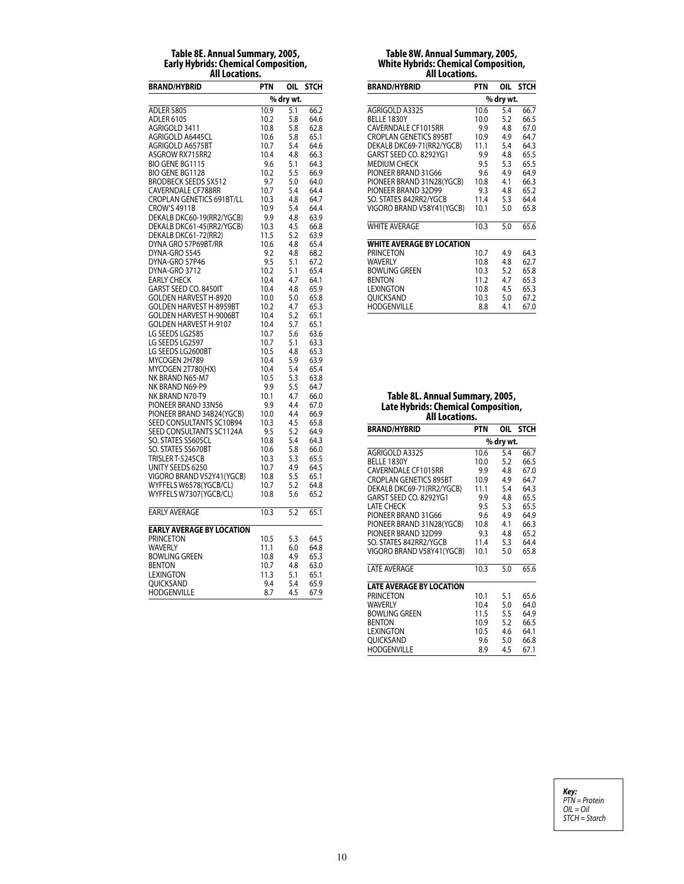### **Table 8E. Annual Summary, 2005, Early Hybrids: Chemical Composition, All Locations.**

| <b>BRAND/HYBRID</b>                                | PTN<br>OIL<br><b>STCH</b> |            |              |
|----------------------------------------------------|---------------------------|------------|--------------|
|                                                    |                           | % dry wt.  |              |
| <b>ADLER 5805</b>                                  | 10.9                      | 5.1        | 66.2         |
| <b>ADLER 6105</b>                                  | 10.2                      | 5.8        | 64.6         |
| AGRIGOLD 3411                                      | 10.8                      | 5.8        | 62.8         |
| AGRIGOLD A6445CL                                   | 10.6                      | 5.8        | 65.1         |
| AGRIGOLD A6575BT                                   | 10.7                      | 5.4        | 64.6         |
| ASGROW RX715RR2<br><b>BIO GENE BG1115</b>          | 10.4<br>9.6               | 4.8<br>5.1 | 66.3<br>64.3 |
| BIO GENE BG1128                                    | 10.2                      | 5.5        | 66.9         |
| <b>BRODBECK SEEDS SX512</b>                        | 9.7                       | 5.0        | 64.0         |
| CAVERNDALE CF788RR                                 | 10.7                      | 5.4        | 64.4         |
| <b>CROPLAN GENETICS 691BT/LL</b>                   | 10.3                      | 4.8        | 64.7         |
| <b>CROW'S 4911B</b>                                | 10.9                      | 5.4        | 64.4         |
| DEKALB DKC60-19(RR2/YGCB)                          | 9.9                       | 4.8        | 63.9         |
| DEKALB DKC61-45(RR2/YGCB)                          | 10.3                      | 4.5        | 66.8         |
| DEKALB DKC61-72(RR2)                               | 11.5                      | 5.2        | 63.9         |
| DYNA GRO 57P69BT/RR                                | 10.6                      | 4.8        | 65.4         |
| DYNA-GRO 5545                                      | 9.2                       | 4.8        | 68.2         |
| DYNA-GRO 57P46                                     | 9.5                       | 5.1        | 67.2         |
| DYNA-GRO 3712                                      | 10.2                      | 5.1        | 65.4         |
| <b>EARLY CHECK</b>                                 | 10.4                      | 4.7        | 64.1         |
| GARST SEED CO. 8450IT                              | 10.4                      | 4.8        | 65.9         |
| GOLDEN HARVEST H-8920                              | 10.0                      | 5.0        | 65.8         |
| GOLDEN HARVEST H-8959BT<br>GOLDEN HARVEST H-9006BT | 10.2                      | 4.7        | 65.3         |
| GOLDEN HARVEST H-9107                              | 10.4                      | 5.2<br>5.7 | 65.1<br>65.1 |
| LG SEEDS LG2585                                    | 10.4<br>10.7              | 5.6        | 63.6         |
| LG SEEDS LG2597                                    | 10.7                      | 5.1        | 63.3         |
| LG SEEDS LG2600BT                                  | 10.5                      | 4.8        | 65.3         |
| MYCOGEN 2H789                                      | 10.4                      | 5.9        | 63.9         |
| MYCOGEN 2T780(HX)                                  | 10.4                      | 5.4        | 65.4         |
| NK BRAND N65-M7                                    | 10.5                      | 5.3        | 63.8         |
| NK BRAND N69-P9                                    | 9.9                       | 5.5        | 64.7         |
| NK BRAND N70-T9                                    | 10.1                      | 4.7        | 66.0         |
| PIONEER BRAND 33N56                                | 9.9                       | 4.4        | 67.0         |
| PIONEER BRAND 34B24(YGCB)                          | 10.0                      | 4.4        | 66.9         |
| SEED CONSULTANTS SC10B94                           | 10.3                      | 4.5        | 65.8         |
| SEED CONSULTANTS SC1124A                           | 9.5                       | 5.2        | 64.9         |
| SO. STATES SS605CL                                 | 10.8                      | 5.4        | 64.3         |
| SO. STATES SS670BT                                 | 10.6                      | 5.8        | 66.0         |
| TRISLER T-5245CB                                   | 10.3                      | 5.3<br>4.9 | 65.5<br>64.5 |
| UNITY SEEDS 6250<br>VIGORO BRAND V52Y41 (YGCB)     | 10.7<br>10.8              | 5.5        | 65.1         |
| WYFFELS W6578(YGCB/CL)                             | 10.7                      | 5.2        | 64.8         |
| WYFFELS W7307(YGCB/CL)                             | 10.8                      | 5.6        | 65.2         |
|                                                    |                           |            |              |
| <b>EARLY AVERAGE</b>                               | 10.3                      | 5.2        | 65.1         |
| <b>EARLY AVERAGE BY LOCATION</b>                   |                           |            |              |
| PRINCETON                                          | 10.5                      | 5.3        | 64.5         |
| WAVERLY                                            | 11.1                      | 6.0        | 64.8         |
| BOWLING GREEN                                      | 10.8                      | 4.9        | 65.3         |
| <b>BENTON</b>                                      | 10.7                      | 4.8        | 63.0         |
| LEXINGTON                                          | 11.3                      | 5.1        | 65.1         |
| QUICKSAND                                          | 9.4                       | 5.4        | 65.9         |
| HODGENVILLE                                        | 8.7                       | 4.5        | 67.9         |

### **Table 8W. Annual Summary, 2005, White Hybrids: Chemical Composition, All Locations.**

| <b>BRAND/HYBRID</b>              | PTN       | OIL. | <b>STCH</b> |  |
|----------------------------------|-----------|------|-------------|--|
|                                  | % dry wt. |      |             |  |
| AGRIGOLD A3325                   | 10.6      | 5.4  | 66.7        |  |
| BELLE 1830Y                      | 10.0      | 5.2  | 66.5        |  |
| CAVERNDALE CF1015RR              | 9.9       | 4.8  | 67.0        |  |
| <b>CROPLAN GENETICS 895BT</b>    | 10.9      | 4.9  | 64.7        |  |
| DEKALB DKC69-71(RR2/YGCB)        | 11.1      | 5.4  | 64.3        |  |
| GARST SEED CO. 8292YG1           | 9.9       | 4.8  | 65.5        |  |
| MEDIUM CHECK                     | 9.5       | 5.3  | 65.5        |  |
| PIONEER BRAND 31G66              | 9.6       | 4.9  | 64.9        |  |
| PIONEER BRAND 31N28(YGCB)        | 10.8      | 4.1  | 66.3        |  |
| PIONEER BRAND 32D99              | 9.3       | 4.8  | 65.2        |  |
| SO. STATES 842RR2/YGCB           | 11.4      | 5.3  | 64.4        |  |
| VIGORO BRAND V58Y41(YGCB)        | 10.1      | 5.0  | 65.8        |  |
| <b>WHITE AVERAGE</b>             | 10.3      | 5.0  | 65.6        |  |
| <b>WHITE AVERAGE BY LOCATION</b> |           |      |             |  |
| PRINCETON                        | 10.7      | 4.9  | 64.3        |  |
| <b>WAVERLY</b>                   | 10.8      | 4.8  | 62.7        |  |
| BOWLING GREEN                    | 10.3      | 5.2  | 65.8        |  |
| <b>BENTON</b>                    | 11.2      | 4.7  | 65.3        |  |
| LEXINGTON                        | 10.8      | 4.5  | 65.3        |  |
| <b>OUICKSAND</b>                 | 10.3      | 5.0  | 67.2        |  |
| HODGENVILLE                      | 8.8       | 4.1  | 67.0        |  |

### **Table 8L. Annual Summary, 2005, Late Hybrids: Chemical Composition, All Locations.**

| <b>BRAND/HYBRID</b>             | PTN  | OIL       | STCH |
|---------------------------------|------|-----------|------|
|                                 |      | % dry wt. |      |
| AGRIGOLD A3325                  | 10.6 | 5.4       | 66.7 |
| BELLE 1830Y                     | 10.0 | 5.2       | 66.5 |
| CAVERNDALE CF1015RR             | 9.9  | 4.8       | 67.0 |
| <b>CROPLAN GENETICS 895BT</b>   | 10.9 | 4.9       | 64.7 |
| DEKALB DKC69-71(RR2/YGCB)       | 11.1 | 5.4       | 64.3 |
| GARST SEED CO. 8292YG1          | 9.9  | 4.8       | 65.5 |
| <b>LATE CHECK</b>               | 9.5  | 5.3       | 65.5 |
| PIONEER BRAND 31G66             | 9.6  | 4.9       | 64.9 |
| PIONEER BRAND 31N28(YGCB)       | 10.8 | 4.1       | 66.3 |
| PIONEER BRAND 32D99             | 9.3  | 4.8       | 65.2 |
| SO. STATES 842RR2/YGCB          | 11.4 | 5.3       | 64.4 |
| VIGORO BRAND V58Y41 (YGCB)      | 10.1 | 5.0       | 65.8 |
| <b>LATE AVERAGE</b>             | 10.3 | 5.0       | 65.6 |
| <b>LATE AVERAGE BY LOCATION</b> |      |           |      |
| PRINCETON                       | 10.1 | 5.1       | 65.6 |
| <b>WAVERLY</b>                  | 10.4 | 5.0       | 64.0 |
| BOWLING GREEN                   | 11.5 | 5.5       | 64.9 |
| <b>BENTON</b>                   | 10.9 | 5.2       | 66.5 |
| <b>LEXINGTON</b>                | 10.5 | 4.6       | 64.1 |
| <b>OUICKSAND</b>                | 9.6  | 5.0       | 66.8 |
| <b>HODGENVILLE</b>              | 8.9  | 4.5       | 67.1 |
|                                 |      |           |      |

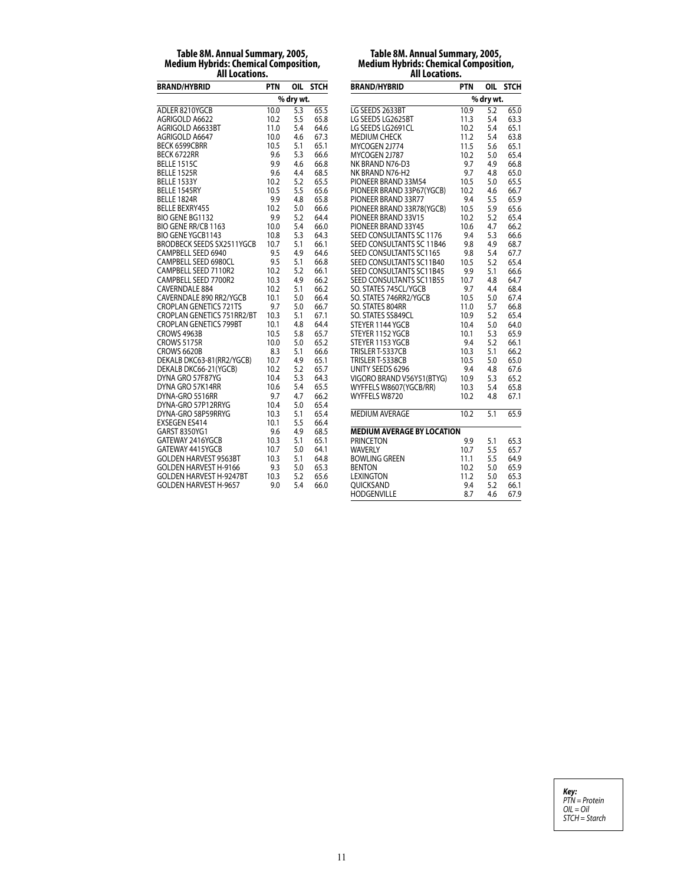# **Table 8M. Annual Summary, 2005, Medium Hybrids: Chemical Composition, All Locations.**

| <b>BRAND/HYBRID</b>              | <b>PTN</b> | OIL       | <b>STCH</b> |
|----------------------------------|------------|-----------|-------------|
|                                  |            | % dry wt. |             |
| ADLER 8210YGCB                   | 10.0       | 5.3       | 65.5        |
| AGRIGOLD A6622                   | 10.2       | 5.5       | 65.8        |
| AGRIGOLD A6633BT                 | 11.0       | 5.4       | 64.6        |
| AGRIGOLD A6647                   | 10.0       | 4.6       | 67.3        |
| <b>BECK 6599CBRR</b>             | 10.5       | 5.1       | 65.1        |
| BECK 6722RR                      | 9.6        | 5.3       | 66.6        |
| <b>BELLE 1515C</b>               | 9.9        | 4.6       | 66.8        |
| <b>BELLE 1525R</b>               | 9.6        | 4.4       | 68.5        |
| <b>BELLE 1533Y</b>               | 10.2       | 5.2       | 65.5        |
| BELLE 1545RY                     | 10.5       | 5.5       | 65.6        |
| BELLE 1824R                      | 9.9        | 4.8       | 65.8        |
| <b>BELLE BEXRY455</b>            | 10.2       | 5.0       | 66.6        |
| BIO GENE BG1132                  | 9.9        | 5.2       | 64.4        |
| BIO GENE RR/CB 1163              | 10.0       | 5.4       | 66.0        |
| <b>BIO GENE YGCB1143</b>         | 10.8       | 5.3       | 64.3        |
| <b>BRODBECK SEEDS SX2511YGCB</b> | 10.7       | 5.1       | 66.1        |
| CAMPBELL SEED 6940               | 9.5        | 4.9       | 64.6        |
| CAMPBELL SEED 6980CL             | 9.5        | 5.1       | 66.8        |
| CAMPBELL SEED 7110R2             | 10.2       | 5.2       | 66.1        |
| CAMPBELL SEED 7700R2             | 10.3       | 4.9       | 66.2        |
| CAVERNDALE 884                   | 10.2       | 5.1       | 66.2        |
| CAVERNDALE 890 RR2/YGCB          | 10.1       | 5.0       | 66.4        |
| <b>CROPLAN GENETICS 721TS</b>    | 9.7        | 5.0       | 66.7        |
| CROPLAN GENETICS 751RR2/BT       | 10.3       | 5.1       | 67.1        |
| <b>CROPLAN GENETICS 799BT</b>    | 10.1       | 4.8       | 64.4        |
| CROWS 4963B                      | 10.5       | 5.8       | 65.7        |
| <b>CROWS 5175R</b>               | 10.0       | 5.0       | 65.2        |
| <b>CROWS 6620B</b>               | 8.3        | 5.1       | 66.6        |
| DEKALB DKC63-81(RR2/YGCB)        | 10.7       | 4.9       | 65.1        |
| DEKALB DKC66-21(YGCB)            | 10.2       | 5.2       | 65.7        |
| DYNA GRO 57F87YG                 | 10.4       | 5.3       | 64.3        |
| DYNA GRO 57K14RR                 | 10.6       | 5.4       | 65.5        |
| DYNA-GRO 5516RR                  | 9.7        | 4.7       | 66.2        |
| DYNA-GRO 57P12RRYG               | 10.4       | 5.0       | 65.4        |
| DYNA-GRO 58P59RRYG               | 10.3       | 5.1       | 65.4        |
| <b>EXSEGEN ES414</b>             | 10.1       | 5.5       | 66.4        |
| GARST 8350YG1                    | 9.6        | 4.9       | 68.5        |
| GATEWAY 2416YGCB                 | 10.3       | 5.1       | 65.1        |
| GATEWAY 4415YGCB                 | 10.7       | 5.0       | 64.1        |
| <b>GOLDEN HARVEST 9563BT</b>     | 10.3       | 5.1       | 64.8        |
| <b>GOLDEN HARVEST H-9166</b>     | 9.3        | 5.0       | 65.3        |
| <b>GOLDEN HARVEST H-9247BT</b>   | 10.3       | 5.2       | 65.6        |
| <b>GOLDEN HARVEST H-9657</b>     | 9.0        | 5.4       | 66.0        |

# **Table 8M. Annual Summary, 2005, Medium Hybrids: Chemical Composition, All Locations.**

| <b>BRAND/HYBRID</b>               | PTN  | OIL       | <b>STCH</b> |  |  |  |
|-----------------------------------|------|-----------|-------------|--|--|--|
|                                   |      | % dry wt. |             |  |  |  |
| LG SEEDS 2633BT                   | 10.9 | 5.2       | 65.0        |  |  |  |
| LG SEEDS LG2625BT                 | 11.3 | 5.4       | 63.3        |  |  |  |
| LG SEEDS LG2691CL                 | 10.2 | 5.4       | 65.1        |  |  |  |
| MEDIUM CHECK                      | 11.2 | 5.4       | 63.8        |  |  |  |
| MYCOGEN 2J774                     | 11.5 | 5.6       | 65.1        |  |  |  |
| MYCOGEN 2J787                     | 10.2 | 5.0       | 65.4        |  |  |  |
| NK BRAND N76-D3                   | 9.7  | 4.9       | 66.8        |  |  |  |
| NK BRAND N76-H2                   | 9.7  | 4.8       | 65.0        |  |  |  |
| PIONEER BRAND 33M54               | 10.5 | 5.0       | 65.5        |  |  |  |
| PIONEER BRAND 33P67(YGCB)         | 10.2 | 4.6       | 66.7        |  |  |  |
| PIONEER BRAND 33R77               | 9.4  | 5.5       | 65.9        |  |  |  |
| PIONEER BRAND 33R78(YGCB)         | 10.5 | 5.9       | 65.6        |  |  |  |
| PIONEER BRAND 33V15               | 10.2 | 5.2       | 65.4        |  |  |  |
| PIONEER BRAND 33Y45               | 10.6 | 4.7       | 66.2        |  |  |  |
| SEED CONSULTANTS SC 1176          | 9.4  | 5.3       | 66.6        |  |  |  |
| SEED CONSULTANTS SC 11B46         | 9.8  | 4.9       | 68.7        |  |  |  |
| SEED CONSULTANTS SC1165           | 9.8  | 5.4       | 67.7        |  |  |  |
| SEED CONSULTANTS SC11B40          | 10.5 | 5.2       | 65.4        |  |  |  |
| SEED CONSULTANTS SC11B45          | 9.9  | 5.1       | 66.6        |  |  |  |
| SEED CONSULTANTS SC11B55          | 10.7 | 4.8       | 64.7        |  |  |  |
| SO. STATES 745CL/YGCB             | 9.7  | 4.4       | 68.4        |  |  |  |
| SO. STATES 746RR2/YGCB            | 10.5 | 5.0       | 67.4        |  |  |  |
| SO. STATES 804RR                  | 11.0 | 5.7       | 66.8        |  |  |  |
| SO. STATES SS849CL                | 10.9 | 5.2       | 65.4        |  |  |  |
| STEYER 1144 YGCB                  | 10.4 | 5.0       | 64.0        |  |  |  |
| STEYER 1152 YGCB                  | 10.1 | 5.3       | 65.9        |  |  |  |
| STEYER 1153 YGCB                  | 9.4  | 5.2       | 66.1        |  |  |  |
| TRISLER T-5337CB                  | 10.3 | 5.1       | 66.2        |  |  |  |
| TRISLER T-5338CB                  | 10.5 | 5.0       | 65.0        |  |  |  |
| UNITY SEEDS 6296                  | 9.4  | 4.8       | 67.6        |  |  |  |
| VIGORO BRAND V56Y51(BTYG)         | 10.9 | 5.3       | 65.2        |  |  |  |
| WYFFELS W8607(YGCB/RR)            | 10.3 | 5.4       | 65.8        |  |  |  |
| WYFFELS W8720                     | 10.2 | 4.8       | 67.1        |  |  |  |
| <b>MEDIUM AVERAGE</b>             | 10.2 | 5.1       | 65.9        |  |  |  |
| <b>MEDIUM AVERAGE BY LOCATION</b> |      |           |             |  |  |  |
| <b>PRINCETON</b>                  | 9.9  | 5.1       | 65.3        |  |  |  |
| <b>WAVERLY</b>                    | 10.7 | 5.5       | 65.7        |  |  |  |
| <b>BOWLING GREEN</b>              | 11.1 | 5.5       | 64.9        |  |  |  |
| <b>BENTON</b>                     | 10.2 | 5.0       | 65.9        |  |  |  |
| <b>LEXINGTON</b>                  | 11.2 | 5.0       | 65.3        |  |  |  |
| <b>OUICKSAND</b>                  | 9.4  | 5.2       | 66.1        |  |  |  |
| HODGENVILLE                       | 8.7  | 4.6       | 67.9        |  |  |  |

*Key: PTN = Protein OIL = Oil STCH = Starch*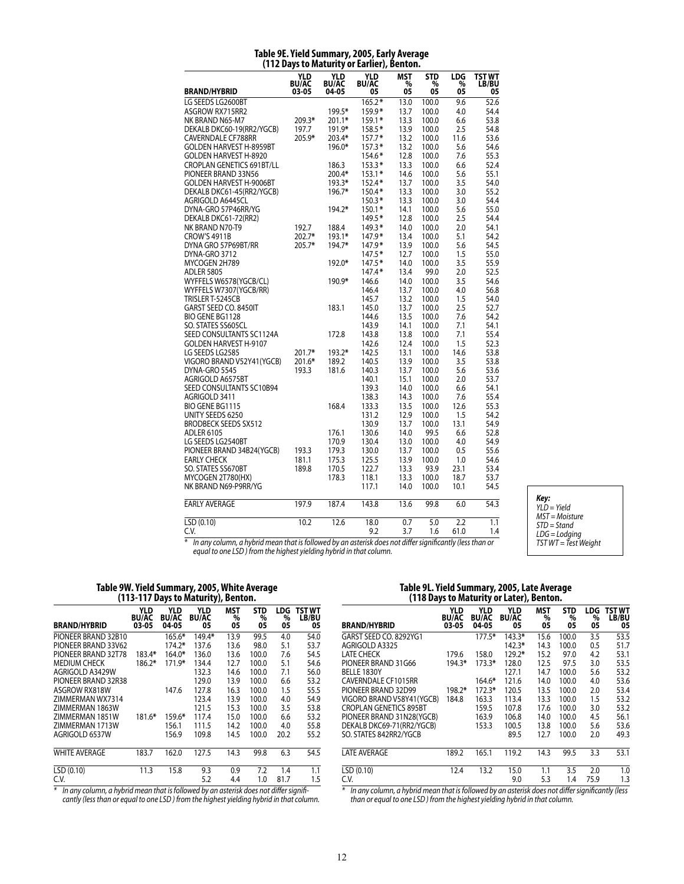#### **Table 9E. Yield Summary, 2005, Early Average (112 Days to Maturity or Earlier), Benton.**

| BRAND/HYBRID                     | <b>YLD</b><br><b>BU/AC</b><br>03-05 | <b>YLD</b><br><b>BU/AC</b><br>04-05 | YLD<br><b>BU/AC</b><br>05 | <b>MST</b><br>%<br>05 | <b>STD</b><br>%<br>05 | LDG<br>%<br>05 | <b>TST WT</b><br>LB/BU<br>05 |
|----------------------------------|-------------------------------------|-------------------------------------|---------------------------|-----------------------|-----------------------|----------------|------------------------------|
|                                  |                                     |                                     |                           |                       |                       |                |                              |
| LG SEEDS LG2600BT                |                                     |                                     | $165.2*$                  | 13.0                  | 100.0                 | 9.6            | $\overline{52.6}$            |
| ASGROW RX715RR2                  |                                     | 199.5*                              | 159.9*                    | 13.7                  | 100.0                 | 4.0            | 54.4                         |
| NK BRAND N65-M7                  | 209.3*                              | $201.1*$                            | $159.1*$                  | 13.3                  | 100.0                 | 6.6            | 53.8                         |
| DEKALB DKC60-19(RR2/YGCB)        | 197.7                               | 191.9*                              | $158.5*$                  | 13.9                  | 100.0                 | 2.5            | 54.8                         |
| CAVERNDALE CF788RR               | 205.9*                              | 203.4*                              | $157.7*$                  | 13.2                  | 100.0                 | 11.6           | 53.6                         |
| <b>GOLDEN HARVEST H-8959BT</b>   |                                     | 196.0*                              | $157.3*$                  | 13.2                  | 100.0                 | 5.6            | 54.6                         |
| GOLDEN HARVEST H-8920            |                                     |                                     | 154.6*                    | 12.8                  | 100.0                 | 7.6            | 55.3                         |
| <b>CROPLAN GENETICS 691BT/LL</b> |                                     | 186.3                               | $153.3*$                  | 13.3                  | 100.0                 | 6.6            | 52.4                         |
| PIONEER BRAND 33N56              |                                     | 200.4*                              | $153.1*$                  | 14.6                  | 100.0                 | 5.6            | 55.1                         |
| GOLDEN HARVEST H-9006BT          |                                     | 193.3*                              | $152.4*$                  | 13.7                  | 100.0                 | 3.5            | 54.0                         |
| DEKALB DKC61-45(RR2/YGCB)        |                                     | 196.7*                              | $150.4*$                  | 13.3                  | 100.0                 | 3.0            | 55.2                         |
| Agrigold A6445CL                 |                                     |                                     | $150.3*$                  | 13.3                  | 100.0                 | 3.0            | 54.4                         |
| DYNA-GRO 57P46RR/YG              |                                     | 194.2*                              | $150.1*$                  | 14.1                  | 100.0                 | 5.6            | 55.0                         |
| DEKALB DKC61-72(RR2)             |                                     |                                     | 149.5*                    | 12.8                  | 100.0                 | 2.5            | 54.4                         |
| NK BRAND N70-T9                  | 192.7                               | 188.4                               | $149.3*$                  | 14.0                  | 100.0                 | 2.0            | 54.1                         |
| CROW'S 4911B                     | 202.7*                              | 193.1*                              | $147.9*$                  | 13.4                  | 100.0                 | 5.1            | 54.2                         |
| DYNA GRO 57P69BT/RR              | 205.7*                              | 194.7*                              | 147.9*                    | 13.9                  | 100.0                 | 5.6            | 54.5                         |
| DYNA-GRO 3712                    |                                     |                                     | $147.5*$                  | 12.7                  | 100.0                 | 1.5            | 55.0                         |
| MYCOGEN 2H789                    |                                     | 192.0*                              | $147.5*$                  | 14.0                  | 100.0                 | 3.5            | 55.9                         |
| <b>ADLER 5805</b>                |                                     |                                     | $147.4*$                  | 13.4                  | 99.0                  | 2.0            | 52.5                         |
| WYFFELS W6578(YGCB/CL)           |                                     | 190.9*                              | 146.6                     | 14.0                  | 100.0                 | 3.5            | 54.6                         |
| WYFFELS W7307(YGCB/RR)           |                                     |                                     | 146.4                     | 13.7                  | 100.0                 | 4.0            | 56.8                         |
| TRISLER T-5245CB                 |                                     |                                     | 145.7                     | 13.2                  | 100.0                 | 1.5            | 54.0                         |
| GARST SEED CO. 8450IT            |                                     | 183.1                               | 145.0                     | 13.7                  | 100.0                 | 2.5            | 52.7                         |
| <b>BIO GENE BG1128</b>           |                                     |                                     | 144.6                     | 13.5                  | 100.0                 | 7.6            | 54.2                         |
| SO. STATES SS605CL               |                                     |                                     | 143.9                     | 14.1                  | 100.0                 | 7.1            | 54.1                         |
| SEED CONSULTANTS SC1124A         |                                     | 172.8                               | 143.8                     | 13.8                  | 100.0                 | 7.1            | 55.4                         |
| GOLDEN HARVEST H-9107            |                                     |                                     | 142.6                     | 12.4                  | 100.0                 | 1.5            | 52.3                         |
| LG SEEDS LG2585                  | 201.7*                              | 193.2*                              | 142.5                     | 13.1                  | 100.0                 | 14.6           | 53.8                         |
| VIGORO BRAND V52Y41(YGCB)        | 201.6*                              | 189.2                               | 140.5                     | 13.9                  | 100.0                 | 3.5            | 53.8                         |
| DYNA-GRO 5545                    | 193.3                               | 181.6                               | 140.3                     | 13.7                  | 100.0                 | 5.6            | 53.6                         |
| Agrigold A6575BT                 |                                     |                                     | 140.1                     | 15.1                  | 100.0                 | 2.0            | 53.7                         |
| SEED CONSULTANTS SC10B94         |                                     |                                     | 139.3                     | 14.0                  | 100.0                 | 6.6            | 54.1                         |
| AGRIGOLD 3411                    |                                     |                                     | 138.3                     | 14.3                  | 100.0                 | 7.6            | 55.4                         |
| BIO GENE BG1115                  |                                     | 168.4                               | 133.3                     | 13.5                  | 100.0                 | 12.6           | 55.3                         |
| UNITY SEEDS 6250                 |                                     |                                     | 131.2                     | 12.9                  | 100.0                 | 1.5            | 54.2                         |
| <b>BRODBECK SEEDS SX512</b>      |                                     |                                     | 130.9                     | 13.7                  | 100.0                 | 13.1           | 54.9                         |
| ADLER 6105                       |                                     | 176.1                               | 130.6                     | 14.0                  | 99.5                  | 6.6            | 52.8                         |
| LG SEEDS LG2540BT                |                                     | 170.9                               | 130.4                     | 13.0                  | 100.0                 | 4.0            | 54.9                         |
| PIONEER BRAND 34B24(YGCB)        | 193.3                               | 179.3                               | 130.0                     | 13.7                  | 100.0                 | 0.5            | 55.6                         |
| EARLY CHECK                      | 181.1                               | 175.3                               | 125.5                     | 13.9                  | 100.0                 | 1.0            | 54.6                         |
| SO. STATES SS670BT               | 189.8                               | 170.5                               | 122.7                     | 13.3                  | 93.9                  | 23.1           | 53.4                         |
| MYCOGEN 2T780(HX)                |                                     | 178.3                               | 118.1                     | 13.3                  | 100.0                 | 18.7           | 53.7                         |
| NK BRAND N69-P9RR/YG             |                                     |                                     | 117.1                     | 14.0                  | 100.0                 | 10.1           | 54.5                         |
| <b>EARLY AVERAGE</b>             | 197.9                               | 187.4                               | 143.8                     | 13.6                  | 99.8                  | 6.0            | 54.3                         |
|                                  |                                     |                                     |                           |                       |                       |                |                              |
| $\overline{\text{LSD}}$ (0.10)   | 10.2                                | 12.6                                | 18.0                      | 0.7                   | 5.0                   | 2.2            | 1.1                          |
| C.V.                             |                                     |                                     | 9.2                       | 3.7                   | 1.6                   | 61.0           | 1.4                          |

#### *Key: YLD = Yield MST = Moisture STD = Stand LDG = Lodging TST WT = Test Weight*

*\* In any column, a hybrid mean that is followed by an asterisk does not differ significantly (less than or equal to one LSD ) from the highest yielding hybrid in that column.*

### **Table 9W. Yield Summary, 2005, White Average (113-117 Days to Maturity), Benton.**

| <b>BRAND/HYBRID</b>  | <b>YLD</b><br><b>BU/AC</b><br>03-05 | <b>YLD</b><br><b>BU/AC</b><br>04-05 | <b>YLD</b><br><b>BU/AC</b><br>05 | <b>MST</b><br>%<br>05 | <b>STD</b><br>%<br>05 | LDG<br>%<br>05 | TST WT<br>LB/BU<br>05 |
|----------------------|-------------------------------------|-------------------------------------|----------------------------------|-----------------------|-----------------------|----------------|-----------------------|
| PIONEER BRAND 32B10  |                                     | $165.6*$                            | 149.4*                           | 13.9                  | 99.5                  | 4.0            | 54.0                  |
| PIONEER BRAND 33V62  |                                     | 174.2*                              | 137.6                            | 13.6                  | 98.0                  | 5.1            | 53.7                  |
| PIONEER BRAND 32T78  | 183.4*                              | 164.0*                              | 136.0                            | 13.6                  | 100.0                 | 7.6            | 54.5                  |
| <b>MEDIUM CHECK</b>  | $186.2*$                            | 171.9*                              | 134.4                            | 12.7                  | 100.0                 | 5.1            | 54.6                  |
| AGRIGOLD A3429W      |                                     |                                     | 132.3                            | 14.6                  | 100.0                 | 7.1            | 56.0                  |
| PIONEER BRAND 32R38  |                                     |                                     | 129.0                            | 13.9                  | 100.0                 | 6.6            | 53.2                  |
| ASGROW RX818W        |                                     | 147.6                               | 127.8                            | 16.3                  | 100.0                 | $1.5\,$        | 55.5                  |
| ZIMMERMAN WX7314     |                                     |                                     | 123.4                            | 13.9                  | 100.0                 | 4.0            | 54.9                  |
| ZIMMERMAN 1863W      |                                     |                                     | 121.5                            | 15.3                  | 100.0                 | 3.5            | 53.8                  |
| ZIMMERMAN 1851W      | 181.6*                              | 159.6*                              | 117.4                            | 15.0                  | 100.0                 | 6.6            | 53.2                  |
| ZIMMERMAN 1713W      |                                     | 156.1                               | 111.5                            | 14.2                  | 100.0                 | 4.0            | 55.8                  |
| AGRIGOLD 6537W       |                                     | 156.9                               | 109.8                            | 14.5                  | 100.0                 | 20.2           | 55.2                  |
| <b>WHITE AVERAGE</b> | 183.7                               | 162.0                               | 127.5                            | 14.3                  | 99.8                  | 6.3            | 54.5                  |
| LSD(0.10)            | 11.3                                | 15.8                                | 9.3                              | 0.9                   | 7.2                   | 1.4            | 1.1                   |
| C.V.                 |                                     |                                     | 5.2                              | 4.4                   | 1.0                   | 81.7           | 1.5                   |

*\* In any column, a hybrid mean that is followed by an asterisk does not differ signifi cantly (less than or equal to one LSD ) from the highest yielding hybrid in that column.*

#### **Table 9L. Yield Summary, 2005, Late Average (118 Days to Maturity or Later), Benton.**

| BRAND/HYBRID                  | <b>YLD</b><br><b>BU/AC</b><br>03-05 | <b>YLD</b><br><b>BU/AC</b><br>04-05 | YLD<br><b>BU/AC</b><br>05 | <b>MST</b><br>%<br>05 | <b>STD</b><br>%<br>05 | LDG<br>%<br>05 | <b>TST WT</b><br>LB/BU<br>05 |
|-------------------------------|-------------------------------------|-------------------------------------|---------------------------|-----------------------|-----------------------|----------------|------------------------------|
| GARST SEED CO. 8292YG1        |                                     | $177.5*$                            | $143.3*$                  | 15.6                  | 100.0                 | 3.5            | 53.5                         |
| AGRIGOLD A3325                |                                     |                                     | 142.3*                    | 14.3                  | 100.0                 | 0.5            | 51.7                         |
| LATE CHECK                    | 179.6                               | 158.0                               | 129.2*                    | 15.2                  | 97.0                  | 4.2            | 53.1                         |
| PIONEER BRAND 31G66           | 194.3*                              | $173.3*$                            | 128.0                     | 12.5                  | 97.5                  | 3.0            | 53.5                         |
| BELLE 1830Y                   |                                     |                                     | 127.1                     | 14.7                  | 100.0                 | 5.6            | 53.2                         |
| CAVERNDALE CF1015RR           |                                     | 164.6*                              | 121.6                     | 14.0                  | 100.0                 | 4.0            | 53.6                         |
| PIONEER BRAND 32D99           | 198.2*                              | $172.3*$                            | 120.5                     | 13.5                  | 100.0                 | 2.0            | 53.4                         |
| VIGORO BRAND V58Y41(YGCB)     | 184.8                               | 163.3                               | 113.4                     | 13.3                  | 100.0                 | 1.5            | 53.2                         |
| <b>CROPLAN GENETICS 895BT</b> |                                     | 159.5                               | 107.8                     | 17.6                  | 100.0                 | 3.0            | 53.2                         |
| PIONEER BRAND 31N28(YGCB)     |                                     | 163.9                               | 106.8                     | 14.0                  | 100.0                 | 4.5            | 56.1                         |
| DEKALB DKC69-71(RR2/YGCB)     |                                     | 153.3                               | 100.5                     | 13.8                  | 100.0                 | 5.6            | 53.6                         |
| SO. STATES 842RR2/YGCB        |                                     |                                     | 89.5                      | 12.7                  | 100.0                 | 2.0            | 49.3                         |
| <b>LATE AVERAGE</b>           | 189.2                               | 165.1                               | 119.2                     | 14.3                  | 99.5                  | 3.3            | 53.1                         |
| LSD (0.10)                    | 12.4                                | 13.2                                | 15.0                      | 1.1                   | 3.5                   | 2.0            | 1.0                          |
| C.V.                          |                                     |                                     | 9.0                       | 5.3                   | 1.4                   | 75.9           | 1.3                          |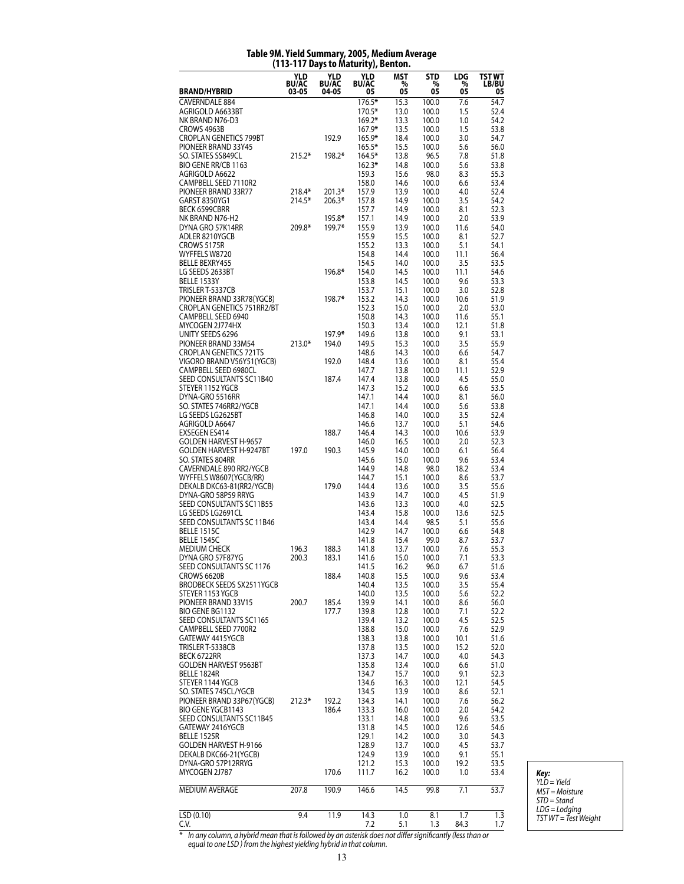# **Table 9M. Yield Summary, 2005, Medium Average (113-117 Days to Maturity), Benton.**

| <b>BRAND/HYBRID</b>                                        | YLD<br><b>BU/AC</b><br>$03 - 05$ | YLD<br><b>BU/AC</b><br>04-05 | YLD<br><b>BU/AC</b> | MST<br>$\%$  | STD<br>%<br>05 | LDG<br>%<br>05 | TST WT<br><b>LB/BU</b> |
|------------------------------------------------------------|----------------------------------|------------------------------|---------------------|--------------|----------------|----------------|------------------------|
|                                                            |                                  |                              | 05<br>176.5*        | 05           |                |                | 05                     |
| <b>CAVERNDALE 884</b><br>AGRIGOLD A6633BT                  |                                  |                              | 170.5*              | 15.3<br>13.0 | 100.0<br>100.0 | 7.6<br>1.5     | 54.7<br>52.4           |
| NK BRAND N76-D3                                            |                                  |                              | $169.2*$            | 13.3         | 100.0          | 1.0            | 54.2                   |
| CROWS 4963B                                                |                                  |                              | 167.9*              | 13.5         | 100.0          | 1.5            | 53.8                   |
| <b>CROPLAN GENETICS 799BT</b>                              |                                  | 192.9                        | 165.9*              | 18.4         | 100.0          | 3.0            | 54.7                   |
| PIONEER BRAND 33Y45<br>SO. STATES SS849CL                  | $215.2*$                         | 198.2*                       | 165.5*<br>164.5*    | 15.5<br>13.8 | 100.0<br>96.5  | 5.6<br>7.8     | 56.0<br>51.8           |
| BIO GENE RR/CB 1163                                        |                                  |                              | $162.3*$            | 14.8         | 100.0          | 5.6            | 53.8                   |
| AGRIGOLD A6622                                             |                                  |                              | 159.3               | 15.6         | 98.0           | 8.3            | 55.3                   |
| CAMPBELL SEED 7110R2                                       |                                  |                              | 158.0               | 14.6         | 100.0          | 6.6            | 53.4                   |
| PIONEER BRAND 33R77                                        | 218.4*                           | $201.3*$                     | 157.9               | 13.9         | 100.0          | 4.0            | 52.4                   |
| GARST 8350YG1<br>BECK 6599CBRR                             | 214.5*                           | 206.3*                       | 157.8<br>157.7      | 14.9<br>14.9 | 100.0<br>100.0 | 3.5<br>8.1     | 54.2<br>52.3           |
| NK BRAND N76-H2                                            |                                  | 195.8*                       | 157.1               | 14.9         | 100.0          | 2.0            | 53.9                   |
| DYNA GRO 57K14RR                                           | 209.8*                           | 199.7*                       | 155.9               | 13.9         | 100.0          | 11.6           | 54.0                   |
| ADLER 8210YGCB                                             |                                  |                              | 155.9               | 15.5         | 100.0          | 8.1            | 52.7                   |
| CROWS 5175R<br>WYFFELS W8720                               |                                  |                              | 155.2<br>154.8      | 13.3<br>14.4 | 100.0<br>100.0 | 5.1<br>11.1    | 54.1<br>56.4           |
| <b>BELLE BEXRY455</b>                                      |                                  |                              | 154.5               | 14.0         | 100.0          | 3.5            | 53.5                   |
| LG SEEDS 2633BT                                            |                                  | 196.8*                       | 154.0               | 14.5         | 100.0          | 11.1           | 54.6                   |
| BELLE 1533Y                                                |                                  |                              | 153.8               | 14.5         | 100.0          | 9.6            | 53.3                   |
| TRISLER T-5337CB                                           |                                  |                              | 153.7               | 15.1         | 100.0          | 3.0            | 52.8                   |
| PIONEER BRAND 33R78(YGCB)<br>CROPLAN GENETICS 751RR2/BT    |                                  | 198.7*                       | 153.2<br>152.3      | 14.3<br>15.0 | 100.0<br>100.0 | 10.6<br>2.0    | 51.9<br>53.0           |
| CAMPBELL SEED 6940                                         |                                  |                              | 150.8               | 14.3         | 100.0          | 11.6           | 55.1                   |
| MYCOGEN 2J774HX                                            |                                  |                              | 150.3               | 13.4         | 100.0          | 12.1           | 51.8                   |
| UNITY SEEDS 6296                                           |                                  | 197.9*                       | 149.6               | 13.8         | 100.0          | 9.1            | 53.1                   |
| PIONEER BRAND 33M54                                        | 213.0*                           | 194.0                        | 149.5               | 15.3         | 100.0          | 3.5            | 55.9                   |
| <b>CROPLAN GENETICS 721TS</b><br>VIGORO BRAND V56Y51(YGCB) |                                  | 192.0                        | 148.6<br>148.4      | 14.3<br>13.6 | 100.0<br>100.0 | 6.6<br>8.1     | 54.7<br>55.4           |
| CAMPBELL SEED 6980CL                                       |                                  |                              | 147.7               | 13.8         | 100.0          | 11.1           | 52.9                   |
| SEED CONSULTANTS SC11B40                                   |                                  | 187.4                        | 147.4               | 13.8         | 100.0          | 4.5            | 55.0                   |
| STEYER 1152 YGCB                                           |                                  |                              | 147.3               | 15.2         | 100.0          | 6.6            | 53.5                   |
| DYNA-GRO 5516RR                                            |                                  |                              | 147.1               | 14.4         | 100.0          | 8.1            | 56.0                   |
| SO. STATES 746RR2/YGCB<br>LG SEEDS LG2625BT                |                                  |                              | 147.1<br>146.8      | 14.4<br>14.0 | 100.0<br>100.0 | 5.6<br>3.5     | 53.8<br>52.4           |
| AGRIGOLD A6647                                             |                                  |                              | 146.6               | 13.7         | 100.0          | 5.1            | 54.6                   |
| <b>EXSEGEN ES414</b>                                       |                                  | 188.7                        | 146.4               | 14.3         | 100.0          | 10.6           | 53.9                   |
| <b>GOLDEN HARVEST H-9657</b>                               |                                  |                              | 146.0               | 16.5         | 100.0          | 2.0            | 52.3                   |
| <b>GOLDEN HARVEST H-9247BT</b>                             | 197.0                            | 190.3                        | 145.9               | 14.0         | 100.0          | 6.1            | 56.4                   |
| SO. STATES 804RR<br>CAVERNDALE 890 RR2/YGCB                |                                  |                              | 145.6<br>144.9      | 15.0<br>14.8 | 100.0<br>98.0  | 9.6<br>18.2    | 53.4<br>53.4           |
| WYFFELS W8607(YGCB/RR)                                     |                                  |                              | 144.7               | 15.1         | 100.0          | 8.6            | 53.7                   |
| DEKALB DKC63-81(RR2/YGCB)                                  |                                  | 179.0                        | 144.4               | 13.6         | 100.0          | 3.5            | 55.6                   |
| DYNA-GRO 58P59 RRYG                                        |                                  |                              | 143.9               | 14.7         | 100.0          | 4.5            | 51.9                   |
| SEED CONSULTANTS SC11B55<br>LG SEEDS LG2691CL              |                                  |                              | 143.6               | 13.3<br>15.8 | 100.0          | 4.0            | 52.5                   |
| SEED CONSULTANTS SC 11B46                                  |                                  |                              | 143.4<br>143.4      | 14.4         | 100.0<br>98.5  | 13.6<br>5.1    | 52.5<br>55.6           |
| <b>BELLE 1515C</b>                                         |                                  |                              | 142.9               | 14.7         | 100.0          | 6.6            | 54.8                   |
| <b>BELLE 1545C</b>                                         |                                  |                              | 141.8               | 15.4         | 99.0           | 8.7            | 53.7                   |
| <b>MEDIUM CHECK</b>                                        | 196.3                            | 188.3                        | 141.8               | 13.7         | 100.0          | 7.6            | 55.3                   |
| DYNA GRO 57F87YG<br>SEED CONSULTANTS SC 1176               | 200.3                            | 183.1                        | 141.6               | 15.0         | 100.0          | 7.1            | 53.3<br>51.6           |
| CROWS 6620B                                                |                                  | 188.4                        | 141.5<br>140.8      | 16.2<br>15.5 | 96.0<br>100.0  | 6.7<br>9.6     | 53.4                   |
| BRODBECK SEEDS SX2511YGCB                                  |                                  |                              | 140.4               | 13.5         | 100.0          | 3.5            | 55.4                   |
| STEYER 1153 YGCB                                           |                                  |                              | 140.0               | 13.5         | 100.0          | 5.6            | 52.2                   |
| PIONEER BRAND 33V15                                        | 200.7                            | 185.4                        | 139.9               | 14.1         | 100.0          | 8.6            | 56.0                   |
| BIO GENE BG1132<br>SEED CONSULTANTS SC1165                 |                                  | 177.7                        | 139.8<br>139.4      | 12.8<br>13.2 | 100.0<br>100.0 | 7.1<br>4.5     | 52.2<br>52.5           |
| CAMPBELL SEED 7700R2                                       |                                  |                              | 138.8               | 15.0         | 100.0          | 7.6            | 52.9                   |
| GATEWAY 4415YGCB                                           |                                  |                              | 138.3               | 13.8         | 100.0          | 10.1           | 51.6                   |
| TRISLER T-5338CB                                           |                                  |                              | 137.8               | 13.5         | 100.0          | 15.2           | 52.0                   |
| BECK 6722RR                                                |                                  |                              | 137.3               | 14.7         | 100.0          | 4.0            | 54.3                   |
| <b>GOLDEN HARVEST 9563BT</b><br>BELLE 1824R                |                                  |                              | 135.8<br>134.7      | 13.4<br>15.7 | 100.0<br>100.0 | 6.6<br>9.1     | 51.0<br>52.3           |
| STEYER 1144 YGCB                                           |                                  |                              | 134.6               | 16.3         | 100.0          | 12.1           | 54.5                   |
| SO. STATES 745CL/YGCB                                      |                                  |                              | 134.5               | 13.9         | 100.0          | 8.6            | 52.1                   |
| PIONEER BRAND 33P67(YGCB)                                  | $212.3*$                         | 192.2                        | 134.3               | 14.1         | 100.0          | 7.6            | 56.2                   |
| BIO GENE YGCB1143                                          |                                  | 186.4                        | 133.3               | 16.0         | 100.0          | 2.0            | 54.2                   |
| SEED CONSULTANTS SC11B45<br>GATEWAY 2416YGCB               |                                  |                              | 133.1<br>131.8      | 14.8<br>14.5 | 100.0<br>100.0 | 9.6<br>12.6    | 53.5<br>54.6           |
| <b>BELLE 1525R</b>                                         |                                  |                              | 129.1               | 14.2         | 100.0          | 3.0            | 54.3                   |
| GOLDEN HARVEST H-9166                                      |                                  |                              | 128.9               | 13.7         | 100.0          | 4.5            | 53.7                   |
| DEKALB DKC66-21(YGCB)                                      |                                  |                              | 124.9               | 13.9         | 100.0          | 9.1            | 55.1                   |
| DYNA-GRO 57P12RRYG                                         |                                  |                              | 121.2               | 15.3         | 100.0          | 19.2           | 53.5                   |
| MYCOGEN 2J787                                              |                                  | 170.6                        | 111.7               | 16.2         | 100.0          | 1.0            | 53.4                   |
| MEDIUM AVERAGE                                             | 207.8                            | 190.9                        | 146.6               | 14.5         | 99.8           | 7.1            | 53.7                   |
| LSD(0.10)                                                  | 9.4                              | 11.9                         | 14.3                | 1.0          | 8.1            | 1.7            | 1.3                    |
| C.V.                                                       |                                  |                              | 7.2                 | 5.1          | 1.3            | 84.3           | 1.7                    |

*Key: YLD = Yield MST = Moisture STD = Stand LDG = Lodging TST WT = Test Weight*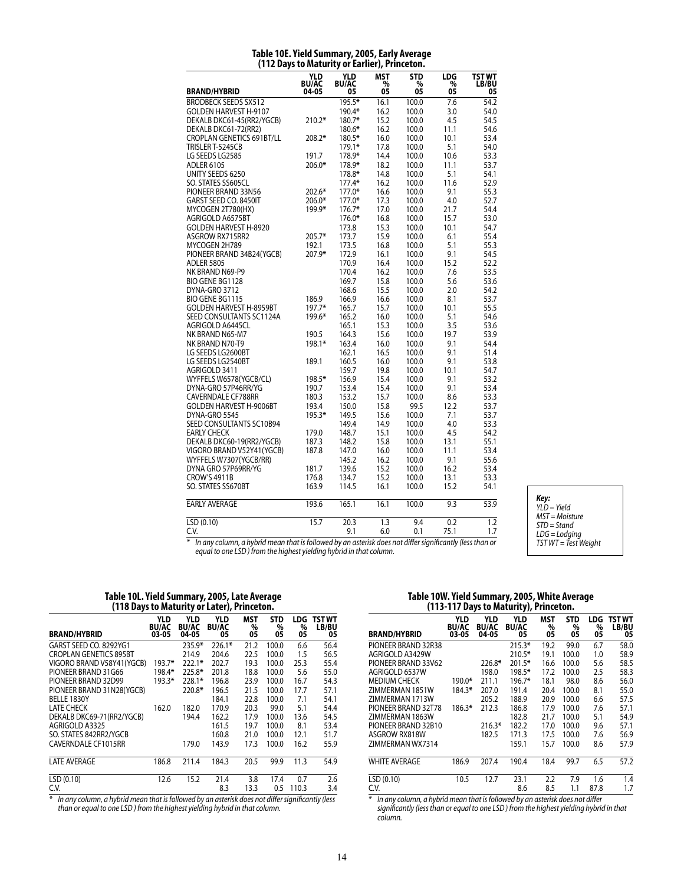|                                  | 1112 Days to Maturity or Larner <sub>//</sub> Finitet |                           |                       | vıı.                  |                |                              |
|----------------------------------|-------------------------------------------------------|---------------------------|-----------------------|-----------------------|----------------|------------------------------|
| <b>BRAND/HYBRID</b>              | <b>YLD</b><br><b>BU/AC</b><br>04-05                   | YLD<br><b>BU/AC</b><br>05 | <b>MST</b><br>%<br>05 | <b>STD</b><br>%<br>05 | LDG<br>%<br>ÓŠ | TST WT<br><b>LB/BU</b><br>05 |
| <b>BRODBECK SEEDS SX512</b>      |                                                       | 195.5*                    |                       |                       |                | $\overline{54.2}$            |
|                                  |                                                       | 190.4*                    | 16.1                  | 100.0                 | 7.6            |                              |
| GOLDEN HARVEST H-9107            |                                                       |                           | 16.2                  | 100.0                 | 3.0            | 54.0                         |
| DEKALB DKC61-45(RR2/YGCB)        | $210.2*$                                              | 180.7*                    | 15.2                  | 100.0                 | 4.5            | 54.5                         |
| DEKALB DKC61-72(RR2)             |                                                       | 180.6*                    | 16.2                  | 100.0                 | 11.1           | 54.6                         |
| <b>CROPLAN GENETICS 691BT/LL</b> | 208.2*                                                | 180.5*                    | 16.0                  | 100.0                 | 10.1           | 53.4                         |
| TRISLER T-5245CB                 |                                                       | 179.1*                    | 17.8                  | 100.0                 | 5.1            | 54.0                         |
| LG SEEDS LG2585                  | 191.7                                                 | 178.9*                    | 14.4                  | 100.0                 | 10.6           | 53.3                         |
| <b>ADLER 6105</b>                | 206.0*                                                | 178.9*                    | 18.2                  | 100.0                 | 11.1           | 53.7                         |
| UNITY SEEDS 6250                 |                                                       | 178.8*                    | 14.8                  | 100.0                 | 5.1            | 54.1                         |
| SO. STATES SS605CL               |                                                       | $177.4*$                  | 16.2                  | 100.0                 | 11.6           | 52.9                         |
| PIONEER BRAND 33N56              | 202.6*                                                | 177.0*                    | 16.6                  | 100.0                 | 9.1            | 55.3                         |
| GARST SEED CO. 8450IT            | 206.0*                                                | 177.0*                    | 17.3                  | 100.0                 | 4.0            | 52.7                         |
| MYCOGEN 2T780(HX)                | 199.9*                                                | $176.7*$                  | 17.0                  | 100.0                 | 21.7           | 54.4                         |
| AGRIGOLD A6575BT                 |                                                       | 176.0*                    | 16.8                  | 100.0                 | 15.7           | 53.0                         |
| <b>GOLDEN HARVEST H-8920</b>     |                                                       | 173.8                     | 15.3                  | 100.0                 | 10.1           | 54.7                         |
| ASGROW RX715RR2                  | 205.7*                                                | 173.7                     | 15.9                  | 100.0                 | 6.1            | 55.4                         |
| MYCOGEN 2H789                    | 192.1                                                 | 173.5                     | 16.8                  | 100.0                 | 5.1            | 55.3                         |
| PIONEER BRAND 34B24(YGCB)        | 207.9*                                                | 172.9                     | 16.1                  | 100.0                 | 9.1            | 54.5                         |
| <b>ADLER 5805</b>                |                                                       | 170.9                     | 16.4                  | 100.0                 | 15.2           | 52.2                         |
| NK BRAND N69-P9                  |                                                       | 170.4                     | 16.2                  | 100.0                 | 7.6            | 53.5                         |
| BIO GENE BG1128                  |                                                       | 169.7                     | 15.8                  | 100.0                 | 5.6            | 53.6                         |
| DYNA-GRO 3712                    |                                                       | 168.6                     | 15.5                  | 100.0                 | 2.0            | 54.2                         |
| <b>BIO GENE BG1115</b>           | 186.9                                                 | 166.9                     | 16.6                  | 100.0                 | 8.1            | 53.7                         |
| <b>GOLDEN HARVEST H-8959BT</b>   | 197.7*                                                | 165.7                     | 15.7                  | 100.0                 | 10.1           | 55.5                         |
| SEED CONSULTANTS SC1124A         | 199.6*                                                | 165.2                     | 16.0                  | 100.0                 | 5.1            | 54.6                         |
| AGRIGOLD A6445CL                 |                                                       | 165.1                     | 15.3                  | 100.0                 | 3.5            | 53.6                         |
| NK BRAND N65-M7                  | 190.5                                                 | 164.3                     | 15.6                  | 100.0                 | 19.7           | 53.9                         |
| NK BRAND N70-T9                  | 198.1*                                                | 163.4                     | 16.0                  | 100.0                 | 9.1            | 54.4                         |
| LG SEEDS LG2600BT                |                                                       | 162.1                     | 16.5                  | 100.0                 | 9.1            | 51.4                         |
| LG SEEDS LG2540BT                | 189.1                                                 | 160.5                     | 16.0                  | 100.0                 | 9.1            | 53.8                         |
| AGRIGOLD 3411                    |                                                       | 159.7                     | 19.8                  | 100.0                 | 10.1           | 54.7                         |
| WYFFELS W6578(YGCB/CL)           | 198.5*                                                | 156.9                     | 15.4                  | 100.0                 | 9.1            | 53.2                         |
| DYNA-GRO 57P46RR/YG              | 190.7                                                 | 153.4                     | 15.4                  | 100.0                 | 9.1            | 53.4                         |
| <b>CAVERNDALE CF788RR</b>        | 180.3                                                 | 153.2                     | 15.7                  | 100.0                 | 8.6            | 53.3                         |
| <b>GOLDEN HARVEST H-9006BT</b>   | 193.4                                                 | 150.0                     | 15.8                  | 99.5                  | 12.2           | 53.7                         |
| DYNA-GRO 5545                    | 195.3*                                                | 149.5                     | 15.6                  | 100.0                 | 7.1            | 53.7                         |
| SEED CONSULTANTS SC10B94         |                                                       | 149.4                     | 14.9                  | 100.0                 | 4.0            | 53.3                         |
| <b>EARLY CHECK</b>               | 179.0                                                 | 148.7                     | 15.1                  | 100.0                 | 4.5            | 54.2                         |
| DEKALB DKC60-19(RR2/YGCB)        | 187.3                                                 | 148.2                     | 15.8                  | 100.0                 | 13.1           | 55.1                         |
| VIGORO BRAND V52Y41(YGCB)        | 187.8                                                 | 147.0                     | 16.0                  | 100.0                 | 11.1           | 53.4                         |
| WYFFELS W7307(YGCB/RR)           |                                                       | 145.2                     | 16.2                  | 100.0                 | 9.1            | 55.6                         |
| DYNA GRO 57P69RR/YG              | 181.7                                                 | 139.6                     | 15.2                  | 100.0                 | 16.2           | 53.4                         |
| <b>CROW'S 4911B</b>              | 176.8                                                 | 134.7                     | 15.2                  | 100.0                 | 13.1           | 53.3                         |
| SO. STATES SS670BT               | 163.9                                                 | 114.5                     | 16.1                  | 100.0                 | 15.2           | 54.1                         |
| <b>EARLY AVERAGE</b>             | 193.6                                                 | 165.1                     | 16.1                  | 100.0                 | 9.3            | $\overline{53.9}$            |
| LSD (0.10)                       | 15.7                                                  | 20.3                      | 1.3                   | 9.4                   | 0.2            | 1.2                          |
| C.V.                             |                                                       | 9.1                       | 6.0                   | 0.1                   | 75.1           | 1.7                          |

#### **Table 10E. Yield Summary, 2005, Early Average (112 Days to Maturity or Earlier), Princeton.**

*Key: YLD = Yield MST = Moisture STD = Stand LDG = Lodging TST WT = Test Weight*

*\* In any column, a hybrid mean that is followed by an asterisk does not differ significantly (less than or equal to one LSD ) from the highest yielding hybrid in that column.*

#### **Table 10L. Yield Summary, 2005, Late Average (118 Days to Maturity or Later), Princeton.**

| <b>BRAND/HYBRID</b>           | <b>YLD</b><br><b>BU/AC</b><br>03-05 | <b>YLD</b><br><b>BU/AC</b><br>04-05 | <b>YLD</b><br><b>BU/AC</b><br>05 | <b>MST</b><br>%<br>05 | <b>STD</b><br>%<br>05 | LDG.<br>%<br>05 | <b>TST WT</b><br>LB/BU<br>05 |
|-------------------------------|-------------------------------------|-------------------------------------|----------------------------------|-----------------------|-----------------------|-----------------|------------------------------|
| GARST SEED CO. 8292YG1        |                                     | 235.9*                              | $226.1*$                         | 21.2                  | 100.0                 | 6.6             | 56.4                         |
| <b>CROPLAN GENETICS 895BT</b> |                                     | 214.9                               | 204.6                            | 22.5                  | 100.0                 | 1.5             | 56.5                         |
| VIGORO BRAND V58Y41 (YGCB)    | $193.7*$                            | $222.1*$                            | 202.7                            | 19.3                  | 100.0                 | 25.3            | 55.4                         |
| PIONEER BRAND 31G66           | 198.4*                              | 225.8*                              | 201.8                            | 18.8                  | 100.0                 | 5.6             | 55.0                         |
| PIONEER BRAND 32D99           | 193.3*                              | 228.1*                              | 196.8                            | 23.9                  | 100.0                 | 16.7            | 54.3                         |
| PIONEER BRAND 31N28(YGCB)     |                                     | 220.8*                              | 196.5                            | 21.5                  | 100.0                 | 17.7            | 57.1                         |
| <b>BELLE 1830Y</b>            |                                     |                                     | 184.1                            | 22.8                  | 100.0                 | 7.1             | 54.1                         |
| <b>LATE CHECK</b>             | 162.0                               | 182.0                               | 170.9                            | 20.3                  | 99.0                  | 5.1             | 54.4                         |
| DEKALB DKC69-71(RR2/YGCB)     |                                     | 194.4                               | 162.2                            | 17.9                  | 100.0                 | 13.6            | 54.5                         |
| AGRIGOLD A3325                |                                     |                                     | 161.5                            | 19.7                  | 100.0                 | 8.1             | 53.4                         |
| SO. STATES 842RR2/YGCB        |                                     |                                     | 160.8                            | 21.0                  | 100.0                 | 12.1            | 51.7                         |
| <b>CAVERNDALE CF1015RR</b>    |                                     | 179.0                               | 143.9                            | 17.3                  | 100.0                 | 16.2            | 55.9                         |
| <b>LATE AVERAGE</b>           | 186.8                               | 211.4                               | 184.3                            | 20.5                  | 99.9                  | 11.3            | 54.9                         |
| LSD(0.10)                     | 12.6                                | 15.2                                | 21.4                             | 3.8                   | 17.4                  | 0.7             | 2.6                          |
| C.V.                          |                                     |                                     | 8.3                              | 13.3                  | 0.5                   | 110.3           | 3.4                          |

*\* In any column, a hybrid mean that is followed by an asterisk does not differ significantly (less than or equal to one LSD ) from the highest yielding hybrid in that column.*

### **Table 10W. Yield Summary, 2005, White Average (113-117 Days to Maturity), Princeton.**

|                        |                                     |                                     | ,,,                       |                       |                       |                |                       |
|------------------------|-------------------------------------|-------------------------------------|---------------------------|-----------------------|-----------------------|----------------|-----------------------|
| <b>BRAND/HYBRID</b>    | <b>YLD</b><br><b>BU/AC</b><br>03-05 | <b>YLD</b><br><b>BU/AC</b><br>04-05 | YLD<br><b>BU/AC</b><br>05 | <b>MST</b><br>%<br>05 | <b>STD</b><br>%<br>05 | LDG<br>%<br>05 | TST WT<br>LB/BU<br>05 |
| PIONEER BRAND 32R38    |                                     |                                     | $215.3*$                  | 19.2                  | 99.0                  | 6.7            | 58.0                  |
| AGRIGOLD A3429W        |                                     |                                     | 210.5*                    | 19.1                  | 100.0                 | 1.0            | 58.9                  |
| PIONEER BRAND 33V62    |                                     | 226.8*                              | $201.5*$                  | 16.6                  | 100.0                 | 5.6            | 58.5                  |
| AGRIGOLD 6537W         |                                     | 198.0                               | 198.5*                    | 17.2                  | 100.0                 | 2.5            | 58.3                  |
| <b>MEDIUM CHECK</b>    | 190.0*                              | 211.1                               | 196.7*                    | 18.1                  | 98.0                  | 8.6            | 56.0                  |
| <b>7IMMFRMAN 1851W</b> | 184.3*                              | 207.0                               | 191.4                     | 20.4                  | 100.0                 | 8.1            | 55.0                  |
| ZIMMERMAN 1713W        |                                     | 205.2                               | 188.9                     | 20.9                  | 100.0                 | 6.6            | 57.5                  |
| PIONEER BRAND 32T78    | 186.3*                              | 212.3                               | 186.8                     | 17.9                  | 100.0                 | 7.6            | 57.1                  |
| ZIMMERMAN 1863W        |                                     |                                     | 182.8                     | 21.7                  | 100.0                 | 5.1            | 54.9                  |
| PIONEER BRAND 32B10    |                                     | $216.3*$                            | 182.2                     | 17.0                  | 100.0                 | 9.6            | 57.1                  |
| ASGROW RX818W          |                                     | 182.5                               | 171.3                     | 17.5                  | 100.0                 | 7.6            | 56.9                  |
| ZIMMERMAN WX7314       |                                     |                                     | 159.1                     | 15.7                  | 100.0                 | 8.6            | 57.9                  |
| <b>WHITE AVERAGE</b>   | 186.9                               | 207.4                               | 190.4                     | 18.4                  | 99.7                  | 6.5            | 57.2                  |
| LSD(0.10)              | 10.5                                | 12.7                                | 23.1                      | 2.2                   | 7.9                   | 1.6            | 1.4                   |
| C.V.                   |                                     |                                     | 8.6                       | 8.5                   | 1.1                   | 87.8           | 1.7                   |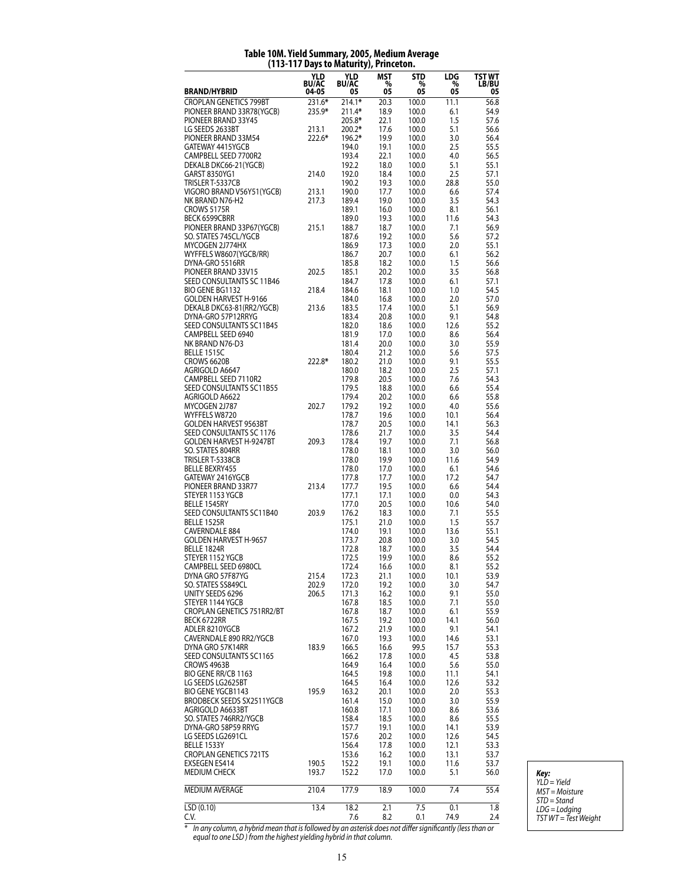|                                                            | YLD<br><b>BU/AC</b> | YLD<br><b>BU/AC</b> | MST<br>$\frac{6}{100}$ | STD<br>%       | LDG<br>%     | TST WT<br><b>LB/BU</b> |
|------------------------------------------------------------|---------------------|---------------------|------------------------|----------------|--------------|------------------------|
| <b>BRAND/HYBRID</b><br><b>CROPLAN GENETICS 799BT</b>       | 04-05<br>231.6*     | 05<br>$214.1*$      | 20.3                   | 05<br>100.0    | 05<br>11.1   | 05<br>56.8             |
| PIONEER BRAND 33R78(YGCB)                                  | 235.9*              | 211.4*              | 18.9                   | 100.0          | 6.1          | 54.9                   |
| PIONEER BRAND 33Y45                                        |                     | 205.8*              | 22.1                   | 100.0          | 1.5          | 57.6                   |
| LG SEEDS 2633BT                                            | 213.1               | $200.2*$            | 17.6                   | 100.0          | 5.1          | 56.6                   |
| PIONEER BRAND 33M54<br>GATEWAY 4415YGCB                    | 222.6*              | 196.2*<br>194.0     | 19.9<br>19.1           | 100.0<br>100.0 | 3.0<br>2.5   | 56.4<br>55.5           |
| CAMPBELL SEED 7700R2                                       |                     | 193.4               | 22.1                   | 100.0          | 4.0          | 56.5                   |
| DEKALB DKC66-21(YGCB)                                      |                     | 192.2               | 18.0                   | 100.0          | 5.1          | 55.1                   |
| GARST 8350YG1<br>TRISLER T-5337CB                          | 214.0               | 192.0<br>190.2      | 18.4                   | 100.0          | 2.5          | 57.1<br>55.0           |
| VIGORO BRAND V56Y51(YGCB)                                  | 213.1               | 190.0               | 19.3<br>17.7           | 100.0<br>100.0 | 28.8<br>6.6  | 57.4                   |
| NK BRAND N76-H2                                            | 217.3               | 189.4               | 19.0                   | 100.0          | 3.5          | 54.3                   |
| CROWS 5175R                                                |                     | 189.1               | 16.0                   | 100.0          | 8.1          | 56.1                   |
| <b>BECK 6599CBRR</b><br>PIONEER BRAND 33P67(YGCB)          | 215.1               | 189.0<br>188.7      | 19.3<br>18.7           | 100.0<br>100.0 | 11.6<br>7.1  | 54.3<br>56.9           |
| SO. STATES 745CL/YGCB                                      |                     | 187.6               | 19.2                   | 100.0          | 5.6          | 57.2                   |
| MYCOGEN 2J774HX                                            |                     | 186.9               | 17.3                   | 100.0          | 2.0          | 55.1                   |
| WYFFELS W8607(YGCB/RR)                                     |                     | 186.7               | 20.7                   | 100.0          | 6.1          | 56.2                   |
| DYNA-GRO 5516RR<br>PIONEER BRAND 33V15                     | 202.5               | 185.8<br>185.1      | 18.2<br>20.2           | 100.0<br>100.0 | 1.5<br>3.5   | 56.6<br>56.8           |
| SEED CONSULTANTS SC 11B46                                  |                     | 184.7               | 17.8                   | 100.0          | 6.1          | 57.1                   |
| BIO GENE BG1132                                            | 218.4               | 184.6               | 18.1                   | 100.0          | 1.0          | 54.5                   |
| GOLDEN HARVEST H-9166                                      | 213.6               | 184.0               | 16.8                   | 100.0          | 2.0          | 57.0                   |
| DEKALB DKC63-81(RR2/YGCB)<br>DYNA-GRO 57P12RRYG            |                     | 183.5<br>183.4      | 17.4<br>20.8           | 100.0<br>100.0 | 5.1<br>9.1   | 56.9<br>54.8           |
| SEED CONSULTANTS SC11B45                                   |                     | 182.0               | 18.6                   | 100.0          | 12.6         | 55.2                   |
| CAMPBELL SEED 6940                                         |                     | 181.9               | 17.0                   | 100.0          | 8.6          | 56.4                   |
| NK BRAND N76-D3<br><b>BELLE 1515C</b>                      |                     | 181.4<br>180.4      | 20.0<br>21.2           | 100.0<br>100.0 | 3.0<br>5.6   | 55.9<br>57.5           |
| CROWS 6620B                                                | 222.8*              | 180.2               | 21.0                   | 100.0          | 9.1          | 55.5                   |
| Agrigold A6647                                             |                     | 180.0               | 18.2                   | 100.0          | 2.5          | 57.1                   |
| CAMPBELL SEED 7110R2                                       |                     | 179.8               | 20.5                   | 100.0          | 7.6          | 54.3                   |
| SEED CONSULTANTS SC11B55<br>AGRIGOLD A6622                 |                     | 179.5<br>179.4      | 18.8<br>20.2           | 100.0<br>100.0 | 6.6<br>6.6   | 55.4<br>55.8           |
| MYCOGEN 2J787                                              | 202.7               | 179.2               | 19.2                   | 100.0          | 4.0          | 55.6                   |
| WYFFELS W8720                                              |                     | 178.7               | 19.6                   | 100.0          | 10.1         | 56.4                   |
| <b>GOLDEN HARVEST 9563BT</b>                               |                     | 178.7               | 20.5                   | 100.0          | 14.1         | 56.3                   |
| SEED CONSULTANTS SC 1176<br><b>GOLDEN HARVEST H-9247BT</b> | 209.3               | 178.6<br>178.4      | 21.7<br>19.7           | 100.0<br>100.0 | 3.5<br>7.1   | 54.4<br>56.8           |
| SO. STATES 804RR                                           |                     | 178.0               | 18.1                   | 100.0          | 3.0          | 56.0                   |
| TRISLER T-5338CB                                           |                     | 178.0               | 19.9                   | 100.0          | 11.6         | 54.9                   |
| <b>BELLE BEXRY455</b><br>GATEWAY 2416YGCB                  |                     | 178.0<br>177.8      | 17.0<br>17.7           | 100.0<br>100.0 | 6.1<br>17.2  | 54.6<br>54.7           |
| PIONEER BRAND 33R77                                        | 213.4               | 177.7               | 19.5                   | 100.0          | 6.6          | 54.4                   |
| STEYER 1153 YGCB                                           |                     | 177.1               | 17.1                   | 100.0          | 0.0          | 54.3                   |
| BELLE 1545RY                                               |                     | 177.0               | 20.5                   | 100.0          | 10.6         | 54.0                   |
| SEED CONSULTANTS SC11B40<br><b>BELLE 1525R</b>             | 203.9               | 176.2<br>175.1      | 18.3<br>21.0           | 100.0<br>100.0 | 7.1<br>1.5   | 55.5<br>55.7           |
| <b>CAVERNDALE 884</b>                                      |                     | 174.0               | 19.1                   | 100.0          | 13.6         | 55.1                   |
| GOLDEN HARVEST H-9657                                      |                     | 173.7               | 20.8                   | 100.0          | 3.0          | 54.5                   |
| BELLE 1824R<br>STEYER 1152 YGCB                            |                     | 172.8<br>172.5      | 18.7<br>19.9           | 100.0          | 3.5          | 54.4<br>55.2           |
| CAMPBELL SEED 6980CL                                       |                     | 172.4               | 16.6                   | 100.0<br>100.0 | 8.6<br>8.1   | 55.2                   |
| DYNA GRO 57F87YG                                           | 215.4               | 172.3               | 21.1                   | 100.0          | 10.1         | 53.9                   |
| SO. STATES SS849CL                                         | 202.9               | 172.0               | 19.2                   | 100.0          | 3.0          | 54.7                   |
| UNITY SEEDS 6296<br>STEYER 1144 YGCB                       | 206.5               | 171.3<br>167.8      | 16.2<br>18.5           | 100.0<br>100.0 | 9.1<br>7.1   | 55.0<br>55.0           |
| CROPLAN GENETICS 751RR2/BT                                 |                     | 167.8               | 18.7                   | 100.0          | 6.1          | 55.9                   |
| BECK 6722RR                                                |                     | 167.5               | 19.2                   | 100.0          | 14.1         | 56.0                   |
| ADLER 8210YGCB                                             |                     | 167.2               | 21.9                   | 100.0          | 9.1          | 54.1                   |
| CAVERNDALE 890 RR2/YGCB<br>DYNA GRO 57K14RR                | 183.9               | 167.0<br>166.5      | 19.3<br>16.6           | 100.0<br>99.5  | 14.6<br>15.7 | 53.1<br>55.3           |
| SEED CONSULTANTS SC1165                                    |                     | 166.2               | 17.8                   | 100.0          | 4.5          | 53.8                   |
| CROWS 4963B                                                |                     | 164.9               | 16.4                   | 100.0          | 5.6          | 55.0                   |
| BIO GENE RR/CB 1163<br>LG SEEDS LG2625BT                   |                     | 164.5<br>164.5      | 19.8<br>16.4           | 100.0<br>100.0 | 11.1<br>12.6 | 54.1<br>53.2           |
| BIO GENE YGCB1143                                          | 195.9               | 163.2               | 20.1                   | 100.0          | 2.0          | 55.3                   |
| BRODBECK SEEDS SX2511YGCB                                  |                     | 161.4               | 15.0                   | 100.0          | 3.0          | 55.9                   |
| AGRIGOLD A6633BT                                           |                     | 160.8               | 17.1                   | 100.0          | 8.6          | 53.6                   |
| SO. STATES 746RR2/YGCB<br>DYNA-GRO 58P59 RRYG              |                     | 158.4<br>157.7      | 18.5<br>19.1           | 100.0<br>100.0 | 8.6<br>14.1  | 55.5<br>53.9           |
| LG SEEDS LG2691CL                                          |                     | 157.6               | 20.2                   | 100.0          | 12.6         | 54.5                   |
| <b>BELLE 1533Y</b>                                         |                     | 156.4               | 17.8                   | 100.0          | 12.1         | 53.3                   |
| <b>CROPLAN GENETICS 721TS</b>                              |                     | 153.6               | 16.2                   | 100.0          | 13.1         | 53.7                   |
| <b>EXSEGEN ES414</b><br>MEDIUM CHECK                       | 190.5<br>193.7      | 152.2<br>152.2      | 19.1<br>17.0           | 100.0<br>100.0 | 11.6<br>5.1  | 53.7<br>56.0           |
| MEDIUM AVERAGE                                             | 210.4               | 177.9               | 18.9                   | 100.0          | 7.4          | 55.4                   |
| LSD (0.10)                                                 | 13.4                | 18.2                | 2.1                    | 7.5            | 0.1          | 1.8                    |
| C.V.                                                       |                     | 7.6                 | 8.2                    | 0.1            | 74.9         | 2.4                    |

# **Table 10M. Yield Summary, 2005, Medium Average (113-117 Days to Maturity), Princeton.**

*Key: YLD = Yield MST = Moisture STD = Stand LDG = Lodging TST WT = Test Weight*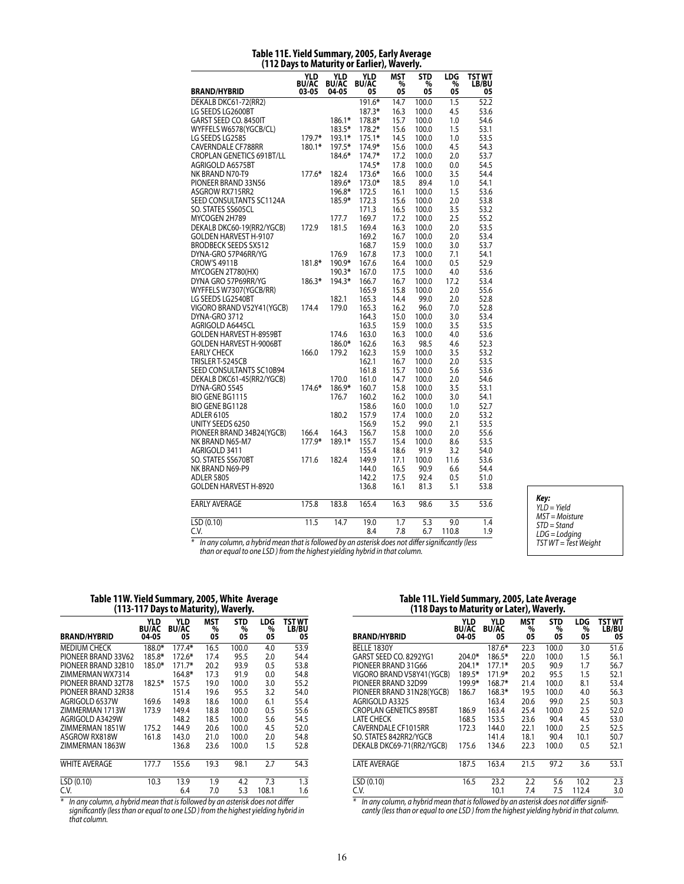|                                  | <b>YLD</b>            | YLD                   | YLD                | <b>MST</b> | <b>STD</b> | LDG     | <b>TST WT</b>     |
|----------------------------------|-----------------------|-----------------------|--------------------|------------|------------|---------|-------------------|
| <b>BRAND/HYBRID</b>              | <b>BU/AC</b><br>03-05 | <b>BU/AC</b><br>04-05 | <b>BU/AC</b><br>05 | %<br>05    | %<br>05    | %<br>05 | LB/BU<br>05       |
| DEKALB DKC61-72(RR2)             |                       |                       | 191.6*             | 14.7       | 100.0      | 1.5     | $\overline{52.2}$ |
| LG SEEDS LG2600BT                |                       |                       | 187.3*             | 16.3       | 100.0      | 4.5     | 53.6              |
| GARST SEED CO. 8450IT            |                       | 186.1*                | 178.8*             | 15.7       | 100.0      | 1.0     | 54.6              |
| WYFFELS W6578(YGCB/CL)           |                       | 183.5*                | 178.2*             | 15.6       | 100.0      | 1.5     | 53.1              |
| LG SEEDS LG2585                  | 179.7*                | 193.1*                | $175.1*$           | 14.5       | 100.0      | 1.0     | 53.5              |
| CAVERNDALE CF788RR               | 180.1*                | 197.5*                | 174.9*             | 15.6       | 100.0      | 4.5     | 54.3              |
| <b>CROPLAN GENETICS 691BT/LL</b> |                       | 184.6*                | $174.7*$           | 17.2       | 100.0      | 2.0     | 53.7              |
| AGRIGOLD A6575BT                 |                       |                       | 174.5*             | 17.8       | 100.0      | 0.0     | 54.5              |
| NK BRAND N70-T9                  | $177.6*$              | 182.4                 | 173.6*             | 16.6       | 100.0      | 3.5     | 54.4              |
| PIONEER BRAND 33N56              |                       | 189.6*                | 173.0*             | 18.5       | 89.4       | 1.0     | 54.1              |
| ASGROW RX715RR2                  |                       | 196.8*                | 172.5              | 16.1       | 100.0      | 1.5     | 53.6              |
| SEED CONSULTANTS SC1124A         |                       | 185.9*                | 172.3              | 15.6       | 100.0      | 2.0     | 53.8              |
| SO. STATES SS605CL               |                       |                       | 171.3              | 16.5       | 100.0      | 3.5     | 53.2              |
| MYCOGEN 2H789                    |                       | 177.7                 | 169.7              | 17.2       | 100.0      | 2.5     | 55.2              |
| DEKALB DKC60-19(RR2/YGCB)        | 172.9                 | 181.5                 | 169.4              | 16.3       | 100.0      | 2.0     | 53.5              |
| GOLDEN HARVEST H-9107            |                       |                       | 169.2              | 16.7       | 100.0      | 2.0     | 53.4              |
| <b>BRODBECK SEEDS SX512</b>      |                       |                       | 168.7              | 15.9       | 100.0      | 3.0     | 53.7              |
| DYNA-GRO 57P46RR/YG              |                       | 176.9                 | 167.8              | 17.3       | 100.0      | 7.1     | 54.1              |
| <b>CROW'S 4911B</b>              | 181.8*                | 190.9*                | 167.6              | 16.4       | 100.0      | 0.5     | 52.9              |
| MYCOGEN 2T780(HX)                |                       | 190.3*                | 167.0              | 17.5       | 100.0      | 4.0     | 53.6              |
| DYNA GRO 57P69RR/YG              | 186.3*                | 194.3*                | 166.7              | 16.7       | 100.0      | 17.2    | 53.4              |
| WYFFELS W7307(YGCB/RR)           |                       |                       | 165.9              | 15.8       | 100.0      | 2.0     | 55.6              |
| LG SEEDS LG2540BT                |                       | 182.1                 | 165.3              | 14.4       | 99.0       | 2.0     | 52.8              |
| VIGORO BRAND V52Y41 (YGCB)       | 174.4                 | 179.0                 | 165.3              | 16.2       | 96.0       | 7.0     | 52.8              |
| DYNA-GRO 3712                    |                       |                       | 164.3              | 15.0       | 100.0      | 3.0     | 53.4              |
| AGRIGOLD A6445CL                 |                       |                       | 163.5              | 15.9       | 100.0      | 3.5     | 53.5              |
| <b>GOLDEN HARVEST H-8959BT</b>   |                       | 174.6                 | 163.0              | 16.3       | 100.0      | 4.0     | 53.6              |
| <b>GOLDEN HARVEST H-9006BT</b>   |                       | 186.0*                | 162.6              | 16.3       | 98.5       | 4.6     | 52.3              |
| <b>EARLY CHECK</b>               | 166.0                 | 179.2                 | 162.3              | 15.9       | 100.0      | 3.5     | 53.2              |
|                                  |                       |                       |                    |            |            |         |                   |
| TRISLER T-5245CB                 |                       |                       | 162.1              | 16.7       | 100.0      | 2.0     | 53.5              |
| SEED CONSULTANTS SC10B94         |                       |                       | 161.8              | 15.7       | 100.0      | 5.6     | 53.6              |
| DEKALB DKC61-45(RR2/YGCB)        |                       | 170.0                 | 161.0              | 14.7       | 100.0      | 2.0     | 54.6              |
| DYNA-GRO 5545                    | 174.6*                | 186.9*                | 160.7              | 15.8       | 100.0      | 3.5     | 53.1              |
| <b>BIO GENE BG1115</b>           |                       | 176.7                 | 160.2              | 16.2       | 100.0      | 3.0     | 54.1              |
| <b>BIO GENE BG1128</b>           |                       |                       | 158.6              | 16.0       | 100.0      | 1.0     | 52.7              |
| <b>ADLER 6105</b>                |                       | 180.2                 | 157.9              | 17.4       | 100.0      | 2.0     | 53.2              |
| UNITY SEEDS 6250                 |                       |                       | 156.9              | 15.2       | 99.0       | 2.1     | 53.5              |
| PIONEER BRAND 34B24(YGCB)        | 166.4                 | 164.3                 | 156.7              | 15.8       | 100.0      | 2.0     | 55.6              |
| NK BRAND N65-M7                  | 177.9*                | 189.1*                | 155.7              | 15.4       | 100.0      | 8.6     | 53.5              |
| AGRIGOLD 3411                    |                       |                       | 155.4              | 18.6       | 91.9       | 3.2     | 54.0              |
| SO. STATES SS670BT               | 171.6                 | 182.4                 | 149.9              | 17.1       | 100.0      | 11.6    | 53.6              |
| NK BRAND N69-P9                  |                       |                       | 144.0              | 16.5       | 90.9       | 6.6     | 54.4              |
| <b>ADLER 5805</b>                |                       |                       | 142.2              | 17.5       | 92.4       | 0.5     | 51.0              |
| <b>GOLDEN HARVEST H-8920</b>     |                       |                       | 136.8              | 16.1       | 81.3       | 5.1     | 53.8              |
| <b>EARLY AVERAGE</b>             | 175.8                 | 183.8                 | 165.4              | 16.3       | 98.6       | 3.5     | 53.6              |
| LSD (0.10)                       | 11.5                  | 14.7                  | 19.0               | 1.7        | 5.3        | 9.0     | 1.4               |
| C.V.                             |                       |                       | 8.4                | 7.8        | 6.7        | 110.8   | 1.9               |

#### **Table 11E. Yield Summary, 2005, Early Average (112 Days to Maturity or Earlier), Waverly.**

*Key: YLD = Yield MST = Moisture STD = Stand LDG = Lodging TST WT = Test Weight*

*\* In any column, a hybrid mean that is followed by an asterisk does not differ significantly (less than or equal to one LSD ) from the highest yielding hybrid in that column.*

### **Table 11W. Yield Summary, 2005, White Average (113-117 Days to Maturity), Waverly.**

| .,,,                 |                              |                           |                       |                       |                |                       |  |  |  |  |  |
|----------------------|------------------------------|---------------------------|-----------------------|-----------------------|----------------|-----------------------|--|--|--|--|--|
| <b>BRAND/HYBRID</b>  | YLD<br><b>BU/AC</b><br>04-05 | YLD<br><b>BU/AC</b><br>05 | <b>MST</b><br>%<br>05 | <b>STD</b><br>%<br>05 | LDG<br>%<br>05 | TST WT<br>LB/BU<br>05 |  |  |  |  |  |
| <b>MEDIUM CHECK</b>  | 188.0*                       | 177.4*                    | 16.5                  | 100.0                 | 4.0            | 53.9                  |  |  |  |  |  |
| PIONFFR BRAND 33V62  | 185.8*                       | 172.6*                    | 17.4                  | 95.5                  | 2.0            | 54.4                  |  |  |  |  |  |
| PIONEER BRAND 32B10  | 185.0*                       | $171.7*$                  | 20.2                  | 93.9                  | 0.5            | 53.8                  |  |  |  |  |  |
| ZIMMERMAN WX7314     |                              | 164.8*                    | 17.3                  | 91.9                  | 0.0            | 54.8                  |  |  |  |  |  |
| PIONEER BRAND 32T78  | 182.5*                       | 157.5                     | 19.0                  | 100.0                 | 3.0            | 55.2                  |  |  |  |  |  |
| PIONEER BRAND 32R38  |                              | 151.4                     | 19.6                  | 95.5                  | 3.2            | 54.0                  |  |  |  |  |  |
| AGRIGOLD 6537W       | 169.6                        | 149.8                     | 18.6                  | 100.0                 | 6.1            | 55.4                  |  |  |  |  |  |
| ZIMMERMAN 1713W      | 173.9                        | 149.4                     | 18.8                  | 100.0                 | 0.5            | 55.6                  |  |  |  |  |  |
| AGRIGOLD A3429W      |                              | 148.2                     | 18.5                  | 100.0                 | 5.6            | 54.5                  |  |  |  |  |  |
| ZIMMERMAN 1851W      | 175.2                        | 144.9                     | 20.6                  | 100.0                 | 4.5            | 52.0                  |  |  |  |  |  |
| ASGROW RX818W        | 161.8                        | 143.0                     | 21.0                  | 100.0                 | 2.0            | 54.8                  |  |  |  |  |  |
| ZIMMERMAN 1863W      |                              | 136.8                     | 23.6                  | 100.0                 | 1.5            | 52.8                  |  |  |  |  |  |
| <b>WHITE AVERAGE</b> | 177.7                        | 155.6                     | 19.3                  | 98.1                  | 2.7            | 54.3                  |  |  |  |  |  |
| LSD(0.10)            | 10.3                         | 13.9                      | 1.9                   | 4.2                   | 7.3            | 1.3                   |  |  |  |  |  |
| C.V.                 |                              | 6.4                       | 7.0                   | 5.3                   | 108.1          | 1.6                   |  |  |  |  |  |

*\* In any column, a hybrid mean that is followed by an asterisk does not differ significantly (less than or equal to one LSD ) from the highest yielding hybrid in that column.*

| Table 11L. Yield Summary, 2005, Late Average |  |  |
|----------------------------------------------|--|--|
| (118 Days to Maturity or Later), Waverly.    |  |  |

| <b>BRAND/HYBRID</b>           | YLD<br><b>BU/AC</b><br>04-05 | <b>YLD</b><br><b>BU/AC</b><br>05 | <b>MST</b><br>%<br>05 | <b>STD</b><br>%<br>05 | LDG<br>%<br>05 | <b>TST WT</b><br>LB/BU<br>05 |
|-------------------------------|------------------------------|----------------------------------|-----------------------|-----------------------|----------------|------------------------------|
| BELLE 1830Y                   |                              | 187.6*                           | 22.3                  | 100.0                 | 3.0            | 51.6                         |
| GARST SEED CO. 8292YG1        | $204.0*$                     | 186.5*                           | 22.0                  | 100.0                 | 1.5            | 56.1                         |
| PIONEER BRAND 31G66           | 204.1*                       | $177.1*$                         | 20.5                  | 90.9                  | 1.7            | 56.7                         |
| VIGORO BRAND V58Y41 (YGCB)    | 189.5*                       | 171.9*                           | 20.2                  | 95.5                  | 1.5            | 52.1                         |
| PIONEER BRAND 32D99           | 199.9*                       | $168.7*$                         | 21.4                  | 100.0                 | 8.1            | 53.4                         |
| PIONEER BRAND 31N28(YGCB)     | 186.7                        | 168.3*                           | 19.5                  | 100.0                 | 4.0            | 56.3                         |
| AGRIGOLD A3325                |                              | 163.4                            | 20.6                  | 99.0                  | 2.5            | 50.3                         |
| <b>CROPLAN GENETICS 895BT</b> | 186.9                        | 163.4                            | 25.4                  | 100.0                 | 2.5            | 52.0                         |
| <b>LATE CHECK</b>             | 168.5                        | 153.5                            | 23.6                  | 90.4                  | 4.5            | 53.0                         |
| CAVERNDALE CF1015RR           | 172.3                        | 144.0                            | 22.1                  | 100.0                 | 2.5            | 52.5                         |
| SO. STATES 842RR2/YGCB        |                              | 141.4                            | 18.1                  | 90.4                  | 10.1           | 50.7                         |
| DEKALB DKC69-71(RR2/YGCB)     | 175.6                        | 134.6                            | 22.3                  | 100.0                 | 0.5            | 52.1                         |
| <b>LATE AVERAGE</b>           | 187.5                        | 163.4                            | 21.5                  | 97.2                  | 3.6            | 53.1                         |
| LSD(0.10)                     | 16.5                         | 23.2                             | 2.2                   | 5.6                   | 10.2           | 2.3                          |
| C.V.                          |                              | 10.1                             | 7.4                   | 7.5                   | 112.4          | 3.0                          |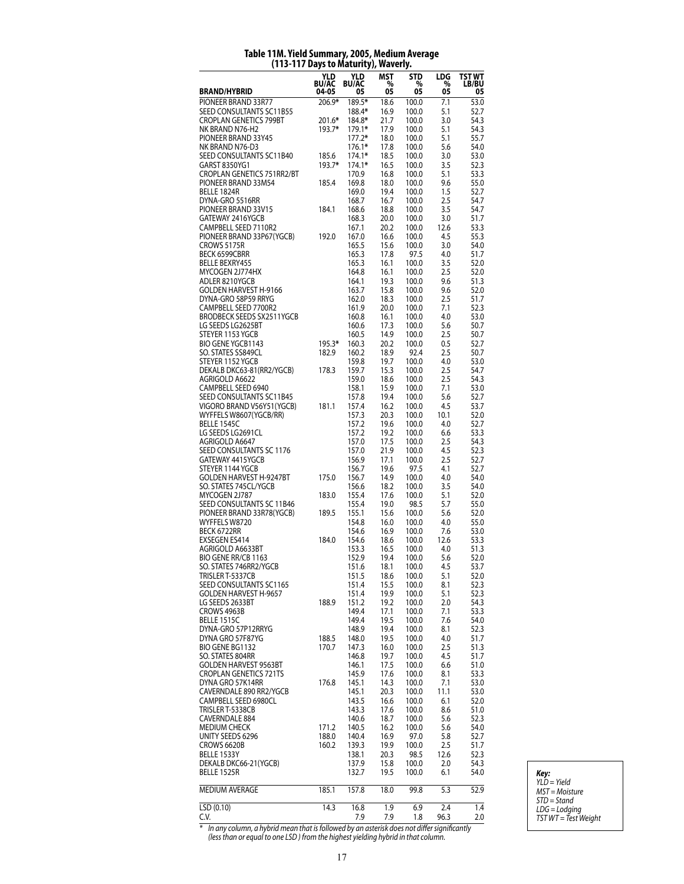| 05<br>05<br>05<br>BRAND/HYBRID<br>05<br>04-05<br>05<br>PIONEER BRAND 33R77<br>206.9*<br>189.5*<br>18.6<br>7.1<br>53.0<br>100.0<br>188.4*<br>SEED CONSULTANTS SC11B55<br>16.9<br>5.1<br>52.7<br>100.0<br><b>CROPLAN GENETICS 799BT</b><br>54.3<br>201.6*<br>184.8*<br>21.7<br>100.0<br>3.0<br>NK BRAND N76-H2<br>193.7*<br>179.1*<br>17.9<br>5.1<br>54.3<br>100.0<br>PIONEER BRAND 33Y45<br>$177.2*$<br>18.0<br>100.0<br>5.1<br>55.7<br>NK BRAND N76-D3<br>5.6<br>54.0<br>$176.1*$<br>17.8<br>100.0<br>SEED CONSULTANTS SC11B40<br>185.6<br>$174.1*$<br>18.5<br>3.0<br>53.0<br>100.0<br>GARST 8350YG1<br>193.7*<br>174.1*<br>16.5<br>100.0<br>3.5<br>52.3<br>CROPLAN GENETICS 751RR2/BT<br>5.1<br>53.3<br>170.9<br>16.8<br>100.0<br>PIONEER BRAND 33M54<br>18.0<br>55.0<br>185.4<br>169.8<br>100.0<br>9.6<br>BELLE 1824R<br>169.0<br>19.4<br>100.0<br>1.5<br>52.7<br>DYNA-GRO 5516RR<br>2.5<br>54.7<br>168.7<br>16.7<br>100.0<br>PIONEER BRAND 33V15<br>168.6<br>18.8<br>3.5<br>54.7<br>184.1<br>100.0<br>GATEWAY 2416YGCB<br>168.3<br>100.0<br>3.0<br>51.7<br>20.0<br>CAMPBELL SEED 7110R2<br>167.1<br>53.3<br>20.2<br>100.0<br>12.6<br>PIONEER BRAND 33P67(YGCB)<br>167.0<br>4.5<br>55.3<br>192.0<br>16.6<br>100.0<br>CROWS 5175R<br>165.5<br>100.0<br>3.0<br>54.0<br>15.6<br>BECK 6599CBRR<br>165.3<br>17.8<br>97.5<br>4.0<br>51.7<br><b>BELLE BEXRY455</b><br>165.3<br>16.1<br>3.5<br>52.0<br>100.0<br>MYCOGEN 2J774HX<br>164.8<br>16.1<br>100.0<br>2.5<br>52.0<br>ADLER 8210YGCB<br>9.6<br>51.3<br>164.1<br>19.3<br>100.0<br>GOLDEN HARVEST H-9166<br>163.7<br>15.8<br>9.6<br>52.0<br>100.0<br>DYNA-GRO 58P59 RRYG<br>162.0<br>100.0<br>2.5<br>51.7<br>18.3<br>CAMPBELL SEED 7700R2<br>161.9<br>20.0<br>100.0<br>7.1<br>52.3<br>BRODBECK SEEDS SX2511YGCB<br>160.8<br>4.0<br>53.0<br>16.1<br>100.0<br>LG SEEDS LG2625BT<br>160.6<br>100.0<br>5.6<br>17.3<br>50.7<br>STEYER 1153 YGCB<br>14.9<br>160.5<br>100.0<br>2.5<br>50.7<br><b>BIO GENE YGCB1143</b><br>195.3*<br>160.3<br>20.2<br>0.5<br>52.7<br>100.0<br>SO. STATES SS849CL<br>182.9<br>160.2<br>18.9<br>92.4<br>2.5<br>50.7<br>STEYER 1152 YGCB<br>19.7<br>4.0<br>53.0<br>159.8<br>100.0<br>DEKALB DKC63-81(RR2/YGCB)<br>159.7<br>15.3<br>2.5<br>54.7<br>178.3<br>100.0<br>AGRIGOLD A6622<br>159.0<br>18.6<br>100.0<br>2.5<br>54.3<br>CAMPBELL SEED 6940<br>158.1<br>15.9<br>7.1<br>100.0<br>53.0<br>SEED CONSULTANTS SC11B45<br>157.8<br>19.4<br>5.6<br>52.7<br>100.0<br>VIGORO BRAND V56Y51(YGCB)<br>181.1<br>157.4<br>16.2<br>100.0<br>4.5<br>53.7<br>WYFFELS W8607(YGCB/RR)<br>157.3<br>52.0<br>20.3<br>100.0<br>10.1<br><b>BELLE 1545C</b><br>157.2<br>19.6<br>4.0<br>52.7<br>100.0<br>LG SEEDS LG2691CL<br>157.2<br>19.2<br>100.0<br>6.6<br>53.3<br>AGRIGOLD A6647<br>157.0<br>17.5<br>54.3<br>100.0<br>2.5<br>SEED CONSULTANTS SC 1176<br>157.0<br>21.9<br>4.5<br>52.3<br>100.0<br>GATEWAY 4415YGCB<br>156.9<br>100.0<br>2.5<br>52.7<br>17.1<br>STEYER 1144 YGCB<br>156.7<br>4.1<br>52.7<br>19.6<br>97.5<br><b>GOLDEN HARVEST H-9247BT</b><br>156.7<br>14.9<br>4.0<br>54.0<br>175.0<br>100.0<br>SO. STATES 745CL/YGCB<br>156.6<br>100.0<br>3.5<br>54.0<br>18.2<br>MYCOGEN 2J787<br>155.4<br>5.1<br>183.0<br>17.6<br>100.0<br>52.0<br>SEED CONSULTANTS SC 11B46<br>155.4<br>19.0<br>98.5<br>5.7<br>55.0<br>PIONEER BRAND 33R78(YGCB)<br>189.5<br>155.1<br>15.6<br>5.6<br>52.0<br>100.0<br>WYFFELS W8720<br>4.0<br>154.8<br>16.0<br>100.0<br>55.0<br>BECK 6722RR<br>7.6<br>154.6<br>16.9<br>100.0<br>53.0<br>EXSEGEN ES414<br>184.0<br>154.6<br>12.6<br>53.3<br>18.6<br>100.0<br>AGRIGOLD A6633BT<br>4.0<br>51.3<br>153.3<br>16.5<br>100.0<br>BIO GENE RR/CB 1163<br>152.9<br>5.6<br>19.4<br>100.0<br>52.0<br>SO. STATES 746RR2/YGCB<br>151.6<br>18.1<br>4.5<br>53.7<br>100.0<br>TRISLER T-5337CB<br>151.5<br>18.6<br>100.0<br>5.1<br>52.0<br>SEED CONSULTANTS SC1165<br>15.5<br>52.3<br>151.4<br>100.0<br>8.1<br>GOLDEN HARVEST H-9657<br>151.4<br>19.9<br>100.0<br>5.1<br>52.3<br>LG SEEDS 2633BT<br>54.3<br>188.9<br>151.2<br>19.2<br>100.0<br>2.0<br>CROWS 4963B<br>149.4<br>17.1<br>7.1<br>53.3<br>100.0<br>BELLE 1515C<br>149.4<br>19.5<br>100.0<br>7.6<br>54.0<br>DYNA-GRO 57P12RRYG<br>148.9<br>19.4<br>100.0<br>8.1<br>52.3<br>DYNA GRO 57F87YG<br>4.0<br>51.7<br>188.5<br>148.0<br>19.5<br>100.0<br>BIO GENE BG1132<br>170.7<br>100.0<br>2.5<br>51.3<br>147.3<br>16.0<br>SO. STATES 804RR<br>4.5<br>51.7<br>146.8<br>19.7<br>100.0<br><b>GOLDEN HARVEST 9563BT</b><br>17.5<br>146.1<br>100.0<br>6.6<br>51.0<br><b>CROPLAN GENETICS 721TS</b><br>145.9<br>100.0<br>53.3<br>17.6<br>8.1<br>DYNA GRO 57K14RR<br>53.0<br>176.8<br>145.1<br>14.3<br>100.0<br>7.1<br>CAVERNDALE 890 RR2/YGCB<br>11.1<br>53.0<br>145.1<br>20.3<br>100.0<br>CAMPBELL SEED 6980CL<br>143.5<br>6.1<br>52.0<br>16.6<br>100.0<br>TRISLER T-5338CB<br>51.0<br>143.3<br>17.6<br>100.0<br>8.6<br><b>CAVERNDALE 884</b><br>18.7<br>5.6<br>52.3<br>140.6<br>100.0<br><b>MEDIUM CHECK</b><br>171.2<br>140.5<br>100.0<br>5.6<br>54.0<br>16.2<br>UNITY SEEDS 6296<br>188.0<br>140.4<br>16.9<br>97.0<br>5.8<br>52.7<br>CROWS 6620B<br>160.2<br>2.5<br>51.7<br>139.3<br>19.9<br>100.0<br>BELLE 1533Y<br>98.5<br>12.6<br>52.3<br>138.1<br>20.3<br>DEKALB DKC66-21(YGCB)<br>54.3<br>137.9<br>15.8<br>100.0<br>2.0<br><b>BELLE 1525R</b><br>19.5<br>54.0<br>132.7<br>100.0<br>6.1<br>MEDIUM AVERAGE<br>185.1<br>157.8<br>18.0<br>99.8<br>5.3<br>52.9<br>14.3<br>LSD (0.10)<br>16.8<br>2.4<br>1.9<br>6.9<br>1.4 | .<br>. | . <i>,.</i><br>YLD<br><b>BU/AC</b> | <i>,,,</i><br>YLD<br><b>BU/AC</b> | MST | -- - ,<br><b>STD</b><br>% | LDG<br>% | TST WT       |
|--------------------------------------------------------------------------------------------------------------------------------------------------------------------------------------------------------------------------------------------------------------------------------------------------------------------------------------------------------------------------------------------------------------------------------------------------------------------------------------------------------------------------------------------------------------------------------------------------------------------------------------------------------------------------------------------------------------------------------------------------------------------------------------------------------------------------------------------------------------------------------------------------------------------------------------------------------------------------------------------------------------------------------------------------------------------------------------------------------------------------------------------------------------------------------------------------------------------------------------------------------------------------------------------------------------------------------------------------------------------------------------------------------------------------------------------------------------------------------------------------------------------------------------------------------------------------------------------------------------------------------------------------------------------------------------------------------------------------------------------------------------------------------------------------------------------------------------------------------------------------------------------------------------------------------------------------------------------------------------------------------------------------------------------------------------------------------------------------------------------------------------------------------------------------------------------------------------------------------------------------------------------------------------------------------------------------------------------------------------------------------------------------------------------------------------------------------------------------------------------------------------------------------------------------------------------------------------------------------------------------------------------------------------------------------------------------------------------------------------------------------------------------------------------------------------------------------------------------------------------------------------------------------------------------------------------------------------------------------------------------------------------------------------------------------------------------------------------------------------------------------------------------------------------------------------------------------------------------------------------------------------------------------------------------------------------------------------------------------------------------------------------------------------------------------------------------------------------------------------------------------------------------------------------------------------------------------------------------------------------------------------------------------------------------------------------------------------------------------------------------------------------------------------------------------------------------------------------------------------------------------------------------------------------------------------------------------------------------------------------------------------------------------------------------------------------------------------------------------------------------------------------------------------------------------------------------------------------------------------------------------------------------------------------------------------------------------------------------------------------------------------------------------------------------------------------------------------------------------------------------------------------------------------------------------------------------------------------------------------------------------------------------------------------------------------------------------------------------------------------------------------------------------------------------------------------------------------------------------------------------------------------------------------------------------------------------------------------------------------------------------------------------------------------------------------------------------------------------------------------------------------------------------------------------------------------------------------------------------------------------------------------------------------------------------------------------------------------------------------------------------------------------------------------------------------------------|--------|------------------------------------|-----------------------------------|-----|---------------------------|----------|--------------|
|                                                                                                                                                                                                                                                                                                                                                                                                                                                                                                                                                                                                                                                                                                                                                                                                                                                                                                                                                                                                                                                                                                                                                                                                                                                                                                                                                                                                                                                                                                                                                                                                                                                                                                                                                                                                                                                                                                                                                                                                                                                                                                                                                                                                                                                                                                                                                                                                                                                                                                                                                                                                                                                                                                                                                                                                                                                                                                                                                                                                                                                                                                                                                                                                                                                                                                                                                                                                                                                                                                                                                                                                                                                                                                                                                                                                                                                                                                                                                                                                                                                                                                                                                                                                                                                                                                                                                                                                                                                                                                                                                                                                                                                                                                                                                                                                                                                                                                                                                                                                                                                                                                                                                                                                                                                                                                                                                                                                                                                  |        |                                    |                                   | %   |                           |          | <b>LB/BU</b> |
|                                                                                                                                                                                                                                                                                                                                                                                                                                                                                                                                                                                                                                                                                                                                                                                                                                                                                                                                                                                                                                                                                                                                                                                                                                                                                                                                                                                                                                                                                                                                                                                                                                                                                                                                                                                                                                                                                                                                                                                                                                                                                                                                                                                                                                                                                                                                                                                                                                                                                                                                                                                                                                                                                                                                                                                                                                                                                                                                                                                                                                                                                                                                                                                                                                                                                                                                                                                                                                                                                                                                                                                                                                                                                                                                                                                                                                                                                                                                                                                                                                                                                                                                                                                                                                                                                                                                                                                                                                                                                                                                                                                                                                                                                                                                                                                                                                                                                                                                                                                                                                                                                                                                                                                                                                                                                                                                                                                                                                                  |        |                                    |                                   |     |                           |          |              |
|                                                                                                                                                                                                                                                                                                                                                                                                                                                                                                                                                                                                                                                                                                                                                                                                                                                                                                                                                                                                                                                                                                                                                                                                                                                                                                                                                                                                                                                                                                                                                                                                                                                                                                                                                                                                                                                                                                                                                                                                                                                                                                                                                                                                                                                                                                                                                                                                                                                                                                                                                                                                                                                                                                                                                                                                                                                                                                                                                                                                                                                                                                                                                                                                                                                                                                                                                                                                                                                                                                                                                                                                                                                                                                                                                                                                                                                                                                                                                                                                                                                                                                                                                                                                                                                                                                                                                                                                                                                                                                                                                                                                                                                                                                                                                                                                                                                                                                                                                                                                                                                                                                                                                                                                                                                                                                                                                                                                                                                  |        |                                    |                                   |     |                           |          |              |
|                                                                                                                                                                                                                                                                                                                                                                                                                                                                                                                                                                                                                                                                                                                                                                                                                                                                                                                                                                                                                                                                                                                                                                                                                                                                                                                                                                                                                                                                                                                                                                                                                                                                                                                                                                                                                                                                                                                                                                                                                                                                                                                                                                                                                                                                                                                                                                                                                                                                                                                                                                                                                                                                                                                                                                                                                                                                                                                                                                                                                                                                                                                                                                                                                                                                                                                                                                                                                                                                                                                                                                                                                                                                                                                                                                                                                                                                                                                                                                                                                                                                                                                                                                                                                                                                                                                                                                                                                                                                                                                                                                                                                                                                                                                                                                                                                                                                                                                                                                                                                                                                                                                                                                                                                                                                                                                                                                                                                                                  |        |                                    |                                   |     |                           |          |              |
|                                                                                                                                                                                                                                                                                                                                                                                                                                                                                                                                                                                                                                                                                                                                                                                                                                                                                                                                                                                                                                                                                                                                                                                                                                                                                                                                                                                                                                                                                                                                                                                                                                                                                                                                                                                                                                                                                                                                                                                                                                                                                                                                                                                                                                                                                                                                                                                                                                                                                                                                                                                                                                                                                                                                                                                                                                                                                                                                                                                                                                                                                                                                                                                                                                                                                                                                                                                                                                                                                                                                                                                                                                                                                                                                                                                                                                                                                                                                                                                                                                                                                                                                                                                                                                                                                                                                                                                                                                                                                                                                                                                                                                                                                                                                                                                                                                                                                                                                                                                                                                                                                                                                                                                                                                                                                                                                                                                                                                                  |        |                                    |                                   |     |                           |          |              |
|                                                                                                                                                                                                                                                                                                                                                                                                                                                                                                                                                                                                                                                                                                                                                                                                                                                                                                                                                                                                                                                                                                                                                                                                                                                                                                                                                                                                                                                                                                                                                                                                                                                                                                                                                                                                                                                                                                                                                                                                                                                                                                                                                                                                                                                                                                                                                                                                                                                                                                                                                                                                                                                                                                                                                                                                                                                                                                                                                                                                                                                                                                                                                                                                                                                                                                                                                                                                                                                                                                                                                                                                                                                                                                                                                                                                                                                                                                                                                                                                                                                                                                                                                                                                                                                                                                                                                                                                                                                                                                                                                                                                                                                                                                                                                                                                                                                                                                                                                                                                                                                                                                                                                                                                                                                                                                                                                                                                                                                  |        |                                    |                                   |     |                           |          |              |
|                                                                                                                                                                                                                                                                                                                                                                                                                                                                                                                                                                                                                                                                                                                                                                                                                                                                                                                                                                                                                                                                                                                                                                                                                                                                                                                                                                                                                                                                                                                                                                                                                                                                                                                                                                                                                                                                                                                                                                                                                                                                                                                                                                                                                                                                                                                                                                                                                                                                                                                                                                                                                                                                                                                                                                                                                                                                                                                                                                                                                                                                                                                                                                                                                                                                                                                                                                                                                                                                                                                                                                                                                                                                                                                                                                                                                                                                                                                                                                                                                                                                                                                                                                                                                                                                                                                                                                                                                                                                                                                                                                                                                                                                                                                                                                                                                                                                                                                                                                                                                                                                                                                                                                                                                                                                                                                                                                                                                                                  |        |                                    |                                   |     |                           |          |              |
|                                                                                                                                                                                                                                                                                                                                                                                                                                                                                                                                                                                                                                                                                                                                                                                                                                                                                                                                                                                                                                                                                                                                                                                                                                                                                                                                                                                                                                                                                                                                                                                                                                                                                                                                                                                                                                                                                                                                                                                                                                                                                                                                                                                                                                                                                                                                                                                                                                                                                                                                                                                                                                                                                                                                                                                                                                                                                                                                                                                                                                                                                                                                                                                                                                                                                                                                                                                                                                                                                                                                                                                                                                                                                                                                                                                                                                                                                                                                                                                                                                                                                                                                                                                                                                                                                                                                                                                                                                                                                                                                                                                                                                                                                                                                                                                                                                                                                                                                                                                                                                                                                                                                                                                                                                                                                                                                                                                                                                                  |        |                                    |                                   |     |                           |          |              |
|                                                                                                                                                                                                                                                                                                                                                                                                                                                                                                                                                                                                                                                                                                                                                                                                                                                                                                                                                                                                                                                                                                                                                                                                                                                                                                                                                                                                                                                                                                                                                                                                                                                                                                                                                                                                                                                                                                                                                                                                                                                                                                                                                                                                                                                                                                                                                                                                                                                                                                                                                                                                                                                                                                                                                                                                                                                                                                                                                                                                                                                                                                                                                                                                                                                                                                                                                                                                                                                                                                                                                                                                                                                                                                                                                                                                                                                                                                                                                                                                                                                                                                                                                                                                                                                                                                                                                                                                                                                                                                                                                                                                                                                                                                                                                                                                                                                                                                                                                                                                                                                                                                                                                                                                                                                                                                                                                                                                                                                  |        |                                    |                                   |     |                           |          |              |
|                                                                                                                                                                                                                                                                                                                                                                                                                                                                                                                                                                                                                                                                                                                                                                                                                                                                                                                                                                                                                                                                                                                                                                                                                                                                                                                                                                                                                                                                                                                                                                                                                                                                                                                                                                                                                                                                                                                                                                                                                                                                                                                                                                                                                                                                                                                                                                                                                                                                                                                                                                                                                                                                                                                                                                                                                                                                                                                                                                                                                                                                                                                                                                                                                                                                                                                                                                                                                                                                                                                                                                                                                                                                                                                                                                                                                                                                                                                                                                                                                                                                                                                                                                                                                                                                                                                                                                                                                                                                                                                                                                                                                                                                                                                                                                                                                                                                                                                                                                                                                                                                                                                                                                                                                                                                                                                                                                                                                                                  |        |                                    |                                   |     |                           |          |              |
|                                                                                                                                                                                                                                                                                                                                                                                                                                                                                                                                                                                                                                                                                                                                                                                                                                                                                                                                                                                                                                                                                                                                                                                                                                                                                                                                                                                                                                                                                                                                                                                                                                                                                                                                                                                                                                                                                                                                                                                                                                                                                                                                                                                                                                                                                                                                                                                                                                                                                                                                                                                                                                                                                                                                                                                                                                                                                                                                                                                                                                                                                                                                                                                                                                                                                                                                                                                                                                                                                                                                                                                                                                                                                                                                                                                                                                                                                                                                                                                                                                                                                                                                                                                                                                                                                                                                                                                                                                                                                                                                                                                                                                                                                                                                                                                                                                                                                                                                                                                                                                                                                                                                                                                                                                                                                                                                                                                                                                                  |        |                                    |                                   |     |                           |          |              |
|                                                                                                                                                                                                                                                                                                                                                                                                                                                                                                                                                                                                                                                                                                                                                                                                                                                                                                                                                                                                                                                                                                                                                                                                                                                                                                                                                                                                                                                                                                                                                                                                                                                                                                                                                                                                                                                                                                                                                                                                                                                                                                                                                                                                                                                                                                                                                                                                                                                                                                                                                                                                                                                                                                                                                                                                                                                                                                                                                                                                                                                                                                                                                                                                                                                                                                                                                                                                                                                                                                                                                                                                                                                                                                                                                                                                                                                                                                                                                                                                                                                                                                                                                                                                                                                                                                                                                                                                                                                                                                                                                                                                                                                                                                                                                                                                                                                                                                                                                                                                                                                                                                                                                                                                                                                                                                                                                                                                                                                  |        |                                    |                                   |     |                           |          |              |
|                                                                                                                                                                                                                                                                                                                                                                                                                                                                                                                                                                                                                                                                                                                                                                                                                                                                                                                                                                                                                                                                                                                                                                                                                                                                                                                                                                                                                                                                                                                                                                                                                                                                                                                                                                                                                                                                                                                                                                                                                                                                                                                                                                                                                                                                                                                                                                                                                                                                                                                                                                                                                                                                                                                                                                                                                                                                                                                                                                                                                                                                                                                                                                                                                                                                                                                                                                                                                                                                                                                                                                                                                                                                                                                                                                                                                                                                                                                                                                                                                                                                                                                                                                                                                                                                                                                                                                                                                                                                                                                                                                                                                                                                                                                                                                                                                                                                                                                                                                                                                                                                                                                                                                                                                                                                                                                                                                                                                                                  |        |                                    |                                   |     |                           |          |              |
|                                                                                                                                                                                                                                                                                                                                                                                                                                                                                                                                                                                                                                                                                                                                                                                                                                                                                                                                                                                                                                                                                                                                                                                                                                                                                                                                                                                                                                                                                                                                                                                                                                                                                                                                                                                                                                                                                                                                                                                                                                                                                                                                                                                                                                                                                                                                                                                                                                                                                                                                                                                                                                                                                                                                                                                                                                                                                                                                                                                                                                                                                                                                                                                                                                                                                                                                                                                                                                                                                                                                                                                                                                                                                                                                                                                                                                                                                                                                                                                                                                                                                                                                                                                                                                                                                                                                                                                                                                                                                                                                                                                                                                                                                                                                                                                                                                                                                                                                                                                                                                                                                                                                                                                                                                                                                                                                                                                                                                                  |        |                                    |                                   |     |                           |          |              |
|                                                                                                                                                                                                                                                                                                                                                                                                                                                                                                                                                                                                                                                                                                                                                                                                                                                                                                                                                                                                                                                                                                                                                                                                                                                                                                                                                                                                                                                                                                                                                                                                                                                                                                                                                                                                                                                                                                                                                                                                                                                                                                                                                                                                                                                                                                                                                                                                                                                                                                                                                                                                                                                                                                                                                                                                                                                                                                                                                                                                                                                                                                                                                                                                                                                                                                                                                                                                                                                                                                                                                                                                                                                                                                                                                                                                                                                                                                                                                                                                                                                                                                                                                                                                                                                                                                                                                                                                                                                                                                                                                                                                                                                                                                                                                                                                                                                                                                                                                                                                                                                                                                                                                                                                                                                                                                                                                                                                                                                  |        |                                    |                                   |     |                           |          |              |
|                                                                                                                                                                                                                                                                                                                                                                                                                                                                                                                                                                                                                                                                                                                                                                                                                                                                                                                                                                                                                                                                                                                                                                                                                                                                                                                                                                                                                                                                                                                                                                                                                                                                                                                                                                                                                                                                                                                                                                                                                                                                                                                                                                                                                                                                                                                                                                                                                                                                                                                                                                                                                                                                                                                                                                                                                                                                                                                                                                                                                                                                                                                                                                                                                                                                                                                                                                                                                                                                                                                                                                                                                                                                                                                                                                                                                                                                                                                                                                                                                                                                                                                                                                                                                                                                                                                                                                                                                                                                                                                                                                                                                                                                                                                                                                                                                                                                                                                                                                                                                                                                                                                                                                                                                                                                                                                                                                                                                                                  |        |                                    |                                   |     |                           |          |              |
|                                                                                                                                                                                                                                                                                                                                                                                                                                                                                                                                                                                                                                                                                                                                                                                                                                                                                                                                                                                                                                                                                                                                                                                                                                                                                                                                                                                                                                                                                                                                                                                                                                                                                                                                                                                                                                                                                                                                                                                                                                                                                                                                                                                                                                                                                                                                                                                                                                                                                                                                                                                                                                                                                                                                                                                                                                                                                                                                                                                                                                                                                                                                                                                                                                                                                                                                                                                                                                                                                                                                                                                                                                                                                                                                                                                                                                                                                                                                                                                                                                                                                                                                                                                                                                                                                                                                                                                                                                                                                                                                                                                                                                                                                                                                                                                                                                                                                                                                                                                                                                                                                                                                                                                                                                                                                                                                                                                                                                                  |        |                                    |                                   |     |                           |          |              |
|                                                                                                                                                                                                                                                                                                                                                                                                                                                                                                                                                                                                                                                                                                                                                                                                                                                                                                                                                                                                                                                                                                                                                                                                                                                                                                                                                                                                                                                                                                                                                                                                                                                                                                                                                                                                                                                                                                                                                                                                                                                                                                                                                                                                                                                                                                                                                                                                                                                                                                                                                                                                                                                                                                                                                                                                                                                                                                                                                                                                                                                                                                                                                                                                                                                                                                                                                                                                                                                                                                                                                                                                                                                                                                                                                                                                                                                                                                                                                                                                                                                                                                                                                                                                                                                                                                                                                                                                                                                                                                                                                                                                                                                                                                                                                                                                                                                                                                                                                                                                                                                                                                                                                                                                                                                                                                                                                                                                                                                  |        |                                    |                                   |     |                           |          |              |
|                                                                                                                                                                                                                                                                                                                                                                                                                                                                                                                                                                                                                                                                                                                                                                                                                                                                                                                                                                                                                                                                                                                                                                                                                                                                                                                                                                                                                                                                                                                                                                                                                                                                                                                                                                                                                                                                                                                                                                                                                                                                                                                                                                                                                                                                                                                                                                                                                                                                                                                                                                                                                                                                                                                                                                                                                                                                                                                                                                                                                                                                                                                                                                                                                                                                                                                                                                                                                                                                                                                                                                                                                                                                                                                                                                                                                                                                                                                                                                                                                                                                                                                                                                                                                                                                                                                                                                                                                                                                                                                                                                                                                                                                                                                                                                                                                                                                                                                                                                                                                                                                                                                                                                                                                                                                                                                                                                                                                                                  |        |                                    |                                   |     |                           |          |              |
|                                                                                                                                                                                                                                                                                                                                                                                                                                                                                                                                                                                                                                                                                                                                                                                                                                                                                                                                                                                                                                                                                                                                                                                                                                                                                                                                                                                                                                                                                                                                                                                                                                                                                                                                                                                                                                                                                                                                                                                                                                                                                                                                                                                                                                                                                                                                                                                                                                                                                                                                                                                                                                                                                                                                                                                                                                                                                                                                                                                                                                                                                                                                                                                                                                                                                                                                                                                                                                                                                                                                                                                                                                                                                                                                                                                                                                                                                                                                                                                                                                                                                                                                                                                                                                                                                                                                                                                                                                                                                                                                                                                                                                                                                                                                                                                                                                                                                                                                                                                                                                                                                                                                                                                                                                                                                                                                                                                                                                                  |        |                                    |                                   |     |                           |          |              |
|                                                                                                                                                                                                                                                                                                                                                                                                                                                                                                                                                                                                                                                                                                                                                                                                                                                                                                                                                                                                                                                                                                                                                                                                                                                                                                                                                                                                                                                                                                                                                                                                                                                                                                                                                                                                                                                                                                                                                                                                                                                                                                                                                                                                                                                                                                                                                                                                                                                                                                                                                                                                                                                                                                                                                                                                                                                                                                                                                                                                                                                                                                                                                                                                                                                                                                                                                                                                                                                                                                                                                                                                                                                                                                                                                                                                                                                                                                                                                                                                                                                                                                                                                                                                                                                                                                                                                                                                                                                                                                                                                                                                                                                                                                                                                                                                                                                                                                                                                                                                                                                                                                                                                                                                                                                                                                                                                                                                                                                  |        |                                    |                                   |     |                           |          |              |
|                                                                                                                                                                                                                                                                                                                                                                                                                                                                                                                                                                                                                                                                                                                                                                                                                                                                                                                                                                                                                                                                                                                                                                                                                                                                                                                                                                                                                                                                                                                                                                                                                                                                                                                                                                                                                                                                                                                                                                                                                                                                                                                                                                                                                                                                                                                                                                                                                                                                                                                                                                                                                                                                                                                                                                                                                                                                                                                                                                                                                                                                                                                                                                                                                                                                                                                                                                                                                                                                                                                                                                                                                                                                                                                                                                                                                                                                                                                                                                                                                                                                                                                                                                                                                                                                                                                                                                                                                                                                                                                                                                                                                                                                                                                                                                                                                                                                                                                                                                                                                                                                                                                                                                                                                                                                                                                                                                                                                                                  |        |                                    |                                   |     |                           |          |              |
|                                                                                                                                                                                                                                                                                                                                                                                                                                                                                                                                                                                                                                                                                                                                                                                                                                                                                                                                                                                                                                                                                                                                                                                                                                                                                                                                                                                                                                                                                                                                                                                                                                                                                                                                                                                                                                                                                                                                                                                                                                                                                                                                                                                                                                                                                                                                                                                                                                                                                                                                                                                                                                                                                                                                                                                                                                                                                                                                                                                                                                                                                                                                                                                                                                                                                                                                                                                                                                                                                                                                                                                                                                                                                                                                                                                                                                                                                                                                                                                                                                                                                                                                                                                                                                                                                                                                                                                                                                                                                                                                                                                                                                                                                                                                                                                                                                                                                                                                                                                                                                                                                                                                                                                                                                                                                                                                                                                                                                                  |        |                                    |                                   |     |                           |          |              |
|                                                                                                                                                                                                                                                                                                                                                                                                                                                                                                                                                                                                                                                                                                                                                                                                                                                                                                                                                                                                                                                                                                                                                                                                                                                                                                                                                                                                                                                                                                                                                                                                                                                                                                                                                                                                                                                                                                                                                                                                                                                                                                                                                                                                                                                                                                                                                                                                                                                                                                                                                                                                                                                                                                                                                                                                                                                                                                                                                                                                                                                                                                                                                                                                                                                                                                                                                                                                                                                                                                                                                                                                                                                                                                                                                                                                                                                                                                                                                                                                                                                                                                                                                                                                                                                                                                                                                                                                                                                                                                                                                                                                                                                                                                                                                                                                                                                                                                                                                                                                                                                                                                                                                                                                                                                                                                                                                                                                                                                  |        |                                    |                                   |     |                           |          |              |
|                                                                                                                                                                                                                                                                                                                                                                                                                                                                                                                                                                                                                                                                                                                                                                                                                                                                                                                                                                                                                                                                                                                                                                                                                                                                                                                                                                                                                                                                                                                                                                                                                                                                                                                                                                                                                                                                                                                                                                                                                                                                                                                                                                                                                                                                                                                                                                                                                                                                                                                                                                                                                                                                                                                                                                                                                                                                                                                                                                                                                                                                                                                                                                                                                                                                                                                                                                                                                                                                                                                                                                                                                                                                                                                                                                                                                                                                                                                                                                                                                                                                                                                                                                                                                                                                                                                                                                                                                                                                                                                                                                                                                                                                                                                                                                                                                                                                                                                                                                                                                                                                                                                                                                                                                                                                                                                                                                                                                                                  |        |                                    |                                   |     |                           |          |              |
|                                                                                                                                                                                                                                                                                                                                                                                                                                                                                                                                                                                                                                                                                                                                                                                                                                                                                                                                                                                                                                                                                                                                                                                                                                                                                                                                                                                                                                                                                                                                                                                                                                                                                                                                                                                                                                                                                                                                                                                                                                                                                                                                                                                                                                                                                                                                                                                                                                                                                                                                                                                                                                                                                                                                                                                                                                                                                                                                                                                                                                                                                                                                                                                                                                                                                                                                                                                                                                                                                                                                                                                                                                                                                                                                                                                                                                                                                                                                                                                                                                                                                                                                                                                                                                                                                                                                                                                                                                                                                                                                                                                                                                                                                                                                                                                                                                                                                                                                                                                                                                                                                                                                                                                                                                                                                                                                                                                                                                                  |        |                                    |                                   |     |                           |          |              |
|                                                                                                                                                                                                                                                                                                                                                                                                                                                                                                                                                                                                                                                                                                                                                                                                                                                                                                                                                                                                                                                                                                                                                                                                                                                                                                                                                                                                                                                                                                                                                                                                                                                                                                                                                                                                                                                                                                                                                                                                                                                                                                                                                                                                                                                                                                                                                                                                                                                                                                                                                                                                                                                                                                                                                                                                                                                                                                                                                                                                                                                                                                                                                                                                                                                                                                                                                                                                                                                                                                                                                                                                                                                                                                                                                                                                                                                                                                                                                                                                                                                                                                                                                                                                                                                                                                                                                                                                                                                                                                                                                                                                                                                                                                                                                                                                                                                                                                                                                                                                                                                                                                                                                                                                                                                                                                                                                                                                                                                  |        |                                    |                                   |     |                           |          |              |
|                                                                                                                                                                                                                                                                                                                                                                                                                                                                                                                                                                                                                                                                                                                                                                                                                                                                                                                                                                                                                                                                                                                                                                                                                                                                                                                                                                                                                                                                                                                                                                                                                                                                                                                                                                                                                                                                                                                                                                                                                                                                                                                                                                                                                                                                                                                                                                                                                                                                                                                                                                                                                                                                                                                                                                                                                                                                                                                                                                                                                                                                                                                                                                                                                                                                                                                                                                                                                                                                                                                                                                                                                                                                                                                                                                                                                                                                                                                                                                                                                                                                                                                                                                                                                                                                                                                                                                                                                                                                                                                                                                                                                                                                                                                                                                                                                                                                                                                                                                                                                                                                                                                                                                                                                                                                                                                                                                                                                                                  |        |                                    |                                   |     |                           |          |              |
|                                                                                                                                                                                                                                                                                                                                                                                                                                                                                                                                                                                                                                                                                                                                                                                                                                                                                                                                                                                                                                                                                                                                                                                                                                                                                                                                                                                                                                                                                                                                                                                                                                                                                                                                                                                                                                                                                                                                                                                                                                                                                                                                                                                                                                                                                                                                                                                                                                                                                                                                                                                                                                                                                                                                                                                                                                                                                                                                                                                                                                                                                                                                                                                                                                                                                                                                                                                                                                                                                                                                                                                                                                                                                                                                                                                                                                                                                                                                                                                                                                                                                                                                                                                                                                                                                                                                                                                                                                                                                                                                                                                                                                                                                                                                                                                                                                                                                                                                                                                                                                                                                                                                                                                                                                                                                                                                                                                                                                                  |        |                                    |                                   |     |                           |          |              |
|                                                                                                                                                                                                                                                                                                                                                                                                                                                                                                                                                                                                                                                                                                                                                                                                                                                                                                                                                                                                                                                                                                                                                                                                                                                                                                                                                                                                                                                                                                                                                                                                                                                                                                                                                                                                                                                                                                                                                                                                                                                                                                                                                                                                                                                                                                                                                                                                                                                                                                                                                                                                                                                                                                                                                                                                                                                                                                                                                                                                                                                                                                                                                                                                                                                                                                                                                                                                                                                                                                                                                                                                                                                                                                                                                                                                                                                                                                                                                                                                                                                                                                                                                                                                                                                                                                                                                                                                                                                                                                                                                                                                                                                                                                                                                                                                                                                                                                                                                                                                                                                                                                                                                                                                                                                                                                                                                                                                                                                  |        |                                    |                                   |     |                           |          |              |
|                                                                                                                                                                                                                                                                                                                                                                                                                                                                                                                                                                                                                                                                                                                                                                                                                                                                                                                                                                                                                                                                                                                                                                                                                                                                                                                                                                                                                                                                                                                                                                                                                                                                                                                                                                                                                                                                                                                                                                                                                                                                                                                                                                                                                                                                                                                                                                                                                                                                                                                                                                                                                                                                                                                                                                                                                                                                                                                                                                                                                                                                                                                                                                                                                                                                                                                                                                                                                                                                                                                                                                                                                                                                                                                                                                                                                                                                                                                                                                                                                                                                                                                                                                                                                                                                                                                                                                                                                                                                                                                                                                                                                                                                                                                                                                                                                                                                                                                                                                                                                                                                                                                                                                                                                                                                                                                                                                                                                                                  |        |                                    |                                   |     |                           |          |              |
|                                                                                                                                                                                                                                                                                                                                                                                                                                                                                                                                                                                                                                                                                                                                                                                                                                                                                                                                                                                                                                                                                                                                                                                                                                                                                                                                                                                                                                                                                                                                                                                                                                                                                                                                                                                                                                                                                                                                                                                                                                                                                                                                                                                                                                                                                                                                                                                                                                                                                                                                                                                                                                                                                                                                                                                                                                                                                                                                                                                                                                                                                                                                                                                                                                                                                                                                                                                                                                                                                                                                                                                                                                                                                                                                                                                                                                                                                                                                                                                                                                                                                                                                                                                                                                                                                                                                                                                                                                                                                                                                                                                                                                                                                                                                                                                                                                                                                                                                                                                                                                                                                                                                                                                                                                                                                                                                                                                                                                                  |        |                                    |                                   |     |                           |          |              |
|                                                                                                                                                                                                                                                                                                                                                                                                                                                                                                                                                                                                                                                                                                                                                                                                                                                                                                                                                                                                                                                                                                                                                                                                                                                                                                                                                                                                                                                                                                                                                                                                                                                                                                                                                                                                                                                                                                                                                                                                                                                                                                                                                                                                                                                                                                                                                                                                                                                                                                                                                                                                                                                                                                                                                                                                                                                                                                                                                                                                                                                                                                                                                                                                                                                                                                                                                                                                                                                                                                                                                                                                                                                                                                                                                                                                                                                                                                                                                                                                                                                                                                                                                                                                                                                                                                                                                                                                                                                                                                                                                                                                                                                                                                                                                                                                                                                                                                                                                                                                                                                                                                                                                                                                                                                                                                                                                                                                                                                  |        |                                    |                                   |     |                           |          |              |
|                                                                                                                                                                                                                                                                                                                                                                                                                                                                                                                                                                                                                                                                                                                                                                                                                                                                                                                                                                                                                                                                                                                                                                                                                                                                                                                                                                                                                                                                                                                                                                                                                                                                                                                                                                                                                                                                                                                                                                                                                                                                                                                                                                                                                                                                                                                                                                                                                                                                                                                                                                                                                                                                                                                                                                                                                                                                                                                                                                                                                                                                                                                                                                                                                                                                                                                                                                                                                                                                                                                                                                                                                                                                                                                                                                                                                                                                                                                                                                                                                                                                                                                                                                                                                                                                                                                                                                                                                                                                                                                                                                                                                                                                                                                                                                                                                                                                                                                                                                                                                                                                                                                                                                                                                                                                                                                                                                                                                                                  |        |                                    |                                   |     |                           |          |              |
|                                                                                                                                                                                                                                                                                                                                                                                                                                                                                                                                                                                                                                                                                                                                                                                                                                                                                                                                                                                                                                                                                                                                                                                                                                                                                                                                                                                                                                                                                                                                                                                                                                                                                                                                                                                                                                                                                                                                                                                                                                                                                                                                                                                                                                                                                                                                                                                                                                                                                                                                                                                                                                                                                                                                                                                                                                                                                                                                                                                                                                                                                                                                                                                                                                                                                                                                                                                                                                                                                                                                                                                                                                                                                                                                                                                                                                                                                                                                                                                                                                                                                                                                                                                                                                                                                                                                                                                                                                                                                                                                                                                                                                                                                                                                                                                                                                                                                                                                                                                                                                                                                                                                                                                                                                                                                                                                                                                                                                                  |        |                                    |                                   |     |                           |          |              |
|                                                                                                                                                                                                                                                                                                                                                                                                                                                                                                                                                                                                                                                                                                                                                                                                                                                                                                                                                                                                                                                                                                                                                                                                                                                                                                                                                                                                                                                                                                                                                                                                                                                                                                                                                                                                                                                                                                                                                                                                                                                                                                                                                                                                                                                                                                                                                                                                                                                                                                                                                                                                                                                                                                                                                                                                                                                                                                                                                                                                                                                                                                                                                                                                                                                                                                                                                                                                                                                                                                                                                                                                                                                                                                                                                                                                                                                                                                                                                                                                                                                                                                                                                                                                                                                                                                                                                                                                                                                                                                                                                                                                                                                                                                                                                                                                                                                                                                                                                                                                                                                                                                                                                                                                                                                                                                                                                                                                                                                  |        |                                    |                                   |     |                           |          |              |
|                                                                                                                                                                                                                                                                                                                                                                                                                                                                                                                                                                                                                                                                                                                                                                                                                                                                                                                                                                                                                                                                                                                                                                                                                                                                                                                                                                                                                                                                                                                                                                                                                                                                                                                                                                                                                                                                                                                                                                                                                                                                                                                                                                                                                                                                                                                                                                                                                                                                                                                                                                                                                                                                                                                                                                                                                                                                                                                                                                                                                                                                                                                                                                                                                                                                                                                                                                                                                                                                                                                                                                                                                                                                                                                                                                                                                                                                                                                                                                                                                                                                                                                                                                                                                                                                                                                                                                                                                                                                                                                                                                                                                                                                                                                                                                                                                                                                                                                                                                                                                                                                                                                                                                                                                                                                                                                                                                                                                                                  |        |                                    |                                   |     |                           |          |              |
|                                                                                                                                                                                                                                                                                                                                                                                                                                                                                                                                                                                                                                                                                                                                                                                                                                                                                                                                                                                                                                                                                                                                                                                                                                                                                                                                                                                                                                                                                                                                                                                                                                                                                                                                                                                                                                                                                                                                                                                                                                                                                                                                                                                                                                                                                                                                                                                                                                                                                                                                                                                                                                                                                                                                                                                                                                                                                                                                                                                                                                                                                                                                                                                                                                                                                                                                                                                                                                                                                                                                                                                                                                                                                                                                                                                                                                                                                                                                                                                                                                                                                                                                                                                                                                                                                                                                                                                                                                                                                                                                                                                                                                                                                                                                                                                                                                                                                                                                                                                                                                                                                                                                                                                                                                                                                                                                                                                                                                                  |        |                                    |                                   |     |                           |          |              |
|                                                                                                                                                                                                                                                                                                                                                                                                                                                                                                                                                                                                                                                                                                                                                                                                                                                                                                                                                                                                                                                                                                                                                                                                                                                                                                                                                                                                                                                                                                                                                                                                                                                                                                                                                                                                                                                                                                                                                                                                                                                                                                                                                                                                                                                                                                                                                                                                                                                                                                                                                                                                                                                                                                                                                                                                                                                                                                                                                                                                                                                                                                                                                                                                                                                                                                                                                                                                                                                                                                                                                                                                                                                                                                                                                                                                                                                                                                                                                                                                                                                                                                                                                                                                                                                                                                                                                                                                                                                                                                                                                                                                                                                                                                                                                                                                                                                                                                                                                                                                                                                                                                                                                                                                                                                                                                                                                                                                                                                  |        |                                    |                                   |     |                           |          |              |
|                                                                                                                                                                                                                                                                                                                                                                                                                                                                                                                                                                                                                                                                                                                                                                                                                                                                                                                                                                                                                                                                                                                                                                                                                                                                                                                                                                                                                                                                                                                                                                                                                                                                                                                                                                                                                                                                                                                                                                                                                                                                                                                                                                                                                                                                                                                                                                                                                                                                                                                                                                                                                                                                                                                                                                                                                                                                                                                                                                                                                                                                                                                                                                                                                                                                                                                                                                                                                                                                                                                                                                                                                                                                                                                                                                                                                                                                                                                                                                                                                                                                                                                                                                                                                                                                                                                                                                                                                                                                                                                                                                                                                                                                                                                                                                                                                                                                                                                                                                                                                                                                                                                                                                                                                                                                                                                                                                                                                                                  |        |                                    |                                   |     |                           |          |              |
|                                                                                                                                                                                                                                                                                                                                                                                                                                                                                                                                                                                                                                                                                                                                                                                                                                                                                                                                                                                                                                                                                                                                                                                                                                                                                                                                                                                                                                                                                                                                                                                                                                                                                                                                                                                                                                                                                                                                                                                                                                                                                                                                                                                                                                                                                                                                                                                                                                                                                                                                                                                                                                                                                                                                                                                                                                                                                                                                                                                                                                                                                                                                                                                                                                                                                                                                                                                                                                                                                                                                                                                                                                                                                                                                                                                                                                                                                                                                                                                                                                                                                                                                                                                                                                                                                                                                                                                                                                                                                                                                                                                                                                                                                                                                                                                                                                                                                                                                                                                                                                                                                                                                                                                                                                                                                                                                                                                                                                                  |        |                                    |                                   |     |                           |          |              |
|                                                                                                                                                                                                                                                                                                                                                                                                                                                                                                                                                                                                                                                                                                                                                                                                                                                                                                                                                                                                                                                                                                                                                                                                                                                                                                                                                                                                                                                                                                                                                                                                                                                                                                                                                                                                                                                                                                                                                                                                                                                                                                                                                                                                                                                                                                                                                                                                                                                                                                                                                                                                                                                                                                                                                                                                                                                                                                                                                                                                                                                                                                                                                                                                                                                                                                                                                                                                                                                                                                                                                                                                                                                                                                                                                                                                                                                                                                                                                                                                                                                                                                                                                                                                                                                                                                                                                                                                                                                                                                                                                                                                                                                                                                                                                                                                                                                                                                                                                                                                                                                                                                                                                                                                                                                                                                                                                                                                                                                  |        |                                    |                                   |     |                           |          |              |
|                                                                                                                                                                                                                                                                                                                                                                                                                                                                                                                                                                                                                                                                                                                                                                                                                                                                                                                                                                                                                                                                                                                                                                                                                                                                                                                                                                                                                                                                                                                                                                                                                                                                                                                                                                                                                                                                                                                                                                                                                                                                                                                                                                                                                                                                                                                                                                                                                                                                                                                                                                                                                                                                                                                                                                                                                                                                                                                                                                                                                                                                                                                                                                                                                                                                                                                                                                                                                                                                                                                                                                                                                                                                                                                                                                                                                                                                                                                                                                                                                                                                                                                                                                                                                                                                                                                                                                                                                                                                                                                                                                                                                                                                                                                                                                                                                                                                                                                                                                                                                                                                                                                                                                                                                                                                                                                                                                                                                                                  |        |                                    |                                   |     |                           |          |              |
|                                                                                                                                                                                                                                                                                                                                                                                                                                                                                                                                                                                                                                                                                                                                                                                                                                                                                                                                                                                                                                                                                                                                                                                                                                                                                                                                                                                                                                                                                                                                                                                                                                                                                                                                                                                                                                                                                                                                                                                                                                                                                                                                                                                                                                                                                                                                                                                                                                                                                                                                                                                                                                                                                                                                                                                                                                                                                                                                                                                                                                                                                                                                                                                                                                                                                                                                                                                                                                                                                                                                                                                                                                                                                                                                                                                                                                                                                                                                                                                                                                                                                                                                                                                                                                                                                                                                                                                                                                                                                                                                                                                                                                                                                                                                                                                                                                                                                                                                                                                                                                                                                                                                                                                                                                                                                                                                                                                                                                                  |        |                                    |                                   |     |                           |          |              |
|                                                                                                                                                                                                                                                                                                                                                                                                                                                                                                                                                                                                                                                                                                                                                                                                                                                                                                                                                                                                                                                                                                                                                                                                                                                                                                                                                                                                                                                                                                                                                                                                                                                                                                                                                                                                                                                                                                                                                                                                                                                                                                                                                                                                                                                                                                                                                                                                                                                                                                                                                                                                                                                                                                                                                                                                                                                                                                                                                                                                                                                                                                                                                                                                                                                                                                                                                                                                                                                                                                                                                                                                                                                                                                                                                                                                                                                                                                                                                                                                                                                                                                                                                                                                                                                                                                                                                                                                                                                                                                                                                                                                                                                                                                                                                                                                                                                                                                                                                                                                                                                                                                                                                                                                                                                                                                                                                                                                                                                  |        |                                    |                                   |     |                           |          |              |
|                                                                                                                                                                                                                                                                                                                                                                                                                                                                                                                                                                                                                                                                                                                                                                                                                                                                                                                                                                                                                                                                                                                                                                                                                                                                                                                                                                                                                                                                                                                                                                                                                                                                                                                                                                                                                                                                                                                                                                                                                                                                                                                                                                                                                                                                                                                                                                                                                                                                                                                                                                                                                                                                                                                                                                                                                                                                                                                                                                                                                                                                                                                                                                                                                                                                                                                                                                                                                                                                                                                                                                                                                                                                                                                                                                                                                                                                                                                                                                                                                                                                                                                                                                                                                                                                                                                                                                                                                                                                                                                                                                                                                                                                                                                                                                                                                                                                                                                                                                                                                                                                                                                                                                                                                                                                                                                                                                                                                                                  |        |                                    |                                   |     |                           |          |              |
|                                                                                                                                                                                                                                                                                                                                                                                                                                                                                                                                                                                                                                                                                                                                                                                                                                                                                                                                                                                                                                                                                                                                                                                                                                                                                                                                                                                                                                                                                                                                                                                                                                                                                                                                                                                                                                                                                                                                                                                                                                                                                                                                                                                                                                                                                                                                                                                                                                                                                                                                                                                                                                                                                                                                                                                                                                                                                                                                                                                                                                                                                                                                                                                                                                                                                                                                                                                                                                                                                                                                                                                                                                                                                                                                                                                                                                                                                                                                                                                                                                                                                                                                                                                                                                                                                                                                                                                                                                                                                                                                                                                                                                                                                                                                                                                                                                                                                                                                                                                                                                                                                                                                                                                                                                                                                                                                                                                                                                                  |        |                                    |                                   |     |                           |          |              |
|                                                                                                                                                                                                                                                                                                                                                                                                                                                                                                                                                                                                                                                                                                                                                                                                                                                                                                                                                                                                                                                                                                                                                                                                                                                                                                                                                                                                                                                                                                                                                                                                                                                                                                                                                                                                                                                                                                                                                                                                                                                                                                                                                                                                                                                                                                                                                                                                                                                                                                                                                                                                                                                                                                                                                                                                                                                                                                                                                                                                                                                                                                                                                                                                                                                                                                                                                                                                                                                                                                                                                                                                                                                                                                                                                                                                                                                                                                                                                                                                                                                                                                                                                                                                                                                                                                                                                                                                                                                                                                                                                                                                                                                                                                                                                                                                                                                                                                                                                                                                                                                                                                                                                                                                                                                                                                                                                                                                                                                  |        |                                    |                                   |     |                           |          |              |
|                                                                                                                                                                                                                                                                                                                                                                                                                                                                                                                                                                                                                                                                                                                                                                                                                                                                                                                                                                                                                                                                                                                                                                                                                                                                                                                                                                                                                                                                                                                                                                                                                                                                                                                                                                                                                                                                                                                                                                                                                                                                                                                                                                                                                                                                                                                                                                                                                                                                                                                                                                                                                                                                                                                                                                                                                                                                                                                                                                                                                                                                                                                                                                                                                                                                                                                                                                                                                                                                                                                                                                                                                                                                                                                                                                                                                                                                                                                                                                                                                                                                                                                                                                                                                                                                                                                                                                                                                                                                                                                                                                                                                                                                                                                                                                                                                                                                                                                                                                                                                                                                                                                                                                                                                                                                                                                                                                                                                                                  |        |                                    |                                   |     |                           |          |              |
|                                                                                                                                                                                                                                                                                                                                                                                                                                                                                                                                                                                                                                                                                                                                                                                                                                                                                                                                                                                                                                                                                                                                                                                                                                                                                                                                                                                                                                                                                                                                                                                                                                                                                                                                                                                                                                                                                                                                                                                                                                                                                                                                                                                                                                                                                                                                                                                                                                                                                                                                                                                                                                                                                                                                                                                                                                                                                                                                                                                                                                                                                                                                                                                                                                                                                                                                                                                                                                                                                                                                                                                                                                                                                                                                                                                                                                                                                                                                                                                                                                                                                                                                                                                                                                                                                                                                                                                                                                                                                                                                                                                                                                                                                                                                                                                                                                                                                                                                                                                                                                                                                                                                                                                                                                                                                                                                                                                                                                                  |        |                                    |                                   |     |                           |          |              |
|                                                                                                                                                                                                                                                                                                                                                                                                                                                                                                                                                                                                                                                                                                                                                                                                                                                                                                                                                                                                                                                                                                                                                                                                                                                                                                                                                                                                                                                                                                                                                                                                                                                                                                                                                                                                                                                                                                                                                                                                                                                                                                                                                                                                                                                                                                                                                                                                                                                                                                                                                                                                                                                                                                                                                                                                                                                                                                                                                                                                                                                                                                                                                                                                                                                                                                                                                                                                                                                                                                                                                                                                                                                                                                                                                                                                                                                                                                                                                                                                                                                                                                                                                                                                                                                                                                                                                                                                                                                                                                                                                                                                                                                                                                                                                                                                                                                                                                                                                                                                                                                                                                                                                                                                                                                                                                                                                                                                                                                  |        |                                    |                                   |     |                           |          |              |
|                                                                                                                                                                                                                                                                                                                                                                                                                                                                                                                                                                                                                                                                                                                                                                                                                                                                                                                                                                                                                                                                                                                                                                                                                                                                                                                                                                                                                                                                                                                                                                                                                                                                                                                                                                                                                                                                                                                                                                                                                                                                                                                                                                                                                                                                                                                                                                                                                                                                                                                                                                                                                                                                                                                                                                                                                                                                                                                                                                                                                                                                                                                                                                                                                                                                                                                                                                                                                                                                                                                                                                                                                                                                                                                                                                                                                                                                                                                                                                                                                                                                                                                                                                                                                                                                                                                                                                                                                                                                                                                                                                                                                                                                                                                                                                                                                                                                                                                                                                                                                                                                                                                                                                                                                                                                                                                                                                                                                                                  |        |                                    |                                   |     |                           |          |              |
|                                                                                                                                                                                                                                                                                                                                                                                                                                                                                                                                                                                                                                                                                                                                                                                                                                                                                                                                                                                                                                                                                                                                                                                                                                                                                                                                                                                                                                                                                                                                                                                                                                                                                                                                                                                                                                                                                                                                                                                                                                                                                                                                                                                                                                                                                                                                                                                                                                                                                                                                                                                                                                                                                                                                                                                                                                                                                                                                                                                                                                                                                                                                                                                                                                                                                                                                                                                                                                                                                                                                                                                                                                                                                                                                                                                                                                                                                                                                                                                                                                                                                                                                                                                                                                                                                                                                                                                                                                                                                                                                                                                                                                                                                                                                                                                                                                                                                                                                                                                                                                                                                                                                                                                                                                                                                                                                                                                                                                                  |        |                                    |                                   |     |                           |          |              |
|                                                                                                                                                                                                                                                                                                                                                                                                                                                                                                                                                                                                                                                                                                                                                                                                                                                                                                                                                                                                                                                                                                                                                                                                                                                                                                                                                                                                                                                                                                                                                                                                                                                                                                                                                                                                                                                                                                                                                                                                                                                                                                                                                                                                                                                                                                                                                                                                                                                                                                                                                                                                                                                                                                                                                                                                                                                                                                                                                                                                                                                                                                                                                                                                                                                                                                                                                                                                                                                                                                                                                                                                                                                                                                                                                                                                                                                                                                                                                                                                                                                                                                                                                                                                                                                                                                                                                                                                                                                                                                                                                                                                                                                                                                                                                                                                                                                                                                                                                                                                                                                                                                                                                                                                                                                                                                                                                                                                                                                  |        |                                    |                                   |     |                           |          |              |
|                                                                                                                                                                                                                                                                                                                                                                                                                                                                                                                                                                                                                                                                                                                                                                                                                                                                                                                                                                                                                                                                                                                                                                                                                                                                                                                                                                                                                                                                                                                                                                                                                                                                                                                                                                                                                                                                                                                                                                                                                                                                                                                                                                                                                                                                                                                                                                                                                                                                                                                                                                                                                                                                                                                                                                                                                                                                                                                                                                                                                                                                                                                                                                                                                                                                                                                                                                                                                                                                                                                                                                                                                                                                                                                                                                                                                                                                                                                                                                                                                                                                                                                                                                                                                                                                                                                                                                                                                                                                                                                                                                                                                                                                                                                                                                                                                                                                                                                                                                                                                                                                                                                                                                                                                                                                                                                                                                                                                                                  |        |                                    |                                   |     |                           |          |              |
|                                                                                                                                                                                                                                                                                                                                                                                                                                                                                                                                                                                                                                                                                                                                                                                                                                                                                                                                                                                                                                                                                                                                                                                                                                                                                                                                                                                                                                                                                                                                                                                                                                                                                                                                                                                                                                                                                                                                                                                                                                                                                                                                                                                                                                                                                                                                                                                                                                                                                                                                                                                                                                                                                                                                                                                                                                                                                                                                                                                                                                                                                                                                                                                                                                                                                                                                                                                                                                                                                                                                                                                                                                                                                                                                                                                                                                                                                                                                                                                                                                                                                                                                                                                                                                                                                                                                                                                                                                                                                                                                                                                                                                                                                                                                                                                                                                                                                                                                                                                                                                                                                                                                                                                                                                                                                                                                                                                                                                                  |        |                                    |                                   |     |                           |          |              |
|                                                                                                                                                                                                                                                                                                                                                                                                                                                                                                                                                                                                                                                                                                                                                                                                                                                                                                                                                                                                                                                                                                                                                                                                                                                                                                                                                                                                                                                                                                                                                                                                                                                                                                                                                                                                                                                                                                                                                                                                                                                                                                                                                                                                                                                                                                                                                                                                                                                                                                                                                                                                                                                                                                                                                                                                                                                                                                                                                                                                                                                                                                                                                                                                                                                                                                                                                                                                                                                                                                                                                                                                                                                                                                                                                                                                                                                                                                                                                                                                                                                                                                                                                                                                                                                                                                                                                                                                                                                                                                                                                                                                                                                                                                                                                                                                                                                                                                                                                                                                                                                                                                                                                                                                                                                                                                                                                                                                                                                  |        |                                    |                                   |     |                           |          |              |
|                                                                                                                                                                                                                                                                                                                                                                                                                                                                                                                                                                                                                                                                                                                                                                                                                                                                                                                                                                                                                                                                                                                                                                                                                                                                                                                                                                                                                                                                                                                                                                                                                                                                                                                                                                                                                                                                                                                                                                                                                                                                                                                                                                                                                                                                                                                                                                                                                                                                                                                                                                                                                                                                                                                                                                                                                                                                                                                                                                                                                                                                                                                                                                                                                                                                                                                                                                                                                                                                                                                                                                                                                                                                                                                                                                                                                                                                                                                                                                                                                                                                                                                                                                                                                                                                                                                                                                                                                                                                                                                                                                                                                                                                                                                                                                                                                                                                                                                                                                                                                                                                                                                                                                                                                                                                                                                                                                                                                                                  |        |                                    |                                   |     |                           |          |              |
|                                                                                                                                                                                                                                                                                                                                                                                                                                                                                                                                                                                                                                                                                                                                                                                                                                                                                                                                                                                                                                                                                                                                                                                                                                                                                                                                                                                                                                                                                                                                                                                                                                                                                                                                                                                                                                                                                                                                                                                                                                                                                                                                                                                                                                                                                                                                                                                                                                                                                                                                                                                                                                                                                                                                                                                                                                                                                                                                                                                                                                                                                                                                                                                                                                                                                                                                                                                                                                                                                                                                                                                                                                                                                                                                                                                                                                                                                                                                                                                                                                                                                                                                                                                                                                                                                                                                                                                                                                                                                                                                                                                                                                                                                                                                                                                                                                                                                                                                                                                                                                                                                                                                                                                                                                                                                                                                                                                                                                                  |        |                                    |                                   |     |                           |          |              |
|                                                                                                                                                                                                                                                                                                                                                                                                                                                                                                                                                                                                                                                                                                                                                                                                                                                                                                                                                                                                                                                                                                                                                                                                                                                                                                                                                                                                                                                                                                                                                                                                                                                                                                                                                                                                                                                                                                                                                                                                                                                                                                                                                                                                                                                                                                                                                                                                                                                                                                                                                                                                                                                                                                                                                                                                                                                                                                                                                                                                                                                                                                                                                                                                                                                                                                                                                                                                                                                                                                                                                                                                                                                                                                                                                                                                                                                                                                                                                                                                                                                                                                                                                                                                                                                                                                                                                                                                                                                                                                                                                                                                                                                                                                                                                                                                                                                                                                                                                                                                                                                                                                                                                                                                                                                                                                                                                                                                                                                  |        |                                    |                                   |     |                           |          |              |
|                                                                                                                                                                                                                                                                                                                                                                                                                                                                                                                                                                                                                                                                                                                                                                                                                                                                                                                                                                                                                                                                                                                                                                                                                                                                                                                                                                                                                                                                                                                                                                                                                                                                                                                                                                                                                                                                                                                                                                                                                                                                                                                                                                                                                                                                                                                                                                                                                                                                                                                                                                                                                                                                                                                                                                                                                                                                                                                                                                                                                                                                                                                                                                                                                                                                                                                                                                                                                                                                                                                                                                                                                                                                                                                                                                                                                                                                                                                                                                                                                                                                                                                                                                                                                                                                                                                                                                                                                                                                                                                                                                                                                                                                                                                                                                                                                                                                                                                                                                                                                                                                                                                                                                                                                                                                                                                                                                                                                                                  |        |                                    |                                   |     |                           |          |              |
|                                                                                                                                                                                                                                                                                                                                                                                                                                                                                                                                                                                                                                                                                                                                                                                                                                                                                                                                                                                                                                                                                                                                                                                                                                                                                                                                                                                                                                                                                                                                                                                                                                                                                                                                                                                                                                                                                                                                                                                                                                                                                                                                                                                                                                                                                                                                                                                                                                                                                                                                                                                                                                                                                                                                                                                                                                                                                                                                                                                                                                                                                                                                                                                                                                                                                                                                                                                                                                                                                                                                                                                                                                                                                                                                                                                                                                                                                                                                                                                                                                                                                                                                                                                                                                                                                                                                                                                                                                                                                                                                                                                                                                                                                                                                                                                                                                                                                                                                                                                                                                                                                                                                                                                                                                                                                                                                                                                                                                                  | C.V.   |                                    | 7.9                               | 7.9 | 1.8                       | 96.3     | 2.0          |

### **Table 11M. Yield Summary, 2005, Medium Average (113-117 Days to Maturity), Waverly.**

| Key:                 |  |
|----------------------|--|
| YLD = Yield          |  |
| MST = Moisture       |  |
| STD = Stand          |  |
| LDG = Lodging        |  |
| TST WT = Test Weight |  |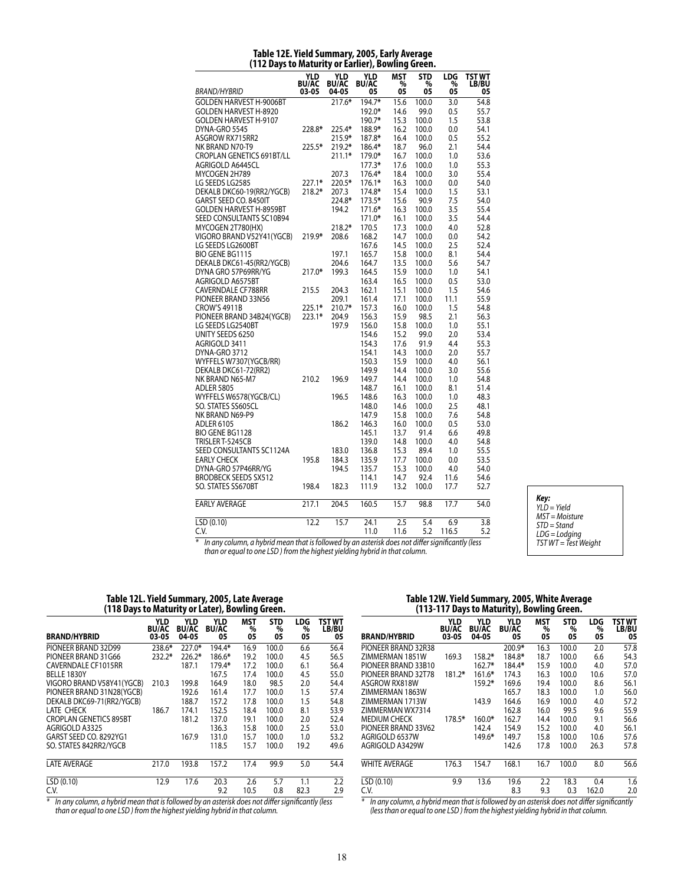| BRAND/HYBRID                     | YLD<br><b>BU/AC</b><br>03-05 | <b>YLD</b><br><b>BU/AC</b><br>04-05 | <b>YLD</b><br><b>BU/AC</b><br>05 | MST<br>%<br>05 | <b>STD</b><br>%<br>05 | LDG<br>%<br>05 | TST WT<br>LB/BU<br>05 |
|----------------------------------|------------------------------|-------------------------------------|----------------------------------|----------------|-----------------------|----------------|-----------------------|
| <b>GOLDEN HARVEST H-9006BT</b>   |                              | 217.6*                              | 194.7*                           | 15.6           | 100.0                 | 3.0            | 54.8                  |
| <b>GOLDEN HARVEST H-8920</b>     |                              |                                     | 192.0*                           | 14.6           | 99.0                  | 0.5            | 55.7                  |
| GOLDEN HARVEST H-9107            |                              |                                     | 190.7*                           | 15.3           | 100.0                 | 1.5            | 53.8                  |
| DYNA-GRO 5545                    | 228.8*                       | 225.4*                              | 188.9*                           | 16.2           | 100.0                 | 0.0            | 54.1                  |
| ASGROW RX715RR2                  |                              | 215.9*                              | 187.8*                           | 16.4           | 100.0                 | 0.5            | 55.2                  |
| NK BRAND N70-T9                  | 225.5*                       | 219.2*                              | 186.4*                           | 18.7           | 96.0                  | 2.1            | 54.4                  |
| <b>CROPLAN GENETICS 691BT/LL</b> |                              | $211.1*$                            | 179.0*                           | 16.7           | 100.0                 | 1.0            | 53.6                  |
| Agrigold A6445CL                 |                              |                                     | $177.3*$                         | 17.6           | 100.0                 | 1.0            | 55.3                  |
| MYCOGEN 2H789                    |                              | 207.3                               | 176.4*                           | 18.4           | 100.0                 | 3.0            | 55.4                  |
| LG SEEDS LG2585                  | $227.1*$                     | 220.5*                              | $176.1*$                         | 16.3           | 100.0                 | 0.0            | 54.0                  |
| DEKALB DKC60-19(RR2/YGCB)        | 218.2*                       | 207.3                               | 174.8*                           | 15.4           | 100.0                 | 1.5            | 53.1                  |
| GARST SEED CO. 8450IT            |                              | 224.8*                              | 173.5*                           | 15.6           | 90.9                  | 7.5            | 54.0                  |
| <b>GOLDEN HARVEST H-8959BT</b>   |                              | 194.2                               | 171.6*                           | 16.3           | 100.0                 | 3.5            | 55.4                  |
| SEED CONSULTANTS SC10B94         |                              |                                     | 171.0*                           | 16.1           | 100.0                 | 3.5            | 54.4                  |
| MYCOGEN 2T780(HX)                |                              | 218.2*                              | 170.5                            | 17.3           | 100.0                 | 4.0            | 52.8                  |
| VIGORO BRAND V52Y41(YGCB)        | 219.9*                       | 208.6                               | 168.2                            | 14.7           | 100.0                 | 0.0            | 54.2                  |
| LG SEEDS LG2600BT                |                              |                                     | 167.6                            | 14.5           | 100.0                 | 2.5            | 52.4                  |
| <b>BIO GENE BG1115</b>           |                              | 197.1                               | 165.7                            | 15.8           | 100.0                 | 8.1            | 54.4                  |
| DEKALB DKC61-45(RR2/YGCB)        |                              | 204.6                               | 164.7                            | 13.5           | 100.0                 | 5.6            | 54.7                  |
| DYNA GRO 57P69RR/YG              | 217.0*                       | 199.3                               | 164.5                            | 15.9           | 100.0                 | 1.0            | 54.1                  |
| AGRIGOLD A6575BT                 |                              |                                     | 163.4                            | 16.5           | 100.0                 | 0.5            | 53.0                  |
| CAVERNDALE CF788RR               | 215.5                        | 204.3                               | 162.1                            | 15.1           | 100.0                 | 1.5            | 54.6                  |
| PIONEER BRAND 33N56              |                              | 209.1                               | 161.4                            | 17.1           | 100.0                 | 11.1           | 55.9                  |
| <b>CROW'S 4911B</b>              | 225.1*                       | $210.7*$                            | 157.3                            | 16.0           | 100.0                 | 1.5            | 54.8                  |
| PIONEER BRAND 34B24(YGCB)        | 223.1*                       | 204.9                               | 156.3                            | 15.9           | 98.5                  | 2.1            | 56.3                  |
| LG SEEDS LG2540BT                |                              | 197.9                               | 156.0                            | 15.8           | 100.0                 | 1.0            | 55.1                  |
| UNITY SEEDS 6250                 |                              |                                     | 154.6                            | 15.2           | 99.0                  | 2.0            | 53.4                  |
| AGRIGOLD 3411                    |                              |                                     | 154.3                            | 17.6           | 91.9                  | 4.4            | 55.3                  |
| DYNA-GRO 3712                    |                              |                                     | 154.1                            | 14.3           | 100.0                 | 2.0            | 55.7                  |
| WYFFELS W7307(YGCB/RR)           |                              |                                     | 150.3                            | 15.9           | 100.0                 | 4.0            | 56.1                  |
| DEKALB DKC61-72(RR2)             |                              |                                     | 149.9                            | 14.4           | 100.0                 | 3.0            | 55.6                  |
| NK BRAND N65-M7                  | 210.2                        | 196.9                               | 149.7                            | 14.4           | 100.0                 | 1.0            | 54.8                  |
| <b>ADLER 5805</b>                |                              |                                     | 148.7                            | 16.1           | 100.0                 | 8.1            | 51.4                  |
| WYFFELS W6578(YGCB/CL)           |                              | 196.5                               | 148.6                            | 16.3           | 100.0                 | 1.0            | 48.3                  |
| SO. STATES SS605CL               |                              |                                     | 148.0                            | 14.6           | 100.0                 | 2.5            | 48.1                  |
| NK BRAND N69-P9                  |                              |                                     | 147.9                            | 15.8           | 100.0                 | 7.6            | 54.8                  |
| ADLER 6105                       |                              | 186.2                               | 146.3                            | 16.0           | 100.0                 | 0.5            | 53.0                  |
| BIO GENE BG1128                  |                              |                                     | 145.1                            | 13.7           | 91.4                  | 6.6            | 49.8                  |
| TRISLER T-5245CB                 |                              |                                     | 139.0                            | 14.8           | 100.0                 | 4.0            | 54.8                  |
| SEED CONSULTANTS SC1124A         |                              | 183.0                               | 136.8                            | 15.3           | 89.4                  | 1.0            | 55.5                  |
| <b>EARLY CHECK</b>               | 195.8                        | 184.3                               | 135.9                            | 17.7           | 100.0                 | 0.0            | 53.5                  |
| DYNA-GRO 57P46RR/YG              |                              | 194.5                               | 135.7                            | 15.3           | 100.0                 | 4.0            | 54.0                  |
| <b>BRODBECK SEEDS SX512</b>      |                              |                                     | 114.1                            | 14.7           | 92.4                  | 11.6           | 54.6                  |
| SO. STATES SS670BT               | 198.4                        | 182.3                               | 111.9                            | 13.2           | 100.0                 | 17.7           | 52.7                  |
| EARLY AVERAGE                    | 217.1                        | 204.5                               | 160.5                            | 15.7           | 98.8                  | 17.7           | 54.0                  |
| LSD(0.10)                        | 12.2                         | 15.7                                | 24.1                             | 2.5            | 5.4                   | 6.9            | 3.8                   |
| C.V.                             |                              |                                     | 11.0                             | 11.6           | 5.2                   | 116.5          | 5.2                   |
|                                  | $\overline{\phantom{a}}$     |                                     |                                  |                |                       |                |                       |

#### **Table 12E. Yield Summary, 2005, Early Average (112 Days to Maturity or Earlier), Bowling Green.**

*Key: YLD = Yield MST = Moisture STD = Stand LDG = Lodging TST WT = Test Weight*

*\* In any column, a hybrid mean that is followed by an asterisk does not differ significantly (less than or equal to one LSD ) from the highest yielding hybrid in that column.*

#### **Table 12L. Yield Summary, 2005, Late Average (118 Days to Maturity or Later), Bowling Green.**

|                               |                                     |                                     | ,,                               |                       |                       |                |                              |  |  |  |  |  |
|-------------------------------|-------------------------------------|-------------------------------------|----------------------------------|-----------------------|-----------------------|----------------|------------------------------|--|--|--|--|--|
| <b>BRAND/HYBRID</b>           | <b>YLD</b><br><b>BU/AC</b><br>03-05 | <b>YLD</b><br><b>BU/AC</b><br>04-05 | <b>YLD</b><br><b>BU/AC</b><br>05 | <b>MST</b><br>%<br>05 | <b>STD</b><br>%<br>05 | LDG<br>%<br>05 | <b>TST WT</b><br>LB/BU<br>05 |  |  |  |  |  |
| PIONEER BRAND 32D99           | 238.6*                              | 227.0*                              | 194.4*                           | 16.9                  | 100.0                 | 6.6            | 56.4                         |  |  |  |  |  |
| PIONEER BRAND 31G66           | 232.2*                              | $226.2*$                            | 186.6*                           | 19.2                  | 100.0                 | 4.5            | 56.5                         |  |  |  |  |  |
| CAVERNDALE CF1015RR           |                                     | 187.1                               | 179.4*                           | 17.2                  | 100.0                 | 6.1            | 56.4                         |  |  |  |  |  |
| BELLE 1830Y                   |                                     |                                     | 167.5                            | 17.4                  | 100.0                 | 4.5            | 55.0                         |  |  |  |  |  |
| VIGORO BRAND V58Y41 (YGCB)    | 210.3                               | 199.8                               | 164.9                            | 18.0                  | 98.5                  | 2.0            | 54.4                         |  |  |  |  |  |
| PIONEER BRAND 31N28(YGCB)     |                                     | 192.6                               | 161.4                            | 17.7                  | 100.0                 | 1.5            | 57.4                         |  |  |  |  |  |
| DEKALB DKC69-71(RR2/YGCB)     |                                     | 188.7                               | 157.2                            | 17.8                  | 100.0                 | 1.5            | 54.8                         |  |  |  |  |  |
| LATE CHECK                    | 186.7                               | 174.1                               | 152.5                            | 18.4                  | 100.0                 | 8.1            | 53.9                         |  |  |  |  |  |
| <b>CROPLAN GENETICS 895BT</b> |                                     | 181.2                               | 137.0                            | 19.1                  | 100.0                 | 2.0            | 52.4                         |  |  |  |  |  |
| AGRIGOLD A3325                |                                     |                                     | 136.3                            | 15.8                  | 100.0                 | 2.5            | 53.0                         |  |  |  |  |  |
| GARST SEED CO. 8292YG1        |                                     | 167.9                               | 131.0                            | 15.7                  | 100.0                 | 1.0            | 53.2                         |  |  |  |  |  |
| SO. STATES 842RR2/YGCB        |                                     |                                     | 118.5                            | 15.7                  | 100.0                 | 19.2           | 49.6                         |  |  |  |  |  |
| <b>LATE AVERAGE</b>           | 217.0                               | 193.8                               | 157.2                            | 17.4                  | 99.9                  | 5.0            | 54.4                         |  |  |  |  |  |
| LSD(0.10)                     | 12.9                                | 17.6                                | 20.3                             | 2.6                   | 5.7                   | 1.1            | 2.2                          |  |  |  |  |  |
| C.V.                          |                                     |                                     | 9.2                              | 10.5                  | 0.8                   | 82.3           | 2.9                          |  |  |  |  |  |

*\* In any column, a hybrid mean that is followed by an asterisk does not differ significantly (less than or equal to one LSD ) from the highest yielding hybrid in that column.*

### **Table 12W. Yield Summary, 2005, White Average (113-117 Days to Maturity), Bowling Green.**

|                        |                              |                                     | ,,,                              | ◢                     |                       |                       |                              |
|------------------------|------------------------------|-------------------------------------|----------------------------------|-----------------------|-----------------------|-----------------------|------------------------------|
| <b>BRAND/HYBRID</b>    | YLD<br><b>BU/AC</b><br>03-05 | <b>YLD</b><br><b>BU/AC</b><br>04-05 | <b>YLD</b><br><b>BU/AC</b><br>05 | <b>MST</b><br>%<br>05 | <b>STD</b><br>%<br>05 | <b>LDG</b><br>%<br>05 | <b>TST WT</b><br>LB/BU<br>05 |
| PIONEER BRAND 32R38    |                              |                                     | $200.9*$                         | 16.3                  | 100.0                 | 2.0                   | 57.8                         |
| ZIMMERMAN 1851W        | 169.3                        | 158.2*                              | 184.8*                           | 18.7                  | 100.0                 | 6.6                   | 54.3                         |
| PIONEER BRAND 33B10    |                              | 162.7*                              | 184.4*                           | 15.9                  | 100.0                 | 4.0                   | 57.0                         |
| PIONEER BRAND 32T78    | $181.2*$                     | $161.6*$                            | 174.3                            | 16.3                  | 100.0                 | 10.6                  | 57.0                         |
| ASGROW RX818W          |                              | 159.2*                              | 169.6                            | 19.4                  | 100.0                 | 8.6                   | 56.1                         |
| ZIMMERMAN 1863W        |                              |                                     | 165.7                            | 18.3                  | 100.0                 | 1.0                   | 56.0                         |
| <b>ZIMMFRMAN 1713W</b> |                              | 143.9                               | 164.6                            | 16.9                  | 100.0                 | 4.0                   | 57.2                         |
| ZIMMERMAN WX7314       |                              |                                     | 162.8                            | 16.0                  | 99.5                  | 9.6                   | 55.9                         |
| <b>MEDIUM CHECK</b>    | 178.5*                       | $160.0*$                            | 162.7                            | 14.4                  | 100.0                 | 9.1                   | 56.6                         |
| PIONEER BRAND 33V62    |                              | 142.4                               | 154.9                            | 15.2                  | 100.0                 | 4.0                   | 56.1                         |
| AGRIGOLD 6537W         |                              | 149.6*                              | 149.7                            | 15.8                  | 100.0                 | 10.6                  | 57.6                         |
| AGRIGOLD A3429W        |                              |                                     | 142.6                            | 17.8                  | 100.0                 | 26.3                  | 57.8                         |
| <b>WHITE AVERAGE</b>   | 176.3                        | 154.7                               | 168.1                            | 16.7                  | 100.0                 | 8.0                   | 56.6                         |
| LSD(0.10)              | 9.9                          | 13.6                                | 19.6                             | 2.2                   | 18.3                  | 0.4                   | 1.6                          |
| C.V.                   |                              |                                     | 8.3                              | 9.3                   | 0.3                   | 162.0                 | 2.0                          |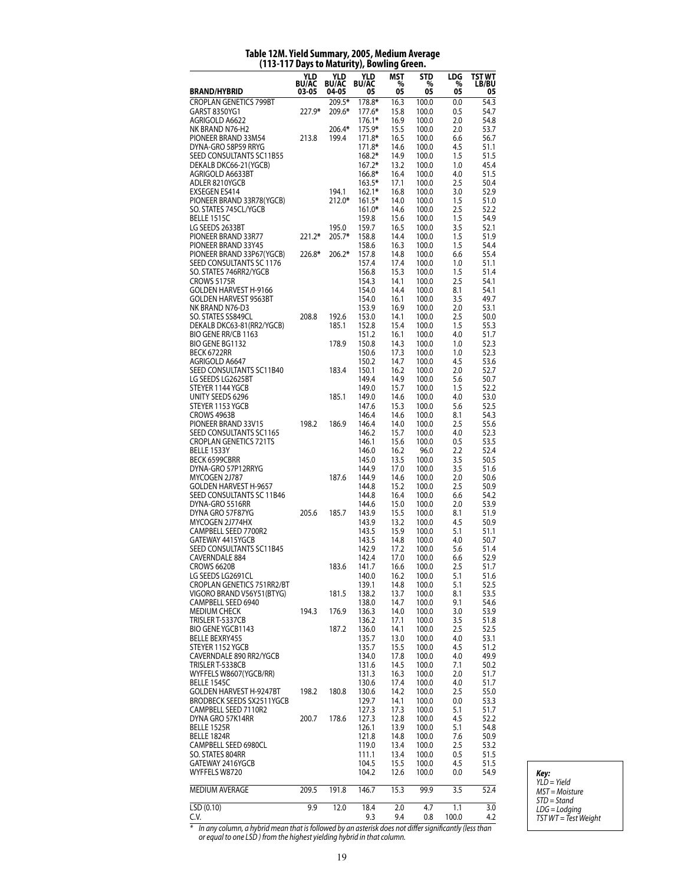#### **BRAND/HYBRID YLD BU/AC 03-05 YLD BU/AC 04-05 YLD BU/AC 05 MST % 05 STD % 05 LDG % 05 TST WT LB/BU 05** CROPLAN GENETICS 799BT 209.5**\*** 178.8**\*** 16.3 100.0 0.0 54.3 GARST 8350YG1 227.9**\*** 209.6**\*** 177.6**\*** 15.8 100.0 0.5 54.7 AGRIGOLD A6622 176.1**\*** 16.9 100.0 2.0 54.8 NK BRAND N76-H2 206.4**\*** 175.9**\*** 15.5 100.0 2.0 53.7 PIONEER BRAND 33M54 213.8 199.4 171.8**\*** 16.5 100.0 6.6 56.7 DYNA-GRO 58P59 RRYG 171.8**\*** 14.6 100.0 4.5 51.1 SEED CONSULTANTS SC11B55 168.2<sup>\*</sup> 14.9 100.0 1.5 51.5<br>DEKALB DKC66-21(YGCB) 167.2<sup>\*</sup> 13.2 100.0 1.0 45.4 DEKALB DKC66-21(YGCB) 167.2**\*** 13.2 100.0 1.0 45.4 AGRIGOLD A6633BT 166.8**\*** 16.4 100.0 4.0 51.5 ADLER 8210YGCB 163.5<sup>\*</sup> 17.1 100.0 2.5<br>EXSEGEN ES414 194.1 162.1<sup>\*</sup> 16.8 100.0 3.0 EXSEGEN ES414 194.1 162.1**\*** 16.8 100.0 3.0 52.9 PIONEER BRAND 33R78(YGCB) 212.0**\*** 161.5**\*** 14.0 100.0 1.5 51.0 SO. STATES 745CL/YGCB 161.0**\*** 14.6 100.0 2.5 52.2 BELLE 1515C 159.8 15.6 100.0 1.5 54.9 LG SEEDS 2633BT 195.0 159.7 16.5 100.0 3.5 52.1 **PIONEER BRAND 33R77** PIONEER BRAND 33Y45<br>PIONEER BRAND 33P67(YGCB) 226.8\* 206.2\* 157.8 14.8 100.0 6.6 55.4 PIONEER BRAND 33P67(YGCB) 226.8**\*** 206.2**\*** 157.8 14.8 100.0 6.6 55.4 SEED CONSULTANTS SC 1176 SO. STATES 746RR2/YGCB 156.8 15.3 100.0 1.5 51.4<br>CROWS 5175R 156.8 154.3 14.1 100.0 2.5 54.1 CROWS 5175R 154.3 14.1 100.0 2.5 54.1 GOLDEN HARVEST H-9166 154.0 154.0 14.4 100.0 8.1 54.1 GOLDEN HARVEST 9563BT 154.0 16.1 100.0 3.5 49.7 NK BRAND N76-D3 153.9 16.9 100.0 2.0 53.1 SO. STATES SS849CL DEKALB DKC63-81(RR2/YGCB) 185.1 152.8 15.4 100.0 1.5 55.3 BIO GENE RR/CB 1163<br>BIO GENE BG1132 150.8 150.8 14.3 100.0 1.0 52.3 BIO GENE BG1132 BECK 6722RR 150.6 17.3 100.0 1.0 52.3 AGRIGOLD A6647 150.2 14.7 100.0 4.5 53.6 SEED CONSULTANTS SC11B40 183.4 150.1 16.2 100.0 2.0 52.7<br>149.4 14.9 100.0 5.6 50.7 LG SEEDS LG2625BT 149.4 14.9 100.0 5.6 50.7 STEYER 1144 YGCB 149.0 15.7 100.0 1.5 52.2 UNITY SEEDS 6296 185.1 149.0 14.6 100.0<br>STEYER 1153 YGCB 185.1 147.6 15.3 100.0 STEYER 1153 YGCB 147.6 15.3 100.0 5.6 52.5 CROWS 4963B 146.4 14.6 100.0 8.1 54.3<br>PIONEER BRAND 33V15 198.2 186.9 146.4 14.0 100.0 2.5 55.6 PIONEER BRAND 33V15 SEED CONSULTANTS SC1165 146.2 15.7 100.0 4.0 52.3 CROPLAN GENETICS 721TS 146.1 15.6 100.0 0.5 53.5 BELLE 1533Y 146.0 16.2 96.0 2.2 52.4 PECK 6599CBRR 126.0 145.0 145.0 13.5 100.0 3.5 50.5 100.0 5.5 50.5 1.6 144.9 17.0 100.0 3.5 51.6 DYNA-GRO 57P12RRYG 144.9 17.0 100.0 3.5 51.6 MYCOGEN 2J787 187.6 144.9 14.6 100.0 2.0 50.6 GOLDEN HARVEST H-9657 144.8 15.2 100.0 2.5 50.9 SEED CONSULTANTS SC 11B46 144.8 16.4 100.0 6.6 54.2 DYNA-GRO 5516RR 144.6 15.0 100.0 2.0 53.9 DYNA GRO 57F87YG 205.6 185.7 143.9 15.5 100.0 8.1 51.9 MYCOGEN 2J774HX 143.9 13.2 100.0 4.5 50.9 CAMPBELL SEED 7700R2 GATEWAY 4415YGCB 143.5 14.8 100.0 4.0 50.7 SEED CONSULTANTS SC11B45 142.9 17.2 100.0 5.6 51.4 CAVERNDALE 884 CROWS 6620B 183.6 141.7 16.6 100.0 2.5 51.7<br>1G SEEDS 1G2691CL 140.0 140.0 16.2 100.0 5.1 51.6 LG SEEDS LG2691CL 140.0 16.2 CROPLAN GENETICS 751RR2/BT 139.1 14.8 100.0 5.1 52.5 VIGORO BRAND V56Y51(BTYG) 181.5 138.2 13.7 100.0 8.1 53.5 CAMPBELL SEED 6940 138.0 14.7 100.0 9.1 54.6<br>MEDIUM CHECK 194.3 176.9 136.3 14.0 100.0 3.0 53.9 MEDIUM CHECK TRISLER T-5337CB 136.2 17.1 100.0 3.5 51.8 BIO GENE YGCB1143 187.2 136.0 14.1 100.0 2.5 52.5 **BELLE BEXRY455** STEYER 1152 YGCB 135.7 15.5 100.0 4.5 51.2 CAVERNDALE 890 RR2/YGCB 134.0 17.8 100.0 4.0 49.9 TRISLER T-5338CB 131.6 14.5 100.0 7.1 50.2 WYFFELS W8607(YGCB/RR) 131.3 16.3 100.0 2.0 51.7 BELLE 1545C 130.6 17.4 100.0 4.0 51.7 GOLDEN HARVEST H-9247BT 198.2 180.8 130.6 14.2 100.0 2.5<br>BRODBECK SEEDS SX2511YGCB 129.7 14.1 100.0 0.0 BRODBECK SEEDS SX2511YGCB 129.7 14.1 100.0 0.0 53.3 CAMPBELL SEED 7110R2 127.3 17.3 100.0 5.1 51.7 DYNA GRO 57K14RR BELLE 1525R 126.1 13.9 100.0 5.1 54.8 BELLE 1824R 121.8 14.8 100.0 7.6 50.9 CAMPBELL SEED 6980CL 119.0 13.4 100.0 2.5 53.2 SO. STATES 804RR<br>GATEWAY 2416YGCB GATEWAY 104.5 105.5 100.0 4.5 51.5 GATEWAY 2416YGCB 104.5 15.5 100.0 4.5 51.5 WYFFELS W8720 MEDIUM AVERAGE 209.5 191.8 146.7 15.3 99.9 3.5 52.4 LSD (0.10) 9.9 12.0 18.4 2.0 4.7 1.1 3.0 C.V. 9.3 9.4 0.8 100.0 4.2

### **Table 12M. Yield Summary, 2005, Medium Average (113-117 Days to Maturity), Bowling Green.**

*Key: YLD = Yield MST = Moisture STD = Stand LDG = Lodging TST WT = Test Weight*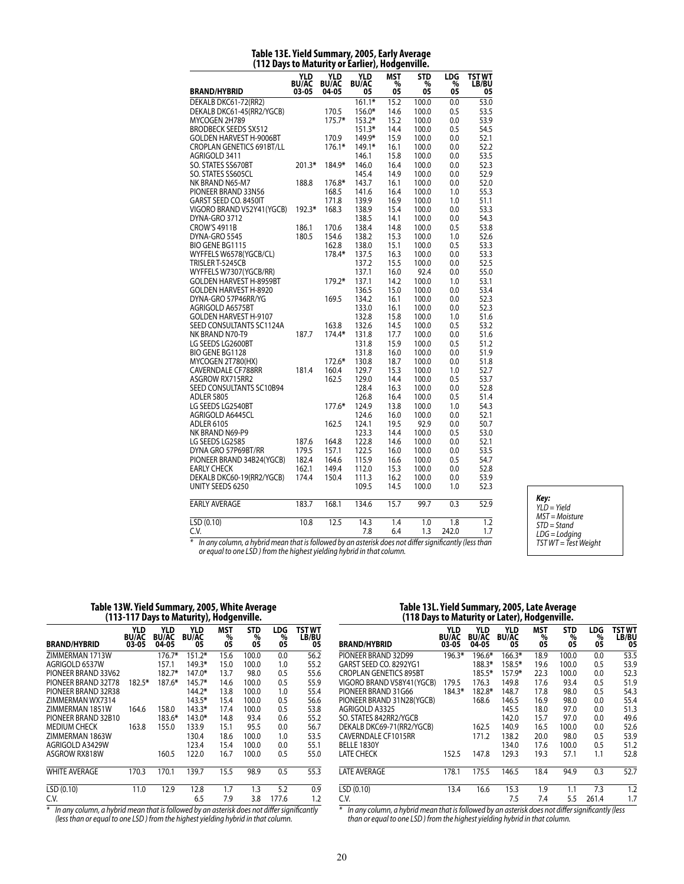| (112 Days to maturity or carrier), nougenville. |                            |                            |                            |                 |                 |          |                        |  |
|-------------------------------------------------|----------------------------|----------------------------|----------------------------|-----------------|-----------------|----------|------------------------|--|
|                                                 | <b>YLD</b><br><b>BU/AC</b> | <b>YLD</b><br><b>BU/AC</b> | <b>YLD</b><br><b>BU/AC</b> | <b>MST</b><br>% | <b>STD</b><br>% | LDG<br>% | <b>TST WT</b><br>LB/BU |  |
| <b>BRAND/HYBRID</b>                             | 03-05                      | 04-05                      | 05                         | 05              | 05              | 05       | 05                     |  |
| DEKALB DKC61-72(RR2)                            |                            |                            | $161.1*$                   | 15.2            | 100.0           | 0.0      | 53.0                   |  |
| DEKALB DKC61-45(RR2/YGCB)                       |                            | 170.5                      | 156.0*                     | 14.6            | 100.0           | 0.5      | 53.5                   |  |
| MYCOGEN 2H789                                   |                            | $175.7*$                   | $153.2*$                   | 15.2            | 100.0           | 0.0      | 53.9                   |  |
| <b>BRODBECK SEEDS SX512</b>                     |                            |                            | $151.3*$                   | 14.4            | 100.0           | 0.5      | 54.5                   |  |
| <b>GOLDEN HARVEST H-9006BT</b>                  |                            | 170.9                      | 149.9*                     | 15.9            | 100.0           | 0.0      | 52.1                   |  |
| <b>CROPLAN GENETICS 691BT/LL</b>                |                            | $176.1*$                   | 149.1*                     | 16.1            | 100.0           | 0.0      | 52.2                   |  |
| AGRIGOLD 3411                                   |                            |                            | 146.1                      | 15.8            | 100.0           | 0.0      | 53.5                   |  |
| SO. STATES SS670BT                              | 201.3*                     | 184.9*                     | 146.0                      | 16.4            | 100.0           | 0.0      | 52.3                   |  |
| SO. STATES SS605CL                              |                            |                            | 145.4                      | 14.9            | 100.0           | 0.0      | 52.9                   |  |
| NK BRAND N65-M7                                 | 188.8                      | 176.8*                     | 143.7                      | 16.1            | 100.0           | 0.0      | 52.0                   |  |
| PIONEER BRAND 33N56                             |                            | 168.5                      | 141.6                      | 16.4            | 100.0           | 1.0      | 55.3                   |  |
| GARST SEED CO. 8450IT                           |                            | 171.8                      | 139.9                      | 16.9            | 100.0           | 1.0      | 51.1                   |  |
| VIGORO BRAND V52Y41 (YGCB)                      | 192.3*                     | 168.3                      | 138.9                      | 15.4            | 100.0           | 0.0      | 53.3                   |  |
| DYNA-GRO 3712                                   |                            |                            | 138.5                      | 14.1            | 100.0           | 0.0      | 54.3                   |  |
| <b>CROW'S 4911B</b>                             | 186.1                      | 170.6                      | 138.4                      | 14.8            | 100.0           | 0.5      | 53.8                   |  |
| DYNA-GRO 5545                                   | 180.5                      | 154.6                      | 138.2                      | 15.3            | 100.0           | 1.0      | 52.6                   |  |
| BIO GENE BG1115                                 |                            | 162.8                      | 138.0                      | 15.1            | 100.0           | 0.5      | 53.3                   |  |
| WYFFELS W6578(YGCB/CL)                          |                            | 178.4*                     | 137.5                      | 16.3            | 100.0           | 0.0      | 53.3                   |  |
| TRISLER T-5245CB                                |                            |                            | 137.2                      | 15.5            | 100.0           | 0.0      | 52.5                   |  |
| WYFFELS W7307(YGCB/RR)                          |                            |                            | 137.1                      | 16.0            | 92.4            | 0.0      | 55.0                   |  |
| <b>GOLDEN HARVEST H-8959BT</b>                  |                            | 179.2*                     | 137.1                      | 14.2            | 100.0           | 1.0      | 53.1                   |  |
| GOLDEN HARVEST H-8920                           |                            |                            | 136.5                      | 15.0            | 100.0           | 0.0      | 53.4                   |  |
| DYNA-GRO 57P46RR/YG                             |                            | 169.5                      | 134.2                      | 16.1            | 100.0           | 0.0      | 52.3                   |  |
| AGRIGOLD A6575BT                                |                            |                            | 133.0                      | 16.1            | 100.0           | 0.0      | 52.3                   |  |
| <b>GOLDEN HARVEST H-9107</b>                    |                            |                            | 132.8                      | 15.8            | 100.0           | 1.0      | 51.6                   |  |
| SEED CONSULTANTS SC1124A                        |                            | 163.8                      | 132.6                      | 14.5            | 100.0           | 0.5      | 53.2                   |  |
| NK BRAND N70-T9                                 | 187.7                      | 174.4*                     | 131.8                      | 17.7            | 100.0           | 0.0      | 51.6                   |  |
| LG SEEDS LG2600BT                               |                            |                            | 131.8                      | 15.9            | 100.0           | 0.5      | 51.2                   |  |
| <b>BIO GENE BG1128</b>                          |                            |                            | 131.8                      | 16.0            | 100.0           | 0.0      | 51.9                   |  |
| MYCOGEN 2T780(HX)                               |                            | 172.6*                     | 130.8                      | 18.7            | 100.0           | 0.0      | 51.8                   |  |
| <b>CAVERNDALE CF788RR</b>                       | 181.4                      | 160.4                      | 129.7                      | 15.3            | 100.0           | 1.0      | 52.7                   |  |
| ASGROW RX715RR2                                 |                            | 162.5                      | 129.0                      | 14.4            | 100.0           | 0.5      | 53.7                   |  |
| SEED CONSULTANTS SC10B94                        |                            |                            | 128.4                      | 16.3            | 100.0           | 0.0      | 52.8                   |  |
| <b>ADLER 5805</b>                               |                            |                            | 126.8                      | 16.4            | 100.0           | 0.5      | 51.4                   |  |
| LG SEEDS LG2540BT                               |                            | 177.6*                     | 124.9                      | 13.8            | 100.0           | 1.0      | 54.3                   |  |
| AGRIGOLD A6445CL                                |                            |                            | 124.6                      | 16.0            | 100.0           | 0.0      | 52.1                   |  |
| <b>ADLER 6105</b>                               |                            | 162.5                      | 124.1                      | 19.5            | 92.9            | 0.0      | 50.7                   |  |
| NK BRAND N69-P9                                 |                            |                            | 123.3                      | 14.4            | 100.0           | 0.5      | 53.0                   |  |
| LG SEEDS LG2585                                 | 187.6                      | 164.8                      | 122.8                      | 14.6            | 100.0           | 0.0      | 52.1                   |  |
| DYNA GRO 57P69BT/RR                             | 179.5                      | 157.1                      | 122.5                      | 16.0            | 100.0           | 0.0      | 53.5                   |  |
| PIONEER BRAND 34B24(YGCB)                       | 182.4                      | 164.6                      | 115.9                      | 16.6            | 100.0           | 0.5      | 54.7                   |  |
| <b>EARLY CHECK</b>                              | 162.1                      | 149.4                      | 112.0                      | 15.3            | 100.0           | 0.0      | 52.8                   |  |
| DEKALB DKC60-19(RR2/YGCB)                       | 174.4                      | 150.4                      | 111.3                      | 16.2            | 100.0           | 0.0      | 53.9                   |  |
| UNITY SEEDS 6250                                |                            |                            | 109.5                      | 14.5            | 100.0           | 1.0      | 52.3                   |  |
|                                                 |                            |                            |                            |                 |                 |          |                        |  |
| <b>EARLY AVERAGE</b>                            | 183.7                      | 168.1                      | 134.6                      | 15.7            | 99.7            | 0.3      | 52.9                   |  |
| LSD (0.10)                                      | 10.8                       | 12.5                       | 14.3                       | 1.4             | 1.0             | 1.8      | 1.2                    |  |
| C.V.                                            |                            |                            | 7.8                        | 6.4             | 1.3             | 242.0    | 1.7                    |  |

#### **Table 13E. Yield Summary, 2005, Early Average (112 Days to Maturity or Earlier), Hodgenville.**

*Key: YLD = Yield MST = Moisture STD = Stand LDG = Lodging TST WT = Test Weight*

*\* In any column, a hybrid mean that is followed by an asterisk does not differ significantly (less than or equal to one LSD ) from the highest yielding hybrid in that column.*

### **Table 13W. Yield Summary, 2005, White Average (113-117 Days to Maturity), Hodgenville.**

| <b>BRAND/HYBRID</b>                                                                                  | <b>YLD</b><br><b>BU/AC</b><br>03-05 | YLD<br><b>BU/AC</b><br>04-05 | YLD<br><b>BU/AC</b><br>05 | <b>MST</b><br>%<br>05 | <b>STD</b><br>%<br>05 | LDG<br>%<br>05 | TST WT<br>LB/BU<br>05 |
|------------------------------------------------------------------------------------------------------|-------------------------------------|------------------------------|---------------------------|-----------------------|-----------------------|----------------|-----------------------|
| ZIMMERMAN 1713W                                                                                      |                                     | $176.7*$                     | $151.2*$                  | 15.6                  | 100.0                 | 0.0            | 56.2                  |
| AGRIGOLD 6537W                                                                                       |                                     | 157.1                        | 149.3*                    | 15.0                  | 100.0                 | 1.0            | 55.2                  |
| PIONEER BRAND 33V62                                                                                  |                                     | 182.7*                       | 147.0*                    | 13.7                  | 98.0                  | 0.5            | 55.6                  |
| PIONEER BRAND 32T78                                                                                  | 182.5*                              | 187.6*                       | $145.7*$                  | 14.6                  | 100.0                 | 0.5            | 55.9                  |
| PIONEER BRAND 32R38                                                                                  |                                     |                              | 144.2*                    | 13.8                  | 100.0                 | 1.0            | 55.4                  |
| ZIMMERMAN WX7314                                                                                     |                                     |                              | $143.5*$                  | 15.4                  | 100.0                 | 0.5            | 56.6                  |
| <b>7IMMFRMAN 1851W</b>                                                                               | 164.6                               | 158.0                        | 143.3*                    | 17.4                  | 100.0                 | 0.5            | 53.8                  |
| PIONEER BRAND 32B10                                                                                  |                                     | 183.6*                       | 143.0*                    | 14.8                  | 93.4                  | 0.6            | 55.2                  |
| <b>MEDIUM CHECK</b>                                                                                  | 163.8                               | 155.0                        | 133.9                     | 15.1                  | 95.5                  | 0.0            | 56.7                  |
| <b>ZIMMERMAN 1863W</b>                                                                               |                                     |                              | 130.4                     | 18.6                  | 100.0                 | 1.0            | 53.5                  |
| AGRIGOLD A3429W                                                                                      |                                     |                              | 123.4                     | 15.4                  | 100.0                 | 0.0            | 55.1                  |
| ASGROW RX818W                                                                                        |                                     | 160.5                        | 122.0                     | 16.7                  | 100.0                 | 0.5            | 55.0                  |
| <b>WHITE AVERAGE</b>                                                                                 | 170.3                               | 170.1                        | 139.7                     | 15.5                  | 98.9                  | 0.5            | 55.3                  |
| LSD(0.10)                                                                                            | 11.0                                | 12.9                         | 12.8                      | 1.7                   | 1.3                   | 5.2            | 0.9                   |
| C.V.                                                                                                 |                                     |                              | 6.5                       | 7.9                   | 3.8                   | 177.6          | 1.2                   |
| $\ast$<br>In any column, a bybrid mean that is followed by an asterisk does not differ significantly |                                     |                              |                           |                       |                       |                |                       |

*\* In any column, a hybrid mean that is followed by an asterisk does not differ significantly (less than or equal to one LSD ) from the highest yielding hybrid in that column.*

### **Table 13L. Yield Summary, 2005, Late Average (118 Days to Maturity or Later), Hodgenville.**

| <b>BRAND/HYBRID</b>           | <b>YLD</b><br><b>BU/AC</b><br>03-05 | <b>YLD</b><br><b>BU/AC</b><br>04-05 | <b>YLD</b><br><b>BU/AC</b><br>05 | <b>MST</b><br>%<br>05 | <b>STD</b><br>%<br>05 | <b>LDG</b><br>%<br>05 | TST WT<br>LB/BU<br>05 |
|-------------------------------|-------------------------------------|-------------------------------------|----------------------------------|-----------------------|-----------------------|-----------------------|-----------------------|
| PIONEER BRAND 32D99           | 196.3*                              | 196.6*                              | $166.3*$                         | 18.9                  | 100.0                 | 0.0                   | 53.5                  |
| GARST SEED CO. 8292YG1        |                                     | 188.3*                              | 158.5*                           | 19.6                  | 100.0                 | 0.5                   | 53.9                  |
| <b>CROPLAN GENETICS 895BT</b> |                                     | 185.5*                              | 157.9*                           | 22.3                  | 100.0                 | 0.0                   | 52.3                  |
| VIGORO BRAND V58Y41(YGCB)     | 179.5                               | 176.3                               | 149.8                            | 17.6                  | 93.4                  | 0.5                   | 51.9                  |
| PIONEER BRAND 31G66           | 184.3*                              | 182.8*                              | 148.7                            | 17.8                  | 98.0                  | 0.5                   | 54.3                  |
| PIONEER BRAND 31N28(YGCB)     |                                     | 168.6                               | 146.5                            | 16.9                  | 98.0                  | 0.0                   | 55.4                  |
| AGRIGOLD A3325                |                                     |                                     | 145.5                            | 18.0                  | 97.0                  | 0.0                   | 51.3                  |
| SO. STATES 842RR2/YGCB        |                                     |                                     | 142.0                            | 15.7                  | 97.0                  | 0.0                   | 49.6                  |
| DEKALB DKC69-71(RR2/YGCB)     |                                     | 162.5                               | 140.9                            | 16.5                  | 100.0                 | 0.0                   | 52.6                  |
| CAVERNDALE CF1015RR           |                                     | 171.2                               | 138.2                            | 20.0                  | 98.0                  | 0.5                   | 53.9                  |
| BELLE 1830Y                   |                                     |                                     | 134.0                            | 17.6                  | 100.0                 | 0.5                   | 51.2                  |
| <b>LATE CHECK</b>             | 152.5                               | 147.8                               | 129.3                            | 19.3                  | 57.1                  | 1.1                   | 52.8                  |
| <b>LATE AVERAGE</b>           | 178.1                               | 175.5                               | 146.5                            | 18.4                  | 94.9                  | 0.3                   | 52.7                  |
| LSD(0.10)                     | 13.4                                | 16.6                                | 15.3                             | 1.9                   | 1.1                   | 7.3                   | 1.2                   |
| C.V.                          |                                     |                                     | 7.5                              | 7.4                   | 5.5                   | 261.4                 | 1.7                   |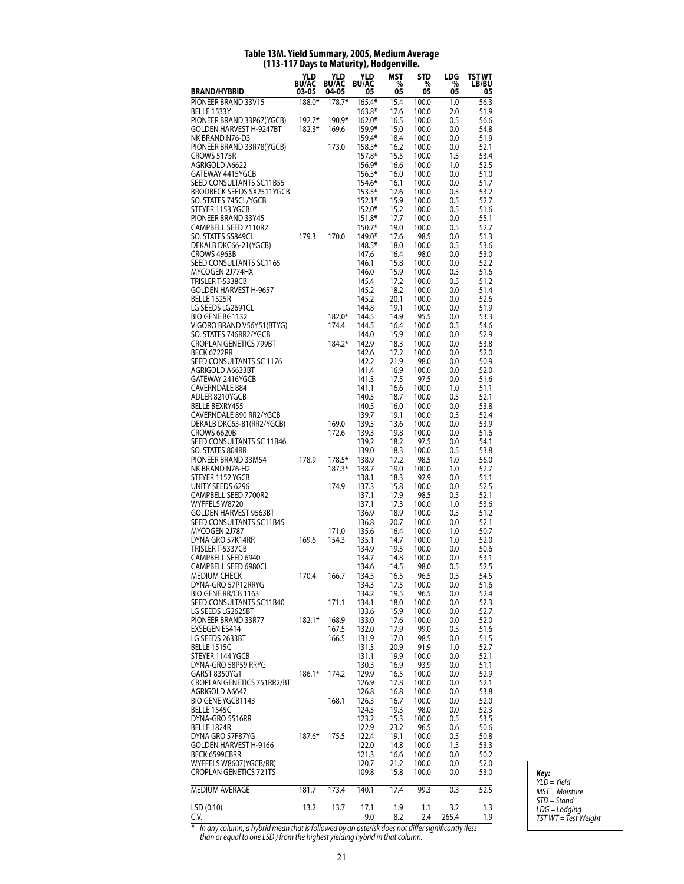# **Table 13M. Yield Summary, 2005, Medium Average (113-117 Days to Maturity), Hodgenville.**

|                                                  | YLD<br><b>BU/AC</b> | YLD<br><b>BU/AC</b> | YLD<br><b>BU/AC</b> | MST<br>%     | <b>STD</b><br>% | LDG<br>%   | TST WT<br>LB/BU |
|--------------------------------------------------|---------------------|---------------------|---------------------|--------------|-----------------|------------|-----------------|
| <b>BRAND/HYBRID</b>                              | 03-05               | 04-05               | 05                  | 05           | 05              | 05         | 05              |
| PIONEER BRAND 33V15<br>BELLE 1533Y               | 188.0*              | 178.7*              | 165.4*<br>163.8*    | 15.4<br>17.6 | 100.0<br>100.0  | 1.0<br>2.0 | 56.3<br>51.9    |
| PIONEER BRAND 33P67(YGCB)                        | 192.7*              | 190.9*              | 162.0*              | 16.5         | 100.0           | 0.5        | 56.6            |
| <b>GOLDEN HARVEST H-9247BT</b>                   | 182.3*              | 169.6               | 159.9*              | 15.0         | 100.0           | 0.0        | 54.8            |
| NK BRAND N76-D3<br>PIONEER BRAND 33R78(YGCB)     |                     | 173.0               | 159.4*<br>158.5*    | 18.4<br>16.2 | 100.0<br>100.0  | 0.0<br>0.0 | 51.9<br>52.1    |
| CROWS 5175R                                      |                     |                     | 157.8*              | 15.5         | 100.0           | 1.5        | 53.4            |
| AGRIGOLD A6622                                   |                     |                     | 156.9*              | 16.6         | 100.0           | 1.0        | 52.5            |
| GATEWAY 4415YGCB<br>SEED CONSULTANTS SC11B55     |                     |                     | 156.5*<br>154.6*    | 16.0<br>16.1 | 100.0<br>100.0  | 0.0<br>0.0 | 51.0<br>51.7    |
| <b>BRODBECK SEEDS SX2511YGCB</b>                 |                     |                     | 153.5*              | 17.6         | 100.0           | 0.5        | 53.2            |
| SO. STATES 745CL/YGCB                            |                     |                     | $152.1*$            | 15.9         | 100.0           | 0.5        | 52.7            |
| STEYER 1153 YGCB<br>PIONEER BRAND 33Y45          |                     |                     | 152.0*<br>151.8*    | 15.2<br>17.7 | 100.0<br>100.0  | 0.5<br>0.0 | 51.6<br>55.1    |
| CAMPBELL SEED 7110R2                             |                     |                     | 150.7*              | 19.0         | 100.0           | 0.5        | 52.7            |
| SO. STATES SS849CL                               | 179.3               | 170.0               | 149.0*              | 17.6         | 98.5            | 0.0        | 51.3            |
| DEKALB DKC66-21(YGCB)<br>CROWS 4963B             |                     |                     | 148.5*<br>147.6     | 18.0<br>16.4 | 100.0<br>98.0   | 0.5<br>0.0 | 53.6<br>53.0    |
| SEED CONSULTANTS SC1165                          |                     |                     | 146.1               | 15.8         | 100.0           | 0.0        | 52.2            |
| MYCOGEN 2J774HX                                  |                     |                     | 146.0               | 15.9         | 100.0           | 0.5        | 51.6            |
| TRISLER T-5338CB<br><b>GOLDEN HARVEST H-9657</b> |                     |                     | 145.4<br>145.2      | 17.2<br>18.2 | 100.0<br>100.0  | 0.5<br>0.0 | 51.2<br>51.4    |
| <b>BELLE 1525R</b>                               |                     |                     | 145.2               | 20.1         | 100.0           | 0.0        | 52.6            |
| LG SEEDS LG2691CL                                |                     |                     | 144.8               | 19.1         | 100.0           | 0.0        | 51.9            |
| BIO GENE BG1132<br>VIGORO BRAND V56Y51(BTYG)     |                     | 182.0*<br>174.4     | 144.5<br>144.5      | 14.9<br>16.4 | 95.5<br>100.0   | 0.0<br>0.5 | 53.3<br>54.6    |
| SO. STATES 746RR2/YGCB                           |                     |                     | 144.0               | 15.9         | 100.0           | 0.0        | 52.9            |
| <b>CROPLAN GENETICS 799BT</b>                    |                     | 184.2*              | 142.9               | 18.3         | 100.0           | 0.0        | 53.8            |
| BECK 6722RR<br>SEED CONSULTANTS SC 1176          |                     |                     | 142.6<br>142.2      | 17.2<br>21.9 | 100.0<br>98.0   | 0.0<br>0.0 | 52.0<br>50.9    |
| AGRIGOLD A6633BT                                 |                     |                     | 141.4               | 16.9         | 100.0           | 0.0        | 52.0            |
| GATEWAY 2416YGCB                                 |                     |                     | 141.3               | 17.5         | 97.5            | 0.0        | 51.6            |
| <b>CAVERNDALE 884</b><br>ADLER 8210YGCB          |                     |                     | 141.1<br>140.5      | 16.6<br>18.7 | 100.0<br>100.0  | 1.0<br>0.5 | 51.1<br>52.1    |
| <b>BELLE BEXRY455</b>                            |                     |                     | 140.5               | 16.0         | 100.0           | 0.0        | 53.8            |
| CAVERNDALE 890 RR2/YGCB                          |                     |                     | 139.7               | 19.1         | 100.0           | 0.5        | 52.4            |
| DEKALB DKC63-81(RR2/YGCB)<br>CROWS 6620B         |                     | 169.0<br>172.6      | 139.5<br>139.3      | 13.6<br>19.8 | 100.0<br>100.0  | 0.0<br>0.0 | 53.9<br>51.6    |
| SEED CONSULTANTS SC 11B46                        |                     |                     | 139.2               | 18.2         | 97.5            | 0.0        | 54.1            |
| SO. STATES 804RR                                 |                     |                     | 139.0               | 18.3         | 100.0           | 0.5        | 53.8            |
| PIONEER BRAND 33M54<br>NK BRAND N76-H2           | 178.9               | 178.5*<br>187.3*    | 138.9<br>138.7      | 17.2<br>19.0 | 98.5<br>100.0   | 1.0<br>1.0 | 56.0<br>52.7    |
| STEYER 1152 YGCB                                 |                     |                     | 138.1               | 18.3         | 92.9            | 0.0        | 51.1            |
| UNITY SEEDS 6296                                 |                     | 174.9               | 137.3               | 15.8         | 100.0           | 0.0        | 52.5            |
| CAMPBELL SEED 7700R2<br>WYFFELS W8720            |                     |                     | 137.1<br>137.1      | 17.9<br>17.3 | 98.5<br>100.0   | 0.5<br>1.0 | 52.1<br>53.6    |
| <b>GOLDEN HARVEST 9563BT</b>                     |                     |                     | 136.9               | 18.9         | 100.0           | 0.5        | 51.2            |
| SEED CONSULTANTS SC11B45                         |                     |                     | 136.8               | 20.7         | 100.0           | 0.0        | 52.1            |
| MYCOGEN 2J787<br>DYNA GRO 57K14RR                | 169.6               | 171.0<br>154.3      | 135.6<br>135.1      | 16.4<br>14.7 | 100.0<br>100.0  | 1.0<br>1.0 | 50.7<br>52.0    |
| TRISLER T-5337CB                                 |                     |                     | 134.9               | 19.5         | 100.0           | 0.0        | 50.6            |
| CAMPBELL SEED 6940                               |                     |                     | 134.7               | 14.8         | 100.0           | 0.0        | 53.1            |
| CAMPBELL SEED 6980CL<br><b>MEDIUM CHECK</b>      | 170.4               | 166.7               | 134.6<br>134.5      | 14.5<br>16.5 | 98.0<br>96.5    | 0.5<br>0.5 | 52.5<br>54.5    |
| DYNA-GRO 57P12RRYG                               |                     |                     | 134.3               | 17.5         | 100.0           | 0.0        | 51.6            |
| BIO GENE RR/CB 1163                              |                     |                     | 134.2               | 19.5         | 96.5            | 0.0        | 52.4            |
| SEED CONSULTANTS SC11B40<br>LG SEEDS LG2625BT    |                     | 171.1               | 134.1<br>133.6      | 18.0<br>15.9 | 100.0<br>100.0  | 0.0<br>0.0 | 52.3<br>52.7    |
| PIONEER BRAND 33R77                              | $182.1*$            | 168.9               | 133.0               | 17.6         | 100.0           | 0.0        | 52.0            |
| <b>EXSEGEN ES414</b><br>LG SEEDS 2633BT          |                     | 167.5               | 132.0               | 17.9         | 99.0            | 0.5        | 51.6            |
| <b>BELLE 1515C</b>                               |                     | 166.5               | 131.9<br>131.3      | 17.0<br>20.9 | 98.5<br>91.9    | 0.0<br>1.0 | 51.5<br>52.7    |
| STEYER 1144 YGCB                                 |                     |                     | 131.1               | 19.9         | 100.0           | 0.0        | 52.1            |
| DYNA-GRO 58P59 RRYG<br>GARST 8350YG1             | $186.1*$            | 174.2               | 130.3<br>129.9      | 16.9<br>16.5 | 93.9            | 0.0        | 51.1<br>52.9    |
| CROPLAN GENETICS 751RR2/BT                       |                     |                     | 126.9               | 17.8         | 100.0<br>100.0  | 0.0<br>0.0 | 52.1            |
| AGRIGOLD A6647                                   |                     |                     | 126.8               | 16.8         | 100.0           | 0.0        | 53.8            |
| BIO GENE YGCB1143                                |                     | 168.1               | 126.3               | 16.7         | 100.0           | 0.0        | 52.0            |
| <b>BELLE 1545C</b><br>DYNA-GRO 5516RR            |                     |                     | 124.5<br>123.2      | 19.3<br>15.3 | 98.0<br>100.0   | 0.0<br>0.5 | 52.3<br>53.5    |
| BELLE 1824R                                      |                     |                     | 122.9               | 23.2         | 96.5            | 0.6        | 50.6            |
| DYNA GRO 57F87YG                                 | 187.6*              | 175.5               | 122.4               | 19.1         | 100.0           | 0.5        | 50.8            |
| GOLDEN HARVEST H-9166<br>BECK 6599CBRR           |                     |                     | 122.0<br>121.3      | 14.8<br>16.6 | 100.0<br>100.0  | 1.5<br>0.0 | 53.3<br>50.2    |
| WYFFELS W8607(YGCB/RR)                           |                     |                     | 120.7               | 21.2         | 100.0           | 0.0        | 52.0            |
| <b>CROPLAN GENETICS 721TS</b>                    |                     |                     | 109.8               | 15.8         | 100.0           | 0.0        | 53.0            |
| MEDIUM AVERAGE                                   | 181.7               | 173.4               | 140.1               | 17.4         | 99.3            | 0.3        | 52.5            |
| LSD(0.10)                                        | 13.2                | 13.7                | 17.1                | 1.9          | 1.1             | 3.2        | 1.3             |
| C.V.                                             |                     |                     | 9.0                 | 8.2          | 2.4             | 265.4      | 1.9             |

*Key: YLD = Yield MST = Moisture STD = Stand LDG = Lodging TST WT = Test Weight*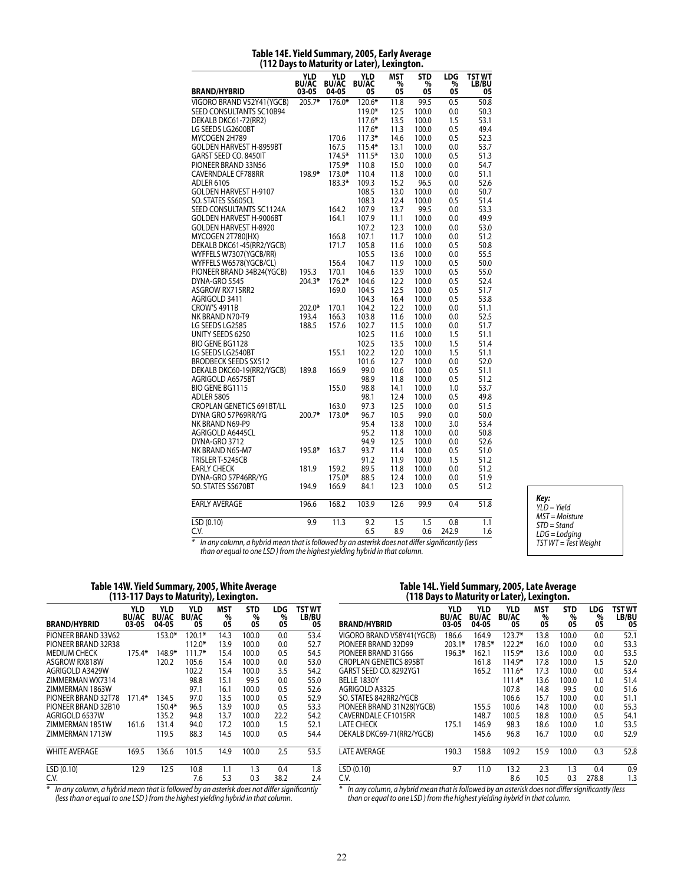|                                | , www.                       |                              | <b>THE LAST AND A</b>     |                       |                          |                |                       |
|--------------------------------|------------------------------|------------------------------|---------------------------|-----------------------|--------------------------|----------------|-----------------------|
| <b>BRAND/HYBRID</b>            | YLD<br><b>BU/AC</b><br>03-05 | YLD<br><b>BU/AC</b><br>04-05 | YLD<br><b>BU/AC</b><br>05 | <b>MST</b><br>%<br>05 | <b>STD</b><br>$\%$<br>05 | LDG<br>%<br>05 | TST WT<br>LB/BU<br>05 |
| VIGORO BRAND V52Y41 (YGCB)     | 205.7*                       | 176.0*                       | 120.6*                    | 11.8                  | 99.5                     | 0.5            | 50.8                  |
| SEED CONSULTANTS SC10B94       |                              |                              | 119.0*                    | 12.5                  | 100.0                    | 0.0            | 50.3                  |
| DEKALB DKC61-72(RR2)           |                              |                              | $117.6*$                  | 13.5                  | 100.0                    | 1.5            | 53.1                  |
| LG SEEDS LG2600BT              |                              |                              | 117.6*                    | 11.3                  | 100.0                    | 0.5            | 49.4                  |
| MYCOGEN 2H789                  |                              | 170.6                        | $117.3*$                  | 14.6                  | 100.0                    | 0.5            | 52.3                  |
| <b>GOLDEN HARVEST H-8959BT</b> |                              | 167.5                        | 115.4*                    | 13.1                  | 100.0                    | 0.0            | 53.7                  |
| GARST SEED CO. 8450IT          |                              | 174.5*                       | $111.5*$                  | 13.0                  | 100.0                    | 0.5            | 51.3                  |
| PIONEER BRAND 33N56            |                              | 175.9*                       | 110.8                     | 15.0                  | 100.0                    | 0.0            | 54.7                  |
| <b>CAVERNDALE CF788RR</b>      | 198.9*                       | 173.0*                       | 110.4                     | 11.8                  | 100.0                    | 0.0            | 51.1                  |
| <b>ADLER 6105</b>              |                              | 183.3*                       | 109.3                     | 15.2                  | 96.5                     | 0.0            | 52.6                  |
| GOLDEN HARVEST H-9107          |                              |                              | 108.5                     | 13.0                  | 100.0                    | 0.0            | 50.7                  |
| SO. STATES SS605CL             |                              |                              | 108.3                     | 12.4                  | 100.0                    | 0.5            | 51.4                  |
| SEED CONSULTANTS SC1124A       |                              |                              |                           | 13.7                  | 99.5                     |                | 53.3                  |
| <b>GOLDEN HARVEST H-9006BT</b> |                              | 164.2<br>164.1               | 107.9<br>107.9            | 11.1                  | 100.0                    | 0.0<br>0.0     | 49.9                  |
|                                |                              |                              |                           |                       |                          |                |                       |
| <b>GOLDEN HARVEST H-8920</b>   |                              |                              | 107.2                     | 12.3                  | 100.0                    | 0.0            | 53.0                  |
| MYCOGEN 2T780(HX)              |                              | 166.8<br>171.7               | 107.1                     | 11.7                  | 100.0                    | 0.0            | 51.2                  |
| DEKALB DKC61-45(RR2/YGCB)      |                              |                              | 105.8                     | 11.6                  | 100.0                    | 0.5            | 50.8                  |
| WYFFELS W7307(YGCB/RR)         |                              |                              | 105.5                     | 13.6                  | 100.0                    | 0.0            | 55.5                  |
| WYFFELS W6578(YGCB/CL)         |                              | 156.4                        | 104.7                     | 11.9                  | 100.0                    | 0.5            | 50.0                  |
| PIONEER BRAND 34B24(YGCB)      | 195.3                        | 170.1                        | 104.6                     | 13.9                  | 100.0                    | 0.5            | 55.0                  |
| DYNA-GRO 5545                  | 204.3*                       | 176.2*                       | 104.6                     | 12.2                  | 100.0                    | 0.5            | 52.4                  |
| ASGROW RX715RR2                |                              | 169.0                        | 104.5                     | 12.5                  | 100.0                    | 0.5            | 51.7                  |
| AGRIGOLD 3411                  |                              |                              | 104.3                     | 16.4                  | 100.0                    | 0.5            | 53.8                  |
| <b>CROW'S 4911B</b>            | $202.0*$                     | 170.1                        | 104.2                     | 12.2                  | 100.0                    | 0.0            | 51.1                  |
| NK BRAND N70-T9                | 193.4                        | 166.3                        | 103.8                     | 11.6                  | 100.0                    | 0.0            | 52.5                  |
| LG SEEDS LG2585                | 188.5                        | 157.6                        | 102.7                     | 11.5                  | 100.0                    | 0.0            | 51.7                  |
| UNITY SEEDS 6250               |                              |                              | 102.5                     | 11.6                  | 100.0                    | 1.5            | 51.1                  |
| <b>BIO GENE BG1128</b>         |                              |                              | 102.5                     | 13.5                  | 100.0                    | 1.5            | 51.4                  |
| LG SEEDS LG2540BT              |                              | 155.1                        | 102.2                     | 12.0                  | 100.0                    | 1.5            | 51.1                  |
| <b>BRODBECK SEEDS SX512</b>    |                              |                              | 101.6                     | 12.7                  | 100.0                    | 0.0            | 52.0                  |
| DEKALB DKC60-19(RR2/YGCB)      | 189.8                        | 166.9                        | 99.0                      | 10.6                  | 100.0                    | 0.5            | 51.1                  |
| AGRIGOLD A6575BT               |                              |                              | 98.9                      | 11.8                  | 100.0                    | 0.5            | 51.2                  |
| <b>BIO GENE BG1115</b>         |                              | 155.0                        | 98.8                      | 14.1                  | 100.0                    | 1.0            | 53.7                  |
| <b>ADLER 5805</b>              |                              |                              | 98.1                      | 12.4                  | 100.0                    | 0.5            | 49.8                  |
| CROPLAN GENETICS 691BT/LL      |                              | 163.0                        | 97.3                      | 12.5                  | 100.0                    | 0.0            | 51.5                  |
| DYNA GRO 57P69RR/YG            | $200.7*$                     | 173.0*                       | 96.7                      | 10.5                  | 99.0                     | 0.0            | 50.0                  |
| NK BRAND N69-P9                |                              |                              | 95.4                      | 13.8                  | 100.0                    | 3.0            | 53.4                  |
| AGRIGOLD A6445CL               |                              |                              | 95.2                      | 11.8                  | 100.0                    | 0.0            | 50.8                  |
| DYNA-GRO 3712                  |                              |                              | 94.9                      | 12.5                  | 100.0                    | 0.0            | 52.6                  |
| NK BRAND N65-M7                | 195.8*                       | 163.7                        | 93.7                      | 11.4                  | 100.0                    | 0.5            | 51.0                  |
| TRISLER T-5245CB               |                              |                              | 91.2                      | 11.9                  | 100.0                    | 1.5            | 51.2                  |
| <b>EARLY CHECK</b>             | 181.9                        | 159.2                        | 89.5                      | 11.8                  | 100.0                    | 0.0            | 51.2                  |
| DYNA-GRO 57P46RR/YG            |                              | 175.0*                       | 88.5                      | 12.4                  | 100.0                    | 0.0            | 51.9                  |
| SO. STATES SS670BT             | 194.9                        | 166.9                        | 84.1                      | 12.3                  | 100.0                    | 0.5            | 51.2                  |
| <b>EARLY AVERAGE</b>           | 196.6                        | 168.2                        | 103.9                     | 12.6                  | 99.9                     | 0.4            | 51.8                  |
| LSD (0.10)                     | 9.9                          | 11.3                         | 9.2                       | 1.5                   | 1.5                      | 0.8            | 1.1                   |
| C.V.                           |                              |                              | 6.5                       | 8.9                   | 0.6                      | 242.9          | 1.6                   |

#### **Table 14E. Yield Summary, 2005, Early Average (112 Days to Maturity or Later), Lexington.**

*Key: YLD = Yield MST = Moisture STD = Stand LDG = Lodging TST WT = Test Weight*

*\* In any column, a hybrid mean that is followed by an asterisk does not differ significantly (less than or equal to one LSD ) from the highest yielding hybrid in that column.*

### **Table 14W. Yield Summary, 2005, White Average (113-117 Days to Maturity), Lexington.**

| <b>BRAND/HYBRID</b>                                                                               | <b>YLD</b><br><b>BU/AC</b><br>03-05 | YLD<br><b>BU/AC</b><br>04-05 | YLD<br><b>BU/AC</b><br>05 | <b>MST</b><br>%<br>05 | <b>STD</b><br>%<br>05 | LDG<br>%<br>05 | TST WT<br><b>LB/BU</b><br>05 |
|---------------------------------------------------------------------------------------------------|-------------------------------------|------------------------------|---------------------------|-----------------------|-----------------------|----------------|------------------------------|
| PIONEER BRAND 33V62                                                                               |                                     | 153.0*                       | $120.1*$                  | 14.3                  | 100.0                 | 0.0            | 53.4                         |
| PIONEER BRAND 32R38                                                                               |                                     |                              | $112.0*$                  | 13.9                  | 100.0                 | 0.0            | 52.7                         |
| <b>MEDIUM CHECK</b>                                                                               | 175.4*                              | 148.9*                       | $111.7*$                  | 15.4                  | 100.0                 | 0.5            | 54.5                         |
| ASGROW RX818W                                                                                     |                                     | 120.2                        | 105.6                     | 15.4                  | 100.0                 | 0.0            | 53.0                         |
| AGRIGOLD A3429W                                                                                   |                                     |                              | 102.2                     | 15.4                  | 100.0                 | 3.5            | 54.2                         |
| ZIMMERMAN WX7314                                                                                  |                                     |                              | 98.8                      | 15.1                  | 99.5                  | 0.0            | 55.0                         |
| ZIMMERMAN 1863W                                                                                   |                                     |                              | 97.1                      | 16.1                  | 100.0                 | 0.5            | 52.6                         |
| PIONEER BRAND 32T78                                                                               | 171.4*                              | 134.5                        | 97.0                      | 13.5                  | 100.0                 | 0.5            | 52.9                         |
| PIONEER BRAND 32B10                                                                               |                                     | 150.4*                       | 96.5                      | 13.9                  | 100.0                 | 0.5            | 53.3                         |
| AGRIGOLD 6537W                                                                                    |                                     | 135.2                        | 94.8                      | 13.7                  | 100.0                 | 22.2           | 54.2                         |
| ZIMMERMAN 1851W                                                                                   | 161.6                               | 131.4                        | 94.0                      | 17.2                  | 100.0                 | 1.5            | 52.1                         |
| ZIMMERMAN 1713W                                                                                   |                                     | 119.5                        | 88.3                      | 14.5                  | 100.0                 | 0.5            | 54.4                         |
| <b>WHITE AVERAGE</b>                                                                              | 169.5                               | 136.6                        | 101.5                     | 14.9                  | 100.0                 | 2.5            | 53.5                         |
| LSD(0.10)                                                                                         | 12.9                                | 12.5                         | 10.8                      | 1.1                   | 1.3                   | 0.4            | 1.8                          |
| C.V.                                                                                              |                                     |                              | 7.6                       | 5.3                   | 0.3                   | 38.2           | 2.4                          |
| $*$<br>In any column, a bubrid moan that is followed by an actorisk doos not differ significantly |                                     |                              |                           |                       |                       |                |                              |

*\* In any column, a hybrid mean that is followed by an asterisk does not differ significantly (less than or equal to one LSD ) from the highest yielding hybrid in that column.*

#### **Table 14L. Yield Summary, 2005, Late Average (118 Days to Maturity or Later), Lexington.**

| <b>BRAND/HYBRID</b>           | <b>YLD</b><br><b>BU/AC</b><br>03-05 | YLD<br><b>BU/AC</b><br>04-05 | <b>YLD</b><br><b>BU/AC</b><br>05 | <b>MST</b><br>%<br>05 | <b>STD</b><br>%<br>05 | <b>LDG</b><br>%<br>05 | TST WT<br>LB/BU<br>05 |
|-------------------------------|-------------------------------------|------------------------------|----------------------------------|-----------------------|-----------------------|-----------------------|-----------------------|
| VIGORO BRAND V58Y41(YGCB)     | 186.6                               | 164.9                        | $123.7*$                         | 13.8                  | 100.0                 | 0.0                   | 52.1                  |
| PIONEER BRAND 32D99           | $203.1*$                            | 178.5*                       | $122.2*$                         | 16.0                  | 100.0                 | 0.0                   | 53.3                  |
| PIONEER BRAND 31G66           | 196.3*                              | 162.1                        | 115.9*                           | 13.6                  | 100.0                 | 0.0                   | 53.5                  |
| <b>CROPLAN GENETICS 895BT</b> |                                     | 161.8                        | 114.9*                           | 17.8                  | 100.0                 | 1.5                   | 52.0                  |
| GARST SEED CO. 8292YG1        |                                     | 165.2                        | $111.6*$                         | 17.3                  | 100.0                 | 0.0                   | 53.4                  |
| BELLE 1830Y                   |                                     |                              | $111.4*$                         | 13.6                  | 100.0                 | 1.0                   | 51.4                  |
| AGRIGOLD A3325                |                                     |                              | 107.8                            | 14.8                  | 99.5                  | 0.0                   | 51.6                  |
| SO. STATES 842RR2/YGCB        |                                     |                              | 106.6                            | 15.7                  | 100.0                 | 0.0                   | 51.1                  |
| PIONEER BRAND 31N28(YGCB)     |                                     | 155.5                        | 100.6                            | 14.8                  | 100.0                 | 0.0                   | 55.3                  |
| CAVERNDALE CF1015RR           |                                     | 148.7                        | 100.5                            | 18.8                  | 100.0                 | 0.5                   | 54.1                  |
| LATE CHECK                    | 175.1                               | 146.9                        | 98.3                             | 18.6                  | 100.0                 | 1.0                   | 53.5                  |
| DEKALB DKC69-71(RR2/YGCB)     |                                     | 145.6                        | 96.8                             | 16.7                  | 100.0                 | 0.0                   | 52.9                  |
| <b>LATE AVERAGE</b>           | 190.3                               | 158.8                        | 109.2                            | 15.9                  | 100.0                 | 0.3                   | 52.8                  |
| LSD (0.10)                    | 9.7                                 | 11.0                         | 13.2                             | 2.3                   | 1.3                   | 0.4                   | 0.9                   |
| C.V.                          |                                     |                              | 8.6                              | 10.5                  | 0.3                   | 278.8                 | 1.3                   |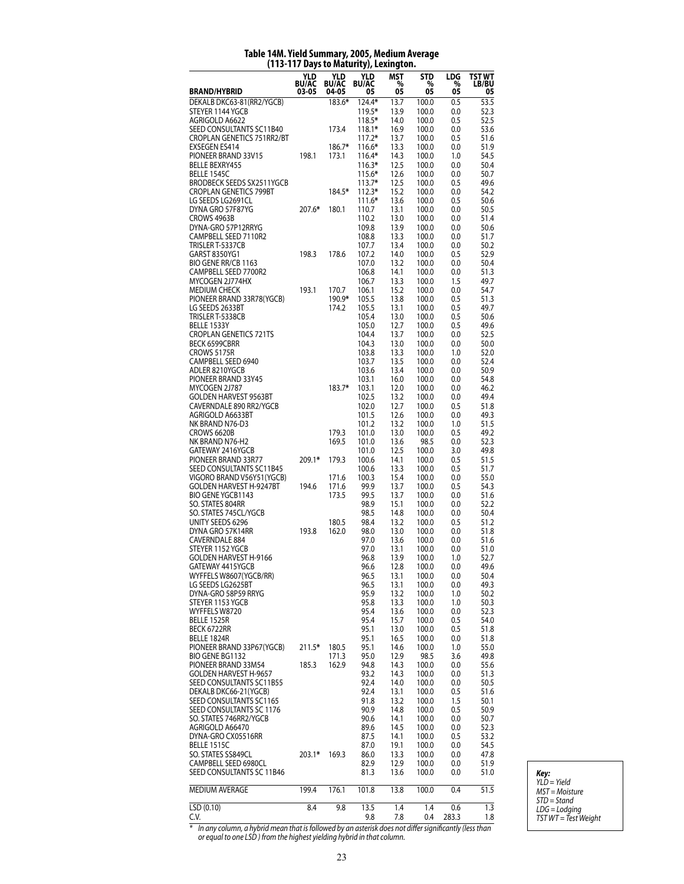|                                                            |                              |                              | $117$ pays to maturity $\mu$ ecanity | .v             |                       |                              |                              |
|------------------------------------------------------------|------------------------------|------------------------------|--------------------------------------|----------------|-----------------------|------------------------------|------------------------------|
| <b>BRAND/HYBRID</b>                                        | YLD<br><b>BU/AC</b><br>03-05 | YLD<br><b>BU/AC</b><br>04-05 | YLD<br><b>BU/AC</b><br>05            | MST<br>%<br>05 | <b>STD</b><br>%<br>05 | LDG<br>$\substack{\% \\ 05}$ | TST WT<br><b>LB/BU</b><br>05 |
| DEKALB DKC63-81(RR2/YGCB)                                  |                              | 183.6*                       | 124.4*                               | 13.7           | 100.0                 | 0.5                          | 53.5                         |
| STEYER 1144 YGCB                                           |                              |                              | 119.5*                               | 13.9           | 100.0                 | 0.0                          | 52.3                         |
| AGRIGOLD A6622<br>SEED CONSULTANTS SC11B40                 |                              | 173.4                        | $118.5*$<br>$118.1*$                 | 14.0           | 100.0<br>100.0        | 0.5                          | 52.5<br>53.6                 |
| CROPLAN GENETICS 751RR2/BT                                 |                              |                              | $117.2*$                             | 16.9<br>13.7   | 100.0                 | 0.0<br>0.5                   | 51.6                         |
| <b>EXSEGEN ES414</b>                                       |                              | 186.7*                       | 116.6*                               | 13.3           | 100.0                 | 0.0                          | 51.9                         |
| PIONEER BRAND 33V15                                        | 198.1                        | 173.1                        | $116.4*$                             | 14.3           | 100.0                 | 1.0                          | 54.5                         |
| <b>BELLE BEXRY455</b>                                      |                              |                              | $116.3*$                             | 12.5           | 100.0                 | 0.0                          | 50.4                         |
| BELLE 1545C                                                |                              |                              | 115.6*                               | 12.6           | 100.0                 | 0.0                          | 50.7                         |
| BRODBECK SEEDS SX2511YGCB<br><b>CROPLAN GENETICS 799BT</b> |                              | 184.5*                       | $113.7*$<br>$112.3*$                 | 12.5<br>15.2   | 100.0<br>100.0        | 0.5<br>0.0                   | 49.6<br>54.2                 |
| LG SEEDS LG2691CL                                          |                              |                              | $111.6*$                             | 13.6           | 100.0                 | 0.5                          | 50.6                         |
| DYNA GRO 57F87YG                                           | 207.6*                       | 180.1                        | 110.7                                | 13.1           | 100.0                 | 0.0                          | 50.5                         |
| CROWS 4963B                                                |                              |                              | 110.2                                | 13.0           | 100.0                 | 0.0                          | 51.4                         |
| DYNA-GRO 57P12RRYG                                         |                              |                              | 109.8                                | 13.9           | 100.0                 | 0.0                          | 50.6                         |
| CAMPBELL SEED 7110R2                                       |                              |                              | 108.8                                | 13.3           | 100.0                 | 0.0                          | 51.7                         |
| TRISLER T-5337CB<br>GARST 8350YG1                          | 198.3                        | 178.6                        | 107.7<br>107.2                       | 13.4<br>14.0   | 100.0<br>100.0        | 0.0<br>0.5                   | 50.2<br>52.9                 |
| BIO GENE RR/CB 1163                                        |                              |                              | 107.0                                | 13.2           | 100.0                 | 0.0                          | 50.4                         |
| CAMPBELL SEED 7700R2                                       |                              |                              | 106.8                                | 14.1           | 100.0                 | 0.0                          | 51.3                         |
| MYCOGEN 2J774HX                                            |                              |                              | 106.7                                | 13.3           | 100.0                 | 1.5                          | 49.7                         |
| <b>MEDIUM CHECK</b>                                        | 193.1                        | 170.7                        | 106.1                                | 15.2           | 100.0                 | 0.0                          | 54.7                         |
| PIONEER BRAND 33R78(YGCB)                                  |                              | 190.9*                       | 105.5                                | 13.8           | 100.0                 | 0.5                          | 51.3                         |
| LG SEEDS 2633BT<br>TRISLER T-5338CB                        |                              | 174.2                        | 105.5                                | 13.1           | 100.0                 | 0.5                          | 49.7<br>50.6                 |
| <b>BELLE 1533Y</b>                                         |                              |                              | 105.4<br>105.0                       | 13.0<br>12.7   | 100.0<br>100.0        | 0.5<br>0.5                   | 49.6                         |
| <b>CROPLAN GENETICS 721TS</b>                              |                              |                              | 104.4                                | 13.7           | 100.0                 | 0.0                          | 52.5                         |
| BECK 6599CBRR                                              |                              |                              | 104.3                                | 13.0           | 100.0                 | 0.0                          | 50.0                         |
| CROWS 5175R                                                |                              |                              | 103.8                                | 13.3           | 100.0                 | 1.0                          | 52.0                         |
| CAMPBELL SEED 6940                                         |                              |                              | 103.7                                | 13.5           | 100.0                 | 0.0                          | 52.4                         |
| ADLER 8210YGCB                                             |                              |                              | 103.6                                | 13.4           | 100.0                 | 0.0                          | 50.9                         |
| PIONEER BRAND 33Y45<br>MYCOGEN 2J787                       |                              | 183.7*                       | 103.1<br>103.1                       | 16.0<br>12.0   | 100.0<br>100.0        | 0.0<br>0.0                   | 54.8<br>46.2                 |
| <b>GOLDEN HARVEST 9563BT</b>                               |                              |                              | 102.5                                | 13.2           | 100.0                 | 0.0                          | 49.4                         |
| CAVERNDALE 890 RR2/YGCB                                    |                              |                              | 102.0                                | 12.7           | 100.0                 | 0.5                          | 51.8                         |
| AGRIGOLD A6633BT                                           |                              |                              | 101.5                                | 12.6           | 100.0                 | 0.0                          | 49.3                         |
| NK BRAND N76-D3                                            |                              |                              | 101.2                                | 13.2           | 100.0                 | 1.0                          | 51.5                         |
| CROWS 6620B                                                |                              | 179.3                        | 101.0                                | 13.0           | 100.0                 | 0.5                          | 49.2                         |
| NK BRAND N76-H2<br>GATEWAY 2416YGCB                        |                              | 169.5                        | 101.0<br>101.0                       | 13.6<br>12.5   | 98.5<br>100.0         | 0.0<br>3.0                   | 52.3<br>49.8                 |
| PIONEER BRAND 33R77                                        | 209.1*                       | 179.3                        | 100.6                                | 14.1           | 100.0                 | 0.5                          | 51.5                         |
| SEED CONSULTANTS SC11B45                                   |                              |                              | 100.6                                | 13.3           | 100.0                 | 0.5                          | 51.7                         |
| VIGORO BRAND V56Y51(YGCB)                                  |                              | 171.6                        | 100.3                                | 15.4           | 100.0                 | 0.0                          | 55.0                         |
| GOLDEN HARVEST H-9247BT                                    | 194.6                        | 171.6                        | 99.9                                 | 13.7           | 100.0                 | 0.5                          | 54.3                         |
| BIO GENE YGCB1143                                          |                              | 173.5                        | 99.5                                 | 13.7           | 100.0                 | 0.0                          | 51.6                         |
| SO. STATES 804RR<br>SO. STATES 745CL/YGCB                  |                              |                              | 98.9<br>98.5                         | 15.1<br>14.8   | 100.0<br>100.0        | 0.0<br>0.0                   | 52.2<br>50.4                 |
| UNITY SEEDS 6296                                           |                              | 180.5                        | 98.4                                 | 13.2           | 100.0                 | 0.5                          | 51.2                         |
| DYNA GRO 57K14RR                                           | 193.8                        | 162.0                        | 98.0                                 | 13.0           | 100.0                 | 0.0                          | 51.8                         |
| <b>CAVERNDALE 884</b>                                      |                              |                              | 97.0                                 | 13.6           | 100.0                 | 0.0                          | 51.6                         |
| STEYER 1152 YGCB                                           |                              |                              | 97.0                                 | 13.1           | 100.0                 | 0.0                          | 51.0                         |
| GOLDEN HARVEST H-9166                                      |                              |                              | 96.8                                 | 13.9           | 100.0                 | 1.0                          | 52.7                         |
| GATEWAY 4415YGCB                                           |                              |                              | 96.6                                 | 12.8           | 100.0                 | 0.0                          | 49.6                         |
| WYFFELS W8607(YGCB/RR)<br>LG SEEDS LG2625BT                |                              |                              | 96.5<br>96.5                         | 13.1<br>13.1   | 100.0<br>100.0        | 0.0<br>0.0                   | 50.4<br>49.3                 |
| DYNA-GRO 58P59 RRYG                                        |                              |                              | 95.9                                 | 13.2           | 100.0                 | 1.0                          | 50.2                         |
| STEYER 1153 YGCB                                           |                              |                              | 95.8                                 | 13.3           | 100.0                 | 1.0                          | 50.3                         |
| WYFFELS W8720                                              |                              |                              | 95.4                                 | 13.6           | 100.0                 | 0.0                          | 52.3                         |
| BELLE 1525R                                                |                              |                              | 95.4                                 | 15.7           | 100.0                 | 0.5                          | 54.0                         |
| BECK 6722RR                                                |                              |                              | 95.1                                 | 13.0           | 100.0                 | 0.5                          | 51.8                         |
| BELLE 1824R<br>PIONEER BRAND 33P67(YGCB)                   | 211.5*                       | 180.5                        | 95.1<br>95.1                         | 16.5<br>14.6   | 100.0<br>100.0        | 0.0<br>1.0                   | 51.8<br>55.0                 |
| BIO GENE BG1132                                            |                              | 171.3                        | 95.0                                 | 12.9           | 98.5                  | 3.6                          | 49.8                         |
| PIONEER BRAND 33M54                                        | 185.3                        | 162.9                        | 94.8                                 | 14.3           | 100.0                 | 0.0                          | 55.6                         |
| <b>GOLDEN HARVEST H-9657</b>                               |                              |                              | 93.2                                 | 14.3           | 100.0                 | 0.0                          | 51.3                         |
| SEED CONSULTANTS SC11B55                                   |                              |                              | 92.4                                 | 14.0           | 100.0                 | 0.0                          | 50.5                         |
| DEKALB DKC66-21(YGCB)                                      |                              |                              | 92.4                                 | 13.1           | 100.0                 | 0.5                          | 51.6                         |
| SEED CONSULTANTS SC1165<br>SEED CONSULTANTS SC 1176        |                              |                              | 91.8                                 | 13.2           | 100.0                 | 1.5                          | 50.1                         |
| SO. STATES 746RR2/YGCB                                     |                              |                              | 90.9<br>90.6                         | 14.8<br>14.1   | 100.0<br>100.0        | 0.5<br>0.0                   | 50.9<br>50.7                 |
| AGRIGOLD A66470                                            |                              |                              | 89.6                                 | 14.5           | 100.0                 | 0.0                          | 52.3                         |
| DYNA-GRO CX05516RR                                         |                              |                              | 87.5                                 | 14.1           | 100.0                 | 0.5                          | 53.2                         |
| BELLE 1515C                                                |                              |                              | 87.0                                 | 19.1           | 100.0                 | 0.0                          | 54.5                         |
| SO. STATES SS849CL                                         | 203.1*                       | 169.3                        | 86.0                                 | 13.3           | 100.0                 | 0.0                          | 47.8                         |
| CAMPBELL SEED 6980CL                                       |                              |                              | 82.9                                 | 12.9           | 100.0                 | 0.0                          | 51.9                         |
| SEED CONSULTANTS SC 11B46                                  |                              |                              | 81.3                                 | 13.6           | 100.0                 | 0.0                          | 51.0                         |
| MEDIUM AVERAGE                                             | 199.4                        | 176.1                        | 101.8                                | 13.8           | 100.0                 | 0.4                          | 51.5                         |
| LSD (0.10)<br>C.V.                                         | 8.4                          | 9.8                          | 13.5<br>9.8                          | 1.4<br>7.8     | 1.4<br>0.4            | 0.6<br>283.3                 | 1.3<br>1.8                   |

### **Table 14M. Yield Summary, 2005, Medium Average (113-117 Days to Maturity), Lexington.**

| Key:                 |  |
|----------------------|--|
| YLD = Yield          |  |
| $MST = Moisture$     |  |
| $STD = Stand$        |  |
| LDG = Lodging        |  |
| TST WT = Test Weight |  |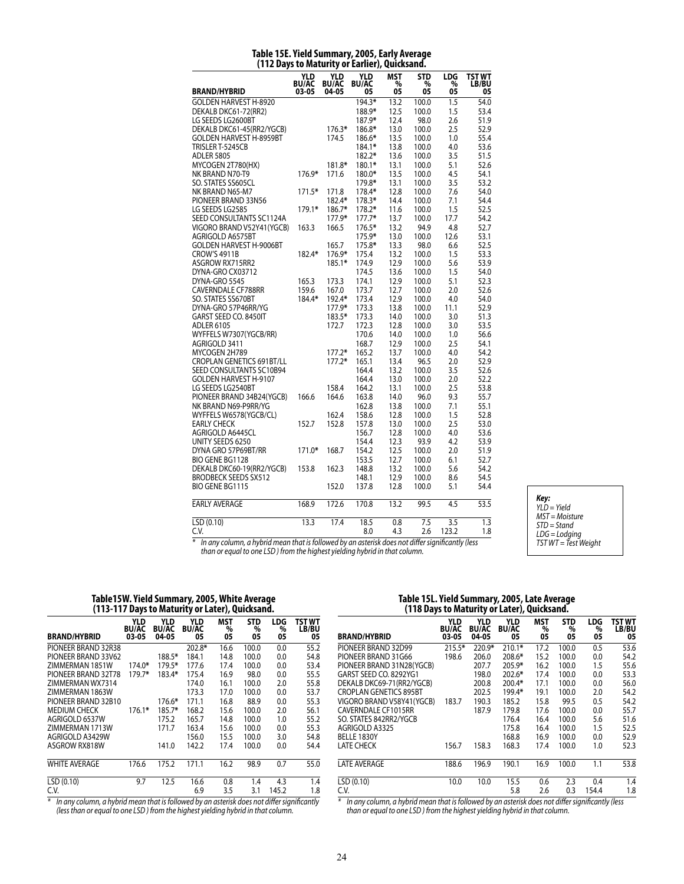|                                  | 12 Days to maturity   |                              | <b>VI LATTELI, QUICKSAIL</b> |                       | u.                    |                       |                        |
|----------------------------------|-----------------------|------------------------------|------------------------------|-----------------------|-----------------------|-----------------------|------------------------|
| <b>BRAND/HYBRID</b>              | YLD<br>BU/AC<br>03-05 | YLD<br><b>BU/AC</b><br>04-05 | YLD<br>BU/AC<br>05           | <b>MST</b><br>%<br>05 | <b>STD</b><br>%<br>05 | <b>LDG</b><br>%<br>05 | TST WT<br><b>LB/BU</b> |
|                                  |                       |                              |                              |                       |                       |                       | 05                     |
| <b>GOLDEN HARVEST H-8920</b>     |                       |                              | $194.3*$                     | 13.2                  | 100.0                 | $\overline{1.5}$      | 54.0                   |
| DEKALB DKC61-72(RR2)             |                       |                              | 188.9*                       | 12.5                  | 100.0                 | 1.5                   | 53.4                   |
| LG SEEDS LG2600BT                |                       |                              | 187.9*                       | 12.4                  | 98.0                  | 2.6                   | 51.9                   |
| DEKALB DKC61-45(RR2/YGCB)        |                       | 176.3*                       | 186.8*                       | 13.0                  | 100.0                 | 2.5                   | 52.9                   |
| <b>GOLDEN HARVEST H-8959BT</b>   |                       | 174.5                        | 186.6*                       | 13.5                  | 100.0                 | 1.0                   | 55.4                   |
| TRISLER T-5245CB                 |                       |                              | 184.1*                       | 13.8                  | 100.0                 | 4.0                   | 53.6                   |
| <b>ADLER 5805</b>                |                       |                              | 182.2*                       | 13.6                  | 100.0                 | 3.5                   | 51.5                   |
| MYCOGEN 2T780(HX)                |                       | 181.8*                       | 180.1*                       | 13.1                  | 100.0                 | 5.1                   | 52.6                   |
| NK BRAND N70-T9                  | 176.9*                | 171.6                        | 180.0*                       | 13.5                  | 100.0                 | 4.5                   | 54.1                   |
| SO. STATES SS605CL               |                       |                              | 179.8*                       | 13.1                  | 100.0                 | 3.5                   | 53.2                   |
| NK BRAND N65-M7                  | $171.5*$              | 171.8                        | 178.4*                       | 12.8                  | 100.0                 | 7.6                   | 54.0                   |
| PIONEER BRAND 33N56              |                       | 182.4*                       | 178.3*                       | 14.4                  | 100.0                 | 7.1                   | 54.4                   |
| LG SEEDS LG2585                  | 179.1*                | 186.7*                       | 178.2*                       | 11.6                  | 100.0                 | 1.5                   | 52.5                   |
| SEED CONSULTANTS SC1124A         |                       | 177.9*                       | $177.7*$                     | 13.7                  | 100.0                 | 17.7                  | 54.2                   |
| VIGORO BRAND V52Y41(YGCB)        | 163.3                 | 166.5                        | 176.5*                       | 13.2                  | 94.9                  | 4.8                   | 52.7                   |
| AGRIGOLD A6575BT                 |                       |                              | 175.9*                       | 13.0                  | 100.0                 | 12.6                  | 53.1                   |
| <b>GOLDEN HARVEST H-9006BT</b>   |                       | 165.7                        | 175.8*                       | 13.3                  | 98.0                  | 6.6                   | 52.5                   |
| <b>CROW'S 4911B</b>              | 182.4*                | 176.9*                       | 175.4                        | 13.2                  | 100.0                 | 1.5                   | 53.3                   |
| ASGROW RX715RR2                  |                       | 185.1*                       | 174.9                        | 12.9                  | 100.0                 | 5.6                   | 53.9                   |
| DYNA-GRO CX03712                 |                       |                              | 174.5                        | 13.6                  | 100.0                 | 1.5                   | 54.0                   |
| DYNA-GRO 5545                    | 165.3                 | 173.3                        | 174.1                        | 12.9                  | 100.0                 | 5.1                   | 52.3                   |
| <b>CAVERNDALE CF788RR</b>        | 159.6                 | 167.0                        | 173.7                        | 12.7                  | 100.0                 | 2.0                   | 52.6                   |
| SO. STATES SS670BT               | 184.4*                | 192.4*                       | 173.4                        | 12.9                  | 100.0                 | 4.0                   | 54.0                   |
| DYNA-GRO 57P46RR/YG              |                       | 177.9*                       | 173.3                        | 13.8                  | 100.0                 | 11.1                  | 52.9                   |
| GARST SEED CO. 8450IT            |                       | 183.5*                       | 173.3                        | 14.0                  | 100.0                 | 3.0                   | 51.3                   |
| <b>ADLER 6105</b>                |                       | 172.7                        | 172.3                        | 12.8                  | 100.0                 | 3.0                   | 53.5                   |
| WYFFELS W7307(YGCB/RR)           |                       |                              | 170.6                        | 14.0                  | 100.0                 | 1.0                   | 56.6                   |
| AGRIGOLD 3411                    |                       |                              | 168.7                        | 12.9                  | 100.0                 | 2.5                   | 54.1                   |
| MYCOGEN 2H789                    |                       | $177.2*$                     | 165.2                        | 13.7                  | 100.0                 | 4.0                   | 54.2                   |
| <b>CROPLAN GENETICS 691BT/LL</b> |                       | $177.2*$                     | 165.1                        | 13.4                  | 96.5                  | 2.0                   | 52.9                   |
| SEED CONSULTANTS SC10B94         |                       |                              | 164.4                        | 13.2                  | 100.0                 | 3.5                   | 52.6                   |
| GOLDEN HARVEST H-9107            |                       |                              | 164.4                        | 13.0                  | 100.0                 | 2.0                   | 52.2                   |
| LG SEEDS LG2540BT                |                       | 158.4                        | 164.2                        | 13.1                  | 100.0                 | 2.5                   | 53.8                   |
| PIONEER BRAND 34B24(YGCB)        | 166.6                 | 164.6                        | 163.8                        | 14.0                  | 96.0                  | 9.3                   | 55.7                   |
| NK BRAND N69-P9RR/YG             |                       |                              | 162.8                        | 13.8                  | 100.0                 | 7.1                   | 55.1                   |
|                                  |                       |                              |                              |                       |                       |                       | 52.8                   |
| WYFFELS W6578(YGCB/CL)           |                       | 162.4                        | 158.6                        | 12.8                  | 100.0                 | 1.5                   |                        |
| <b>EARLY CHECK</b>               | 152.7                 | 152.8                        | 157.8                        | 13.0                  | 100.0                 | 2.5                   | 53.0                   |
| AGRIGOLD A6445CL                 |                       |                              | 156.7                        | 12.8                  | 100.0                 | 4.0                   | 53.6                   |
| UNITY SEEDS 6250                 |                       |                              | 154.4                        | 12.3                  | 93.9                  | 4.2                   | 53.9                   |
| DYNA GRO 57P69BT/RR              | $171.0*$              | 168.7                        | 154.2                        | 12.5                  | 100.0                 | 2.0                   | 51.9                   |
| BIO GENE BG1128                  |                       |                              | 153.5                        | 12.7                  | 100.0                 | 6.1                   | 52.7                   |
| DEKALB DKC60-19(RR2/YGCB)        | 153.8                 | 162.3                        | 148.8                        | 13.2                  | 100.0                 | 5.6                   | 54.2                   |
| <b>BRODBECK SEEDS SX512</b>      |                       |                              | 148.1                        | 12.9                  | 100.0                 | 8.6                   | 54.5                   |
| <b>BIO GENE BG1115</b>           |                       | 152.0                        | 137.8                        | 12.8                  | 100.0                 | 5.1                   | 54.4                   |
| <b>EARLY AVERAGE</b>             | 168.9                 | 172.6                        | 170.8                        | 13.2                  | 99.5                  | 4.5                   | 53.5                   |
| LSD (0.10)                       | 13.3                  | 17.4                         | 18.5                         | 0.8                   | 7.5                   | 3.5                   | 1.3                    |
| C.V.                             |                       |                              | 8.0                          | 4.3                   | 2.6                   | 123.2                 | 1.8                    |

#### **Table 15E. Yield Summary, 2005, Early Average (112 Days to Maturity or Earlier), Quicksand.**

*Key: YLD = Yield MST = Moisture STD = Stand LDG = Lodging TST WT = Test Weight*

*\* In any column, a hybrid mean that is followed by an asterisk does not differ significantly (less than or equal to one LSD ) from the highest yielding hybrid in that column.*

#### **Table15W. Yield Summary, 2005, White Average (113-117 Days to Maturity or Later), Quicksand.**

| <b>BRAND/HYBRID</b>    | YLD<br><b>BU/AC</b><br>03-05 | <b>YLD</b><br><b>BU/AC</b><br>04-05 | YLD<br><b>BU/AC</b><br>05 | <b>MST</b><br>%<br>05 | <b>STD</b><br>%<br>05 | LDG<br>%<br>05 | TST WT<br>LB/BU<br>05 |
|------------------------|------------------------------|-------------------------------------|---------------------------|-----------------------|-----------------------|----------------|-----------------------|
| PIONEER BRAND 32R38    |                              |                                     | 202.8*                    | 16.6                  | 100.0                 | 0.0            | 55.2                  |
| PIONEER BRAND 33V62    |                              | 188.5*                              | 184.1                     | 14.8                  | 100.0                 | 0.0            | 54.8                  |
| ZIMMERMAN 1851W        | 174.0*                       | 179.5*                              | 177.6                     | 17.4                  | 100.0                 | 0.0            | 53.4                  |
| PIONEER BRAND 32T78    | 179.7*                       | 183.4*                              | 175.4                     | 16.9                  | 98.0                  | 0.0            | 55.5                  |
| ZIMMERMAN WX7314       |                              |                                     | 174.0                     | 16.1                  | 100.0                 | 2.0            | 55.8                  |
| ZIMMERMAN 1863W        |                              |                                     | 173.3                     | 17.0                  | 100.0                 | 0.0            | 53.7                  |
| PIONEER BRAND 32B10    |                              | 176.6*                              | 171.1                     | 16.8                  | 88.9                  | 0.0            | 55.3                  |
| <b>MEDIUM CHECK</b>    | 176.1*                       | 185.7*                              | 168.2                     | 15.6                  | 100.0                 | 2.0            | 56.1                  |
| AGRIGOLD 6537W         |                              | 175.2                               | 165.7                     | 14.8                  | 100.0                 | 1.0            | 55.2                  |
| <b>7IMMFRMAN 1713W</b> |                              | 171.7                               | 163.4                     | 15.6                  | 100.0                 | 0.0            | 55.3                  |
| AGRIGOLD A3429W        |                              |                                     | 156.0                     | 15.5                  | 100.0                 | 3.0            | 54.8                  |
| ASGROW RX818W          |                              | 141.0                               | 142.2                     | 17.4                  | 100.0                 | 0.0            | 54.4                  |
| <b>WHITE AVERAGE</b>   | 176.6                        | 175.2                               | 171.1                     | 16.2                  | 98.9                  | 0.7            | 55.0                  |
| LSD(0.10)              | 9.7                          | 12.5                                | 16.6                      | 0.8                   | 1.4                   | 4.3            | 1.4                   |
| C.V.                   |                              |                                     | 6.9                       | 3.5                   | 3.1                   | 145.2          | 1.8                   |
|                        |                              |                                     |                           |                       |                       |                |                       |

*\* In any column, a hybrid mean that is followed by an asterisk does not differ significantly (less than or equal to one LSD ) from the highest yielding hybrid in that column.*

### **Table 15L. Yield Summary, 2005, Late Average (118 Days to Maturity or Later), Quicksand.**

| <b>BRAND/HYBRID</b>           | <b>YLD</b><br><b>BU/AC</b><br>03-05 | <b>YLD</b><br><b>BU/AC</b><br>04-05 | <b>YLD</b><br><b>BU/AC</b><br>05 | <b>MST</b><br>%<br>05 | <b>STD</b><br>%<br>05 | LDG<br>%<br>05 | <b>TST WT</b><br>LB/BU<br>05 |
|-------------------------------|-------------------------------------|-------------------------------------|----------------------------------|-----------------------|-----------------------|----------------|------------------------------|
| PIONEER BRAND 32D99           | $215.5*$                            | $220.9*$                            | $210.1*$                         | 17.2                  | 100.0                 | 0.5            | 53.6                         |
| PIONEER BRAND 31G66           | 198.6                               | 206.0                               | $208.6*$                         | 15.2                  | 100.0                 | 0.0            | 54.2                         |
| PIONEER BRAND 31N28(YGCB)     |                                     | 207.7                               | 205.9*                           | 16.2                  | 100.0                 | 1.5            | 55.6                         |
| GARST SEED CO. 8292YG1        |                                     | 198.0                               | $202.6*$                         | 17.4                  | 100.0                 | 0.0            | 53.3                         |
| DEKALB DKC69-71(RR2/YGCB)     |                                     | 200.8                               | $200.4*$                         | 17.1                  | 100.0                 | 0.0            | 56.0                         |
| <b>CROPLAN GENETICS 895BT</b> |                                     | 202.5                               | 199.4*                           | 19.1                  | 100.0                 | 2.0            | 54.2                         |
| VIGORO BRAND V58Y41(YGCB)     | 183.7                               | 190.3                               | 185.2                            | 15.8                  | 99.5                  | 0.5            | 54.2                         |
| CAVERNDALE CF1015RR           |                                     | 187.9                               | 179.8                            | 17.6                  | 100.0                 | 0.0            | 55.7                         |
| SO. STATES 842RR2/YGCB        |                                     |                                     | 176.4                            | 16.4                  | 100.0                 | 5.6            | 51.6                         |
| AGRIGOLD A3325                |                                     |                                     | 175.8                            | 16.4                  | 100.0                 | 1.5            | 52.5                         |
| BELLE 1830Y                   |                                     |                                     | 168.8                            | 16.9                  | 100.0                 | 0.0            | 52.9                         |
| <b>LATE CHECK</b>             | 156.7                               | 158.3                               | 168.3                            | 17.4                  | 100.0                 | 1.0            | 52.3                         |
| <b>LATE AVERAGE</b>           | 188.6                               | 196.9                               | 190.1                            | 16.9                  | 100.0                 | 1.1            | 53.8                         |
| LSD (0.10)                    | 10.0                                | 10.0                                | 15.5                             | 0.6                   | 2.3                   | 0.4            | 1.4                          |
| C.V.                          |                                     |                                     | 5.8                              | 2.6                   | 0.3                   | 154.4          | 1.8                          |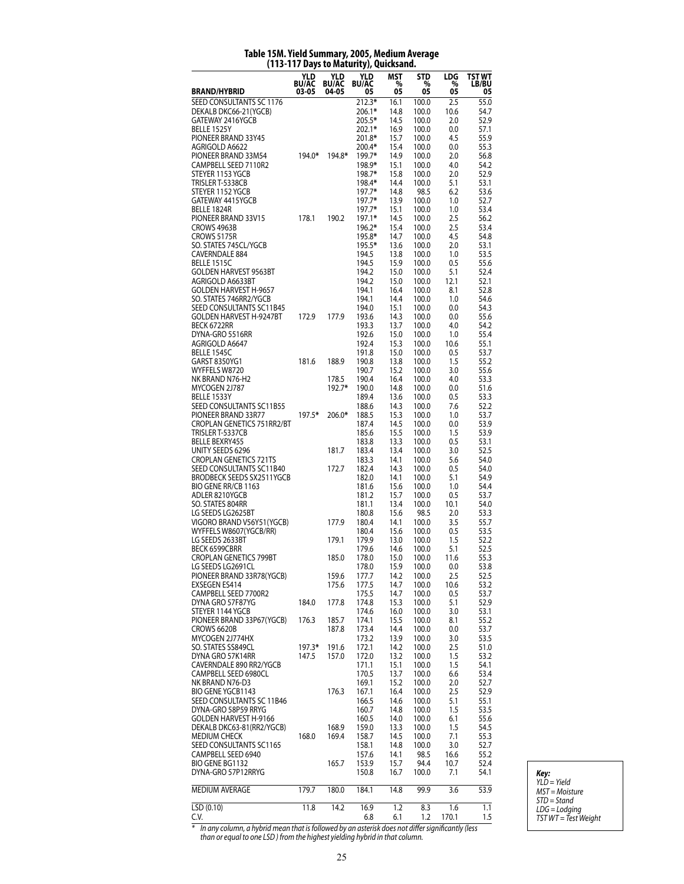| זויכוו)                                            |                     |                     | Days to Maturity), Quicksaliu. |              |                |              |                        |
|----------------------------------------------------|---------------------|---------------------|--------------------------------|--------------|----------------|--------------|------------------------|
|                                                    | YLD<br><b>BU/AC</b> | YLD<br><b>BU/AC</b> | <b>YLD</b><br><b>BU/AC</b>     | MST<br>%     | STD<br>%       | LDG<br>%     | TST WT<br><b>LB/BU</b> |
| <b>BRAND/HYBRID</b>                                | 03-05               | 04-05               | 05                             | 05           | 05             | 05           | 05                     |
| SEED CONSULTANTS SC 1176                           |                     |                     | 212.3*                         | 16.1         | 100.0          | 2.5          | 55.0                   |
| DEKALB DKC66-21(YGCB)                              |                     |                     | 206.1*<br>205.5*               | 14.8<br>14.5 | 100.0          | 10.6         | 54.7<br>52.9           |
| GATEWAY 2416YGCB<br>BELLE 1525Y                    |                     |                     | 202.1*                         | 16.9         | 100.0<br>100.0 | 2.0<br>0.0   | 57.1                   |
| PIONEER BRAND 33Y45                                |                     |                     | 201.8*                         | 15.7         | 100.0          | 4.5          | 55.9                   |
| AGRIGOLD A6622                                     |                     |                     | 200.4*                         | 15.4         | 100.0          | 0.0          | 55.3                   |
| PIONEER BRAND 33M54                                | 194.0*              | 194.8*              | 199.7*                         | 14.9         | 100.0          | 2.0          | 56.8                   |
| CAMPBELL SEED 7110R2                               |                     |                     | 198.9*                         | 15.1         | 100.0          | 4.0          | 54.2                   |
| STEYER 1153 YGCB<br>TRISLER T-5338CB               |                     |                     | 198.7*<br>198.4*               | 15.8<br>14.4 | 100.0<br>100.0 | 2.0<br>5.1   | 52.9<br>53.1           |
| STEYER 1152 YGCB                                   |                     |                     | 197.7*                         | 14.8         | 98.5           | 6.2          | 53.6                   |
| GATEWAY 4415YGCB                                   |                     |                     | 197.7*                         | 13.9         | 100.0          | 1.0          | 52.7                   |
| BELLE 1824R                                        |                     |                     | 197.7*                         | 15.1         | 100.0          | 1.0          | 53.4                   |
| PIONEER BRAND 33V15                                | 178.1               | 190.2               | 197.1*                         | 14.5         | 100.0          | 2.5          | 56.2                   |
| CROWS 4963B                                        |                     |                     | 196.2*                         | 15.4         | 100.0          | 2.5          | 53.4                   |
| CROWS 5175R<br>SO. STATES 745CL/YGCB               |                     |                     | 195.8*<br>195.5*               | 14.7<br>13.6 | 100.0<br>100.0 | 4.5<br>2.0   | 54.8<br>53.1           |
| <b>CAVERNDALE 884</b>                              |                     |                     | 194.5                          | 13.8         | 100.0          | 1.0          | 53.5                   |
| BELLE 1515C                                        |                     |                     | 194.5                          | 15.9         | 100.0          | 0.5          | 55.6                   |
| <b>GOLDEN HARVEST 9563BT</b>                       |                     |                     | 194.2                          | 15.0         | 100.0          | 5.1          | 52.4                   |
| AGRIGOLD A6633BT                                   |                     |                     | 194.2                          | 15.0         | 100.0          | 12.1         | 52.1                   |
| GOLDEN HARVEST H-9657                              |                     |                     | 194.1                          | 16.4         | 100.0          | 8.1          | 52.8                   |
| SO. STATES 746RR2/YGCB<br>SEED CONSULTANTS SC11B45 |                     |                     | 194.1<br>194.0                 | 14.4<br>15.1 | 100.0<br>100.0 | 1.0<br>0.0   | 54.6<br>54.3           |
| <b>GOLDEN HARVEST H-9247BT</b>                     | 172.9               | 177.9               | 193.6                          | 14.3         | 100.0          | 0.0          | 55.6                   |
| BECK 6722RR                                        |                     |                     | 193.3                          | 13.7         | 100.0          | 4.0          | 54.2                   |
| DYNA-GRO 5516RR                                    |                     |                     | 192.6                          | 15.0         | 100.0          | 1.0          | 55.4                   |
| AGRIGOLD A6647                                     |                     |                     | 192.4                          | 15.3         | 100.0          | 10.6         | 55.1                   |
| <b>BELLE 1545C</b>                                 |                     |                     | 191.8                          | 15.0         | 100.0          | 0.5          | 53.7                   |
| GARST 8350YG1                                      | 181.6               | 188.9               | 190.8                          | 13.8         | 100.0          | 1.5          | 55.2                   |
| WYFFELS W8720<br>NK BRAND N76-H2                   |                     | 178.5               | 190.7<br>190.4                 | 15.2<br>16.4 | 100.0<br>100.0 | 3.0<br>4.0   | 55.6<br>53.3           |
| MYCOGEN 2J787                                      |                     | 192.7*              | 190.0                          | 14.8         | 100.0          | 0.0          | 51.6                   |
| BELLE 1533Y                                        |                     |                     | 189.4                          | 13.6         | 100.0          | 0.5          | 53.3                   |
| SEED CONSULTANTS SC11B55                           |                     |                     | 188.6                          | 14.3         | 100.0          | 7.6          | 52.2                   |
| PIONEER BRAND 33R77                                | 197.5*              | 206.0*              | 188.5                          | 15.3         | 100.0          | 1.0          | 53.7                   |
| CROPLAN GENETICS 751RR2/BT                         |                     |                     | 187.4                          | 14.5         | 100.0          | 0.0          | 53.9                   |
| TRISLER T-5337CB<br><b>BELLE BEXRY455</b>          |                     |                     | 185.6<br>183.8                 | 15.5<br>13.3 | 100.0<br>100.0 | 1.5<br>0.5   | 53.9<br>53.1           |
| UNITY SEEDS 6296                                   |                     | 181.7               | 183.4                          | 13.4         | 100.0          | 3.0          | 52.5                   |
| <b>CROPLAN GENETICS 721TS</b>                      |                     |                     | 183.3                          | 14.1         | 100.0          | 5.6          | 54.0                   |
| SEED CONSULTANTS SC11B40                           |                     | 172.7               | 182.4                          | 14.3         | 100.0          | 0.5          | 54.0                   |
| BRODBECK SEEDS SX2511YGCB                          |                     |                     | 182.0                          | 14.1         | 100.0          | 5.1          | 54.9                   |
| BIO GENE RR/CB 1163                                |                     |                     | 181.6                          | 15.6         | 100.0          | 1.0          | 54.4                   |
| ADLER 8210YGCB<br>SO. STATES 804RR                 |                     |                     | 181.2<br>181.1                 | 15.7<br>13.4 | 100.0<br>100.0 | 0.5<br>10.1  | 53.7<br>54.0           |
| LG SEEDS LG2625BT                                  |                     |                     | 180.8                          | 15.6         | 98.5           | 2.0          | 53.3                   |
| VIGORO BRAND V56Y51(YGCB)                          |                     | 177.9               | 180.4                          | 14.1         | 100.0          | 3.5          | 55.7                   |
| WYFFELS W8607(YGCB/RR)                             |                     |                     | 180.4                          | 15.6         | 100.0          | 0.5          | 53.5                   |
| LG SEEDS 2633BT                                    |                     | 179.1               | 179.9                          | 13.0         | 100.0          | 1.5          | 52.2                   |
| <b>BECK 6599CBRR</b>                               |                     |                     | 179.6                          | 14.6         | 100.0          | 5.1          | 52.5                   |
| <b>CROPLAN GENETICS 799BT</b>                      |                     | 185.0               | 178.0                          | 15.0         | 100.0          | 11.6         | 55.3                   |
| LG SEEDS LG269TCL<br>PIONEER BRAND 33R78(YGCB)     |                     | 159.6               | 1/8.0<br>177.7                 | 15.9<br>14.2 | 100.0<br>100.0 | V.V<br>2.5   | 53.8<br>52.5           |
| EXSEGEN ES414                                      |                     | 175.6               | 177.5                          | 14.7         | 100.0          | 10.6         | 53.2                   |
| CAMPBELL SEED 7700R2                               |                     |                     | 175.5                          | 14.7         | 100.0          | 0.5          | 53.7                   |
| DYNA GRO 57F87YG                                   | 184.0               | 177.8               | 174.8                          | 15.3         | 100.0          | 5.1          | 52.9                   |
| STEYER 1144 YGCB                                   |                     |                     | 174.6                          | 16.0         | 100.0          | 3.0          | 53.1                   |
| PIONEER BRAND 33P67(YGCB)<br><b>CROWS 6620B</b>    | 176.3               | 185.7               | 174.1                          | 15.5         | 100.0          | 8.1          | 55.2                   |
| MYCOGEN 2J774HX                                    |                     | 187.8               | 173.4<br>173.2                 | 14.4<br>13.9 | 100.0<br>100.0 | 0.0<br>3.0   | 53.7<br>53.5           |
| SO. STATES SS849CL                                 | 197.3*              | 191.6               | 172.1                          | 14.2         | 100.0          | 2.5          | 51.0                   |
| DYNA GRO 57K14RR                                   | 147.5               | 157.0               | 172.0                          | 13.2         | 100.0          | 1.5          | 53.2                   |
| CAVERNDALE 890 RR2/YGCB                            |                     |                     | 171.1                          | 15.1         | 100.0          | 1.5          | 54.1                   |
| CAMPBELL SEED 6980CL                               |                     |                     | 170.5                          | 13.7         | 100.0          | 6.6          | 53.4                   |
| NK BRAND N76-D3                                    |                     |                     | 169.1                          | 15.2         | 100.0          | 2.0          | 52.7                   |
| BIO GENE YGCB1143<br>SEED CONSULTANTS SC 11B46     |                     | 176.3               | 167.1<br>166.5                 | 16.4<br>14.6 | 100.0<br>100.0 | 2.5<br>5.1   | 52.9<br>55.1           |
| DYNA-GRO 58P59 RRYG                                |                     |                     | 160.7                          | 14.8         | 100.0          | 1.5          | 53.5                   |
| GOLDEN HARVEST H-9166                              |                     |                     | 160.5                          | 14.0         | 100.0          | 6.1          | 55.6                   |
| DEKALB DKC63-81(RR2/YGCB)                          |                     | 168.9               | 159.0                          | 13.3         | 100.0          | 1.5          | 54.5                   |
| <b>MEDIUM CHECK</b>                                | 168.0               | 169.4               | 158.7                          | 14.5         | 100.0          | 7.1          | 55.3                   |
| SEED CONSULTANTS SC1165                            |                     |                     | 158.1                          | 14.8         | 100.0          | 3.0          | 52.7                   |
| CAMPBELL SEED 6940<br>BIO GENE BG1132              |                     |                     | 157.6<br>153.9                 | 14.1<br>15.7 | 98.5<br>94.4   | 16.6<br>10.7 | 55.2<br>52.4           |
| DYNA-GRO 57P12RRYG                                 |                     | 165.7               | 150.8                          | 16.7         | 100.0          | 7.1          | 54.1                   |
| MEDIUM AVERAGE                                     | 179.7               | 180.0               | 184.1                          | 14.8         | 99.9           | 3.6          | 53.9                   |
| $\overline{LSD}$ (0.10)                            | 11.8                | 14.2                | 16.9                           | 1.2          | 8.3            | 1.6          | 1.1                    |
| C.V.                                               |                     |                     | 6.8                            | 6.1          | 1.2            | 170.1        | 1.5                    |

### **Table 15M. Yield Summary, 2005, Medium Average (113-117 Days to Maturity), Quicksand.**

*Key: YLD = Yield MST = Moisture STD = Stand LDG = Lodging TST WT = Test Weight*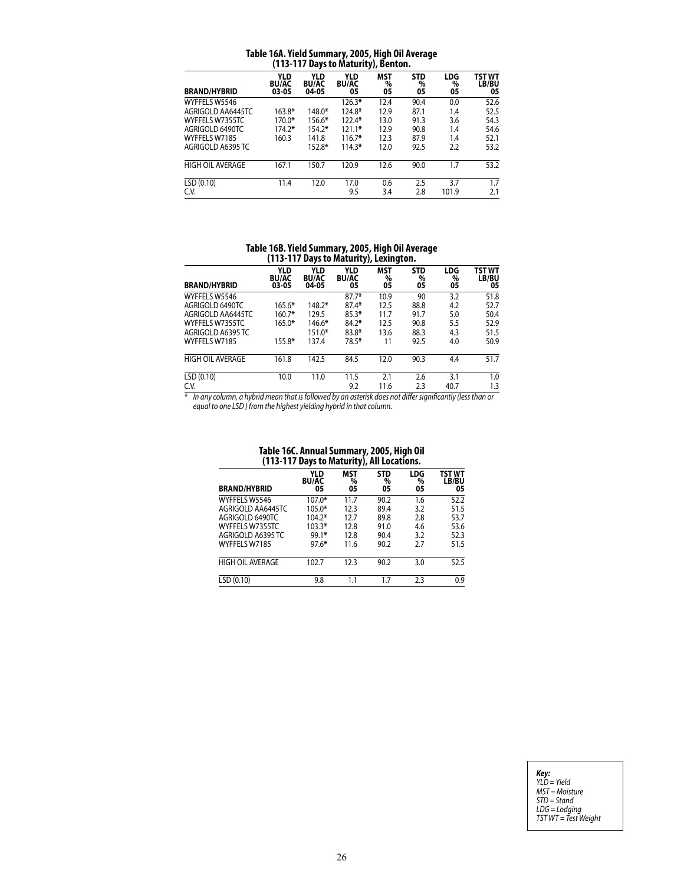| Table 16A. Yield Summary, 2005, High Oil Average |  |
|--------------------------------------------------|--|
| (113-117 Days to Maturity), Benton.              |  |

|                         | -,,, -                              |                                     |                                  |                |                       |                       |                       |  |  |  |  |
|-------------------------|-------------------------------------|-------------------------------------|----------------------------------|----------------|-----------------------|-----------------------|-----------------------|--|--|--|--|
| <b>BRAND/HYBRID</b>     | <b>YLD</b><br><b>BU/AC</b><br>03-05 | <b>YLD</b><br><b>BU/AC</b><br>04-05 | <b>YLD</b><br><b>BU/AC</b><br>05 | MST<br>%<br>05 | <b>STD</b><br>%<br>05 | <b>LDG</b><br>%<br>05 | TST WT<br>LB/BU<br>05 |  |  |  |  |
| WYFFELS W5546           |                                     |                                     | $126.3*$                         | 12.4           | 90.4                  | 0.0                   | 52.6                  |  |  |  |  |
| AGRIGOLD AA6445TC       | 163.8*                              | 148.0*                              | 124.8*                           | 12.9           | 87.1                  | 1.4                   | 52.5                  |  |  |  |  |
| WYFFELS W7355TC         | 170.0*                              | 156.6*                              | $122.4*$                         | 13.0           | 91.3                  | 3.6                   | 54.3                  |  |  |  |  |
| AGRIGOLD 6490TC         | $174.2*$                            | 154.2*                              | $121.1*$                         | 12.9           | 90.8                  | 1.4                   | 54.6                  |  |  |  |  |
| WYFFELS W7185           | 160.3                               | 141.8                               | $116.7*$                         | 12.3           | 87.9                  | 1.4                   | 52.1                  |  |  |  |  |
| AGRIGOLD A6395 TC       |                                     | 152.8*                              | $114.3*$                         | 12.0           | 92.5                  | 2.2                   | 53.2                  |  |  |  |  |
| <b>HIGH OIL AVERAGE</b> | 167.1                               | 150.7                               | 120.9                            | 12.6           | 90.0                  | 1.7                   | 53.2                  |  |  |  |  |
| LSD(0.10)               | 11.4                                | 12.0                                | 17.0                             | 0.6            | 2.5                   | 3.7                   | 1.7                   |  |  |  |  |
| C.V.                    |                                     |                                     | 9.5                              | 3.4            | 2.8                   | 101.9                 | 2.1                   |  |  |  |  |

# **Table 16B. Yield Summary, 2005, High Oil Average (113-117 Days to Maturity), Lexington.**

| <b>BRAND/HYBRID</b>     | <b>YLD</b><br><b>BU/AC</b><br>03-05 | <b>YLD</b><br><b>BU/AC</b><br>04-05 | <b>YLD</b><br><b>BU/AC</b><br>05 | MST<br>$\%$<br>05 | <b>STD</b><br>%<br>05 | <b>LDG</b><br>%<br>05 | TST WT<br>LB/BU<br>05 |
|-------------------------|-------------------------------------|-------------------------------------|----------------------------------|-------------------|-----------------------|-----------------------|-----------------------|
| WYFFELS W5546           |                                     |                                     | $87.7*$                          | 10.9              | 90                    | 3.2                   | 51.8                  |
| AGRIGOLD 6490TC         | $165.6*$                            | $148.2*$                            | $87.4*$                          | 12.5              | 88.8                  | 4.2                   | 52.7                  |
| AGRIGOLD AA6445TC       | $160.7*$                            | 129.5                               | $85.3*$                          | 11.7              | 91.7                  | 5.0                   | 50.4                  |
| WYFFELS W7355TC         | $165.0*$                            | 146.6*                              | $84.2*$                          | 12.5              | 90.8                  | 5.5                   | 52.9                  |
| AGRIGOLD A6395 TC       |                                     | $151.0*$                            | $83.8*$                          | 13.6              | 88.3                  | 4.3                   | 51.5                  |
| WYFFELS W7185           | 155.8*                              | 137.4                               | 78.5*                            | 11                | 92.5                  | 4.0                   | 50.9                  |
| <b>HIGH OIL AVERAGE</b> | 161.8                               | 142.5                               | 84.5                             | 12.0              | 90.3                  | 4.4                   | 51.7                  |
| LSD(0.10)               | 10.0                                | 11.0                                | 11.5                             | 2.1               | 2.6                   | 3.1                   | 1.0                   |
| C.V.                    |                                     |                                     | 9.2                              | 11.6              | 2.3                   | 40.7                  | 1.3                   |

*\* In any column, a hybrid mean that is followed by an asterisk does not differ significantly (less than or equal to one LSD ) from the highest yielding hybrid in that column.*

| 1991 - 1992: Allitual Julillial I, 2003, 111911 VII<br>(113-117 Days to Maturity),<br><b>All Locations.</b> |                                  |                       |                       |                |                       |  |
|-------------------------------------------------------------------------------------------------------------|----------------------------------|-----------------------|-----------------------|----------------|-----------------------|--|
| <b>BRAND/HYBRID</b>                                                                                         | <b>YLD</b><br><b>BU/AC</b><br>05 | <b>MST</b><br>%<br>05 | <b>STD</b><br>%<br>05 | LDG<br>%<br>05 | TST WT<br>LB/BU<br>05 |  |
| WYFFELS W5546                                                                                               | $107.0*$                         | 11.7                  | 90.2                  | 1.6            | 52.2                  |  |
| AGRIGOLD AA6445TC                                                                                           | $105.0*$                         | 12.3                  | 89.4                  | 3.2            | 51.5                  |  |
| AGRIGOLD 6490TC                                                                                             | $104.2*$                         | 12.7                  | 89.8                  | 2.8            | 53.7                  |  |
| WYFFELS W7355TC                                                                                             | $103.3*$                         | 12.8                  | 91.0                  | 4.6            | 53.6                  |  |
| AGRIGOLD A6395 TC                                                                                           | 99.1*                            | 12.8                  | 90.4                  | 3.2            | 52.3                  |  |
| WYFFELS W7185                                                                                               | $97.6*$                          | 11.6                  | 90.2                  | 2.7            | 51.5                  |  |
| <b>HIGH OIL AVERAGE</b>                                                                                     | 102.7                            | 12.3                  | 90.2                  | 3.0            | 52.5                  |  |
| LSD(0.10)                                                                                                   | 9.8                              | 1.1                   | 1.7                   | 2.3            | 0.9                   |  |

### **Table 16C. Annual Summary, 2005, High Oil**

*Key: YLD = Yield MST = Moisture STD = Stand LDG = Lodging TST WT = Test Weight*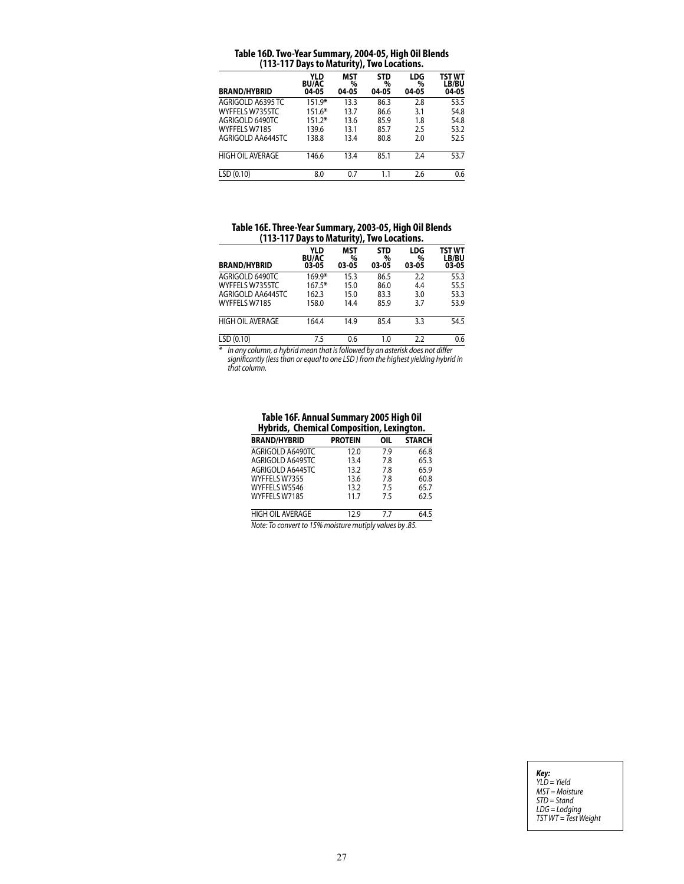| (113-117 Days to Maturity), Two Locations. |                              |                          |                          |                          |                          |
|--------------------------------------------|------------------------------|--------------------------|--------------------------|--------------------------|--------------------------|
| <b>BRAND/HYBRID</b>                        | YLD<br><b>BU/AC</b><br>04-05 | <b>MST</b><br>%<br>04-05 | <b>STD</b><br>%<br>04-05 | <b>LDG</b><br>%<br>04-05 | TST WT<br>LB/BU<br>04-05 |
| AGRIGOLD A6395 TC                          | 151.9*                       | 13.3                     | 86.3                     | 2.8                      | 53.5                     |
| WYFFELS W7355TC                            | 151.6*                       | 13.7                     | 86.6                     | 3.1                      | 54.8                     |
| AGRIGOLD 6490TC                            | $151.2*$                     | 13.6                     | 85.9                     | 1.8                      | 54.8                     |
| WYFFELS W7185                              | 139.6                        | 13.1                     | 85.7                     | 2.5                      | 53.2                     |
| AGRIGOLD AA6445TC                          | 138.8                        | 13.4                     | 80.8                     | 2.0                      | 52.5                     |
| <b>HIGH OIL AVERAGE</b>                    | 146.6                        | 13.4                     | 85.1                     | 2.4                      | 53.7                     |
| LSD (0.10)                                 | 8.0                          | 0.7                      | 1.1                      | 2.6                      | 0.6                      |

### **Table 16D. Two-Year Summary, 2004-05, High Oil Blends (113-117 Days to Maturity), Two Locations.**

# **Table 16E. Three-Year Summary, 2003-05, High Oil Blends (113-117 Days to Maturity), Two Locations.**

|                     |                              | .                        |                          |                          |                          |
|---------------------|------------------------------|--------------------------|--------------------------|--------------------------|--------------------------|
| <b>BRAND/HYBRID</b> | YLD<br><b>BU/AC</b><br>03-05 | <b>MST</b><br>%<br>03-05 | <b>STD</b><br>%<br>03-05 | <b>LDG</b><br>%<br>03-05 | TST WT<br>LB/BU<br>03-05 |
| AGRIGOLD 6490TC     | 169.9*                       | 15.3                     | 86.5                     | 2.2                      | 55.3                     |
| WYFFELS W7355TC     | $167.5*$                     | 15.0                     | 86.0                     | 4.4                      | 55.5                     |
| AGRIGOLD AA6445TC   | 162.3                        | 15.0                     | 83.3                     | 3.0                      | 53.3                     |
| WYFFELS W7185       | 158.0                        | 14.4                     | 85.9                     | 3.7                      | 53.9                     |
| HIGH OIL AVERAGE    | 164.4                        | 14.9                     | 85.4                     | 3.3                      | 54.5                     |
| LSD (0.10)          | 7.5                          | 0.6                      | 1.0                      | 2.2                      | 0.6                      |

*\* In any column, a hybrid mean that is followed by an asterisk does not differ significantly (less than or equal to one LSD ) from the highest yielding hybrid in that column.*

#### **Table 16F. Annual Summary 2005 High Oil Hybrids, Chemical Composition, Lexington.**

| <b>BRAND/HYBRID</b>                                     | <b>PROTEIN</b> | OIL | <b>STARCH</b> |  |
|---------------------------------------------------------|----------------|-----|---------------|--|
| AGRIGOLD A6490TC                                        | 12.0           | 7.9 | 66.8          |  |
| AGRIGOLD A6495TC                                        | 13.4           | 7.8 | 65.3          |  |
| AGRIGOLD A6445TC                                        | 13.2           | 7.8 | 65.9          |  |
| WYFFELS W7355                                           | 13.6           | 7.8 | 60.8          |  |
| WYFFELS W5546                                           | 13.2           | 7.5 | 65.7          |  |
| WYFFELS W7185                                           | 11.7           | 7.5 | 62.5          |  |
| <b>HIGH OIL AVERAGE</b>                                 | 12.9           | 7.7 | 64.5          |  |
| Note: To convert to 15% moisture mutiply values by .85. |                |     |               |  |

*Key: YLD = Yield MST = Moisture STD = Stand LDG = Lodging TST WT = Test Weight*